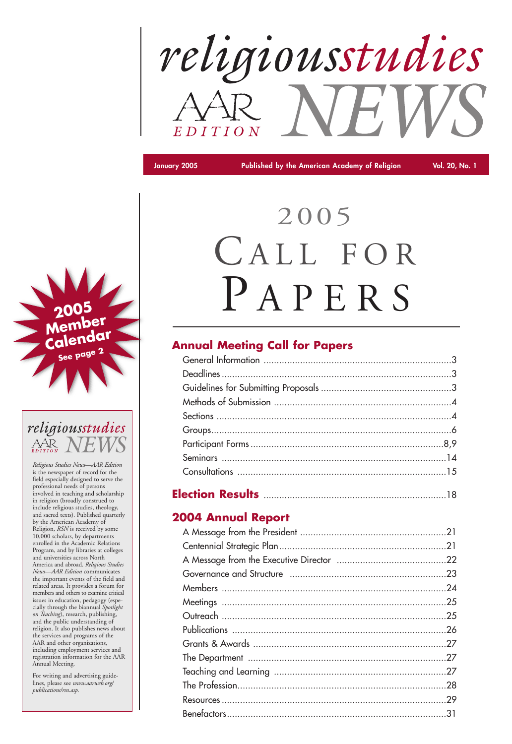

**January 2005 Published by the American Academy of Religion Vol. 20, No. 1**

# 2005 CALL FOR PAPERS

# **Annual Meeting Call for Papers**

|--|--|--|--|

# **2004 Annual Report**

*Religious Studies News—AAR Edition* is the newspaper of record for the field especially designed to serve the professional needs of persons involved in teaching and scholarship in religion (broadly construed to include religious studies, theology, and sacred texts). Published quarterly by the American Academy of Religion, *RSN* is received by some 10,000 scholars, by departments enrolled in the Academic Relations Program, and by libraries at colleges and universities across North America and abroad. *Religious Studies News—AAR Edition* communicates the important events of the field and

related areas. It provides a forum for members and others to examine critical issues in education, pedagogy (especially through the biannual *Spotlight on Teaching*), research, publishing, and the public understanding of religion. It also publishes news about the services and programs of the AAR and other organizations, including employment services and registration information for the AAR Annual Meeting.

For writing and advertising guidelines, please see *www.aarweb.org/ publications/rsn.asp.*



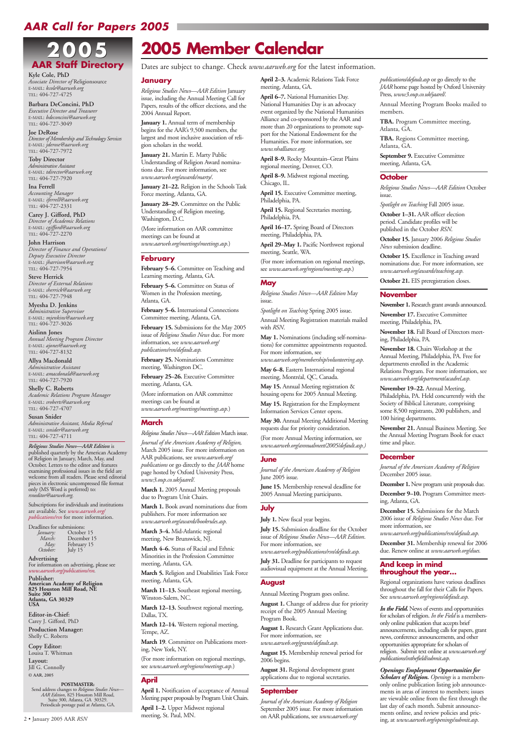#### **January**

*Religious Studies News—AAR Edition* January issue, including the Annual Meeting Call for Papers, results of the officer elections, and the 2004 Annual Report.

**January 1.** Annual term of membership begins for the AAR's 9,500 members, the largest and most inclusive association of religion scholars in the world.

January 28-29. Committee on the Public Understanding of Religion meeting, Washington, D.C.

**January 21.** Martin E. Marty Public Understanding of Religion Award nominations due. For more information, see *www.aarweb.org/awards/marty/*.

February 5–6. Committee on Teaching and Learning meeting, Atlanta, GA.

February 5–6. Committee on Status of Women in the Profession meeting, Atlanta, GA.

**January 21–22.** Religion in the Schools Task Force meeting, Atlanta, GA.

February 25-26. Executive Committee meeting, Atlanta, GA.

(More information on AAR committee meetings can be found at *www.aarweb.org/meetings/meetings.asp.*)

#### **February**

**February 5–6.** International Connections Committee meeting, Atlanta, GA.

**February 15.** Submissions for the May 2005 issue of *Religious Studies News* due. For more information, see *www.aarweb.org/ publications/rsn/default.asp.*

**February 25.** Nominations Committee meeting, Washington DC.

(More information on AAR committee meetings can be found at *www.aarweb.org/meetings/meetings.asp.*)

#### **March**

*Religious Studies News—AAR Edition* March issue.

*Journal of the American Academy of Religion,* March 2005 issue*.* For more information on AAR publications, see *www.aarweb.org/ publications* or go directly to the *JAAR* home page hosted by Oxford University Press, *www3.oup.co.uk/jaarel/.*

April 15. Executive Committee meeting, Philadelphia, PA.

**March 1.** 2005 Annual Meeting proposals due to Program Unit Chairs.

**March 1.** Book award nominations due from publishers. For more information see *www.aarweb.org/awards/bookrules.asp.*

**March 3–4.** Mid-Atlantic regional meeting, New Brunswick, NJ.

**March 4–6.** Status of Racial and Ethnic Minorities in the Profession Committee meeting, Atlanta, GA.

**March 5.** Religion and Disabilities Task Force meeting, Atlanta, GA.

**March 11–13.** Southeast regional meeting, Winston-Salem, NC.

**March 12–13.** Southwest regional meeting, Dallas, TX.

**March 12–14.** Western regional meeting, Tempe, AZ.

**March 19**. Committee on Publications meeting, New York, NY.

(For more information on regional meetings, see *www.aarweb.org/regions/meetings.asp.*)

#### **April**

**April 1.** Notification of acceptance of Annual Meeting paper proposals by Program Unit Chairs. **April 1–2.** Upper Midwest regional meeting, St. Paul, MN.

**April 2–3.** Academic Relations Task Force meeting, Atlanta, GA.

**April 6–7.** National Humanities Day. National Humanities Day is an advocacy event organized by the National Humanities Alliance and co-sponsored by the AAR and more than 20 organizations to promote support for the National Endowment for the Humanities. For more information, see *www.nhalliance.org.*

**April 8–9.** Rocky Mountain–Great Plains regional meeting, Denver, CO.

**April 8–9.** Midwest regional meeting, Chicago, IL.

**April 15.** Regional Secretaries meeting, Philadelphia, PA.

**April 16–17.** Spring Board of Directors meeting, Philadelphia, PA.

**April 29–May 1.** Pacific Northwest regional meeting, Seattle, WA.

(For more information on regional meetings, see *www.aarweb.org/regions/meetings.asp.*)

#### **May**

*Religious Studies News—AAR Edition* May issue.

*Spotlight on Teaching* Spring 2005 issue.

Annual Meeting Registration materials mailed with *RSN*.

**May 1.** Nominations (including self-nominations) for committee appointments requested. For more information, see

*www.aarweb.org/membership/volunteering.asp.*

**May 6–8.** Eastern International regional meeting, Montréal, QC, Canada.

*Openings: Employment Opportunities for Scholars of Religion. Openings* is a membersonly online publication listing job announcements in areas of interest to members; issues are viewable online from the first through the last day of each month. Submit announcements online, and review policies and pric-2 • January 2005 AAR *RSN* **Example 2006** Maximizes, St. Talas Maximizer 2006 AAR publications, see *www.aarweb.org* ing, at *www.aarweb.org/openings/submit.asp.* 

**May 15.** Annual Meeting registration & housing opens for 2005 Annual Meeting.

**May 15.** Registration for the Employment Information Services Center opens.

**May 30.** Annual Meeting Additional Meeting requests due for priority consideration.

(For more Annual Meeting information, see *www.aarweb.org/annualmeet/2005/default.asp.)*

#### **June**

*Journal of the American Academy of Religion* June 2005 issue*.*

**June 15.** Membership renewal deadline for 2005 Annual Meeting participants.

#### **July**

**July 1.** New fiscal year begins.

**July 15.** Submission deadline for the October issue of *Religious Studies News—AAR Edition*. For more information, see

*www.aarweb.org/publications/rsn/default.asp.*  **July 31.** Deadline for participants to request

audiovisual equipment at the Annual Meeting.

#### **August**

Annual Meeting Program goes online.

**August 1.** Change of address due for priority receipt of the 2005 Annual Meeting Program Book.

**August 1.** Research Grant Applications due. For more information, see *www.aarweb.org/grants/default.asp.*

**August 15.** Membership renewal period for 2006 begins.

**August 31.** Regional development grant applications due to regional secretaries.

#### **September**

*Journal of the American Academy of Religion* September 2005 issue*.* For more information on AAR publications, see *www.aarweb.org/*

*publications/default.asp* or go directly to the *JAAR* home page hosted by Oxford University Press, *www3.oup.co.uk/jaarel/.*

Annual Meeting Program Books mailed to members.

**TBA.** Program Committee meeting, Atlanta, GA.

**TBA.** Regions Committee meeting, Atlanta, GA.

**September 9.** Executive Committee meeting, Atlanta, GA.

#### **October**

*Religious Studies News—AAR Edition* October issue.

*Spotlight on Teaching* Fall 2005 issue.

**October 1–31.** AAR officer election period. Candidate profiles will be published in the October *RSN*.

**October 15.** January 2006 *Religious Studies News* submission deadline.

**October 15.** Excellence in Teaching award nominations due. For more information, see *www.aarweb.org/awards/teaching.asp.*

**October 21.** EIS preregistration closes.

#### **November**

**November 1.** Research grant awards announced.

**November 17.** Executive Committee meeting, Philadelphia, PA.

**November 18.** Fall Board of Directors meeting, Philadelphia, PA.

**November 18.** Chairs Workshop at the Annual Meeting, Philadelphia, PA. Free for departments enrolled in the Academic Relations Program. For more information, see *www.aarweb.org/department/acadrel.asp.*

**November 19–22.** Annual Meeting, Philadelphia, PA. Held concurrently with the Society of Biblical Literature, comprising some 8,500 registrants, 200 publishers, and 100 hiring departments.

**November 21.** Annual Business Meeting. See the Annual Meeting Program Book for exact time and place.

#### **December**

*Journal of the American Academy of Religion* December 2005 issue.

**December 1.** New program unit proposals due.

**December 9–10.** Program Committee meeting, Atlanta, GA.

**December 15.** Submissions for the March 2006 issue of *Religious Studies News* due. For more information, see

*www.aarweb.org/publications/rsn/default.asp.* **December 31.** Membership renewal for 2006

due. Renew online at *www.aarweb.org/dues.*

**And keep in mind throughout the year…**

Regional organizations have various deadlines throughout the fall for their Calls for Papers. See *www.aarweb.org/regions/default.asp.*

*In the Field.* News of events and opportunities for scholars of religion. *In the Field* is a membersonly online publication that accepts brief announcements, including calls for papers, grant news, conference announcements, and other opportunities appropriate for scholars of religion. Submit text online at *www.aarweb.org/ publications/inthefield/submit.asp*.

# *AAR Call for Papers 2005*

# **2005 Member Calendar**

Dates are subject to change. Check *www.aarweb.org* for the latest information.

# **2005 2005 AAR Staff Directory**

**Kyle Cole, PhD** *Associate Director of* Religionsource E-MAIL: *kcole@aarweb.org* TEL: 404-727-4725

**Barbara DeConcini, PhD** *Executive Director and Treasurer*  E-MAIL: *bdeconcini@aarweb.org* TEL: 404-727-3049

**Joe DeRose** *Director of Membership and Technology Services* E-MAIL: *jderose@aarweb.org* TEL: 404-727-7972

**Toby Director** *Administrative Assistant* E-MAIL: *tdirector@aarweb.org* TEL: 404-727-7920

**Ina Ferrell** *Accounting Manager*  E-MAIL: *iferrell@aarweb.org* TEL: 404-727-2331

**Carey J. Gifford, PhD** *Director of Academic Relations* E-MAIL: *cgifford@aarweb.org* TEL: 404-727-2270

**John Harrison** *Director of Finance and Operations/ Deputy Executive Director* E-MAIL: *jharrison@aarweb.org* TEL: 404-727-7954

**Steve Herrick** *Director of External Relations* E-MAIL: *sherrick@aarweb.org* TEL: 404-727-7948

**Myesha D. Jenkins** *Administrative Supervisor* E-MAIL: *mjenkins@aarweb.org* TEL: 404-727-3026

**Aislinn Jones**  *Annual Meeting Program Director* E-MAIL: *ajones@aarweb.org* TEL: 404-727-8132

**Allya Macdonald**  *Administrative Assistant* E-MAIL: *amacdonald@aarweb.org* TEL: 404-727-7920

**Shelly C. Roberts** *Academic Relations Program Manager* E-MAIL: *sroberts@aarweb.org* TEL: 404-727-4707

**Susan Snider** *Administrative Assistant, Media Referral* E-MAIL: *ssnider@aarweb.org* TEL: 404-727-4711

*Religious Studies News—AAR Edition* is published quarterly by the American Academy of Religion in January, March, May, and October. Letters to the editor and features examining professional issues in the field are welcome from all readers. Please send editorial pieces in electronic uncompressed file format only (MS Word is preferred) to: *rsneditor@aarweb.org.* 

Subscriptions for individuals and institutions are available. See *www.aarweb.org/ publications/rsn* for more information.

| Deadlines for submissions: |             |
|----------------------------|-------------|
| January:                   | October 15  |
| March:                     | December 15 |
| May:                       | February 15 |
| October:                   | July $15$   |
| <b>Advertising</b>         |             |

For information on advertising, please see *www.aarweb.org/publications/rsn.*

**Publisher: American Academy of Religion 825 Houston Mill Road, NE Suite 300 Atlanta, GA 30329 USA**

**Editor-in-Chief:** Carey J. Gifford, PhD **Production Manager:** Shelly C. Roberts

**Copy Editor:** Louisa T. Whitman

**Layout:** Jill G. Connolly

**© AAR, 2005**

#### **POSTMASTER:**

Send address changes to *Religious Studies News— AAR Edition*, 825 Houston Mill Road, Suite 300, Atlanta, GA 30329. Periodicals postage paid at Atlanta, GA.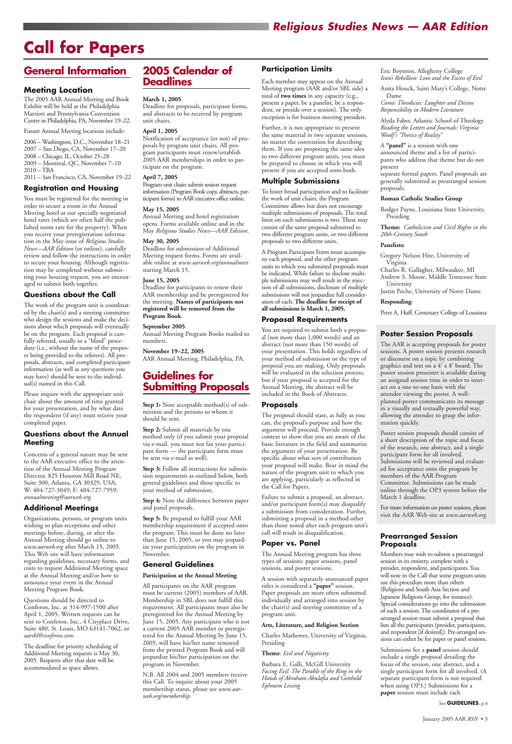# *Religious Studies News — AAR Edition*

# **General Information**

#### **Meeting Location**

The 2005 AAR Annual Meeting and Book Exhibit will be held at the Philadelphia Marriott and Pennsylvania Convention Center in Philadelphia, PA, November 19–22.

Future Annual Meeting locations include:

2006 – Washington, D.C., November 18–21 2007 – San Diego, CA, November 17–20 2008 – Chicago, IL, October 25–28 2009 – Montreal, QC, November 7–10 2010 – TBA 2011 – San Francisco, CA, November 19–22

### **Registration and Housing**

You must be registered for the meeting in order to secure a room in the Annual Meeting hotel at our specially negotiated hotel rates (which are often half the published room rate for the property). When you receive your preregistration information in the May issue of *Religious Studies News—AAR Edition* (or online), carefully review and follow the instructions in order to secure your housing. Although registration may be completed without submitting your housing request, you are encouraged to submit both together.

#### **Questions about the Call**

The work of the program unit is coordinated by the chair(s) and a steering committee who design the sessions and make the decisions about which proposals will eventually be on the program. Each proposal is carefully refereed, usually in a "blind" procedure (i.e., without the name of the proposer being provided to the referees). All proposals, abstracts, and completed participant information (as well as any questions you may have) should be sent to the individual(s) named in this Call.

Please inquire with the appropriate unit chair about the amount of time granted for your presentation, and by what date the respondent (if any) must receive your completed paper.

#### **Questions about the Annual Meeting**

Concerns of a general nature may be sent to the AAR executive office to the attention of the Annual Meeting Program Director, 825 Houston Mill Road NE, Suite 300, Atlanta, GA 30329, USA; W: 404-727-3049; F: 404-727-7959; *annualmeeting@aarweb.org.*

**Step 1:** Note acceptable method(s) of submission and the persons to whom it should be sent.

#### **Additional Meetings**

Organizations, persons, or program units wishing to plan receptions and other meetings before, during, or after the Annual Meeting should go online to *www.aarweb.org* after March 15, 2005. This Web site will have information regarding guidelines, necessary forms, and costs to request Additional Meeting space at the Annual Meeting and/or how to

announce your event in the Annual Meeting Program Book.

Questions should be directed to Conferon, Inc. at 314-997-1500 after April 1, 2005. Written requests can be sent to Conferon, Inc., 4 Cityplace Drive, Suite 480, St. Louis, MO 63141-7062, or *aarsbl@conferon.com*.

The deadline for priority scheduling of Additional Meeting requests is May 30, 2005. Requests after that date will be accommodated as space allows.

# **2005 Calendar of Deadlines**

#### **March 1, 2005**

Deadline for proposals, participant forms, and abstracts to be received by program unit chairs.

#### **April 1, 2005**

Notification of acceptance (or not) of proposals by program unit chairs. All program participants must renew/establish 2005 AAR memberships in order to participate on the program.

#### **April 7, 2005**

Program unit chairs submit session request information (Program Book copy, abstracts, participant forms) to AAR executive office online.

#### **May 15, 2005**

Annual Meeting and hotel registration opens. Forms available online and in the May *Religious Studies News—AAR Edition*.

#### **May 30, 2005**

Deadline for submission of Additional Meeting request forms. Forms are available online at *www.aarweb.org/annualmeet* starting March 15.

#### **June 15, 2005**

Deadline for participants to renew their AAR membership and be preregistered for the meeting. **Names of participants not registered will be removed from the Program Book**.

#### **September 2005**

Annual Meeting Program Books mailed to members.

#### **November 19–22, 2005**

AAR Annual Meeting, Philadelphia, PA.

# **Guidelines for Submitting Proposals**

**Step 2:** Submit all materials by one method only (if you submit your proposal via e-mail, you must not fax your participant form — the participant form must be sent via e-mail as well).

**Step 3:** Follow all instructions for submission requirements as outlined below, both general guidelines and those specific to your method of submission.

**Step 4:** Note the difference between paper and panel proposals.

**Step 5:** Be prepared to fulfill your AAR membership requirement if accepted onto the program. This must be done no later than June 15, 2005, or you may jeopardize your participation on the program in November.

#### **General Guidelines**

#### **Participation at the Annual Meeting**

All participants on the AAR program must be current (2005) members of AAR. Membership in SBL does not fulfill this requirement. All participants must also be preregistered for the Annual Meeting by June 15, 2005. Any participant who is not a current 2005 AAR member or preregistered for the Annual Meeting by June 15, 2005, will have his/her name removed from the printed Program Book and will jeopardize his/her participation on the program in November.

N.B. All 2004 and 2005 members receive this Call. To inquire about your 2005 membership status, please see *www.aarweb.org/membership.*

#### **Participation Limits**

Each member may appear on the Annual Meeting program (AAR and/or SBL side) a total of **two times** in any capacity (e.g., present a paper, be a panelist, be a respondent, or preside over a session). The only exception is for business meeting presiders.

Further, it is not appropriate to present the same material in two separate sessions, no matter the convention for describing them. If you are proposing the same idea to two different program units, you must be prepared to choose in which you will present if you are accepted onto both.

#### **Multiple Submissions**

To foster broad participation and to facilitate the work of unit chairs, the Program Committee allows but does not encourage multiple submissions of proposals. The total limit on such submissions is two. These may consist of the same proposal submitted to two different program units, or two different proposals to two different units.

A Program Participant Form must accompany each proposal, and the other program units to which you submitted proposals must be indicated. While failure to disclose multiple submissions may well result in the rejection of all submissions, disclosure of multiple submissions will not jeopardize full consideration of each. **The deadline for receipt of all submissions is March 1, 2005.**

#### **Proposal Requirements**

You are required to submit both a proposal (not more than 1,000 words) and an abstract (not more than 150 words) of your presentation. This holds regardless of your method of submission or the type of proposal you are making. Only proposals will be evaluated in the selection process, but if your proposal is accepted for the Annual Meeting, the abstract will be included in the Book of Abstracts.

#### **Proposals**

The proposal should state, as fully as you can, the proposal's purpose and how the argument will proceed. Provide enough context to show that you are aware of the basic literature in the field and summarize the argument of your presentation. Be specific about what sort of contribution your proposal will make. Bear in mind the nature of the program unit to which you are applying, particularly as reflected in the Call for Papers.

Failure to submit a proposal, an abstract, and/or participant form(s) may disqualify a submission from consideration. Further, submitting a proposal in a method other than those noted after each program unit's call will result in disqualification.

#### **Paper vs. Panel**

The Annual Meeting program has three types of sessions: paper sessions, panel sessions, and poster sessions.

A session with separately announced paper

titles is considered a **"paper"** session. Paper proposals are more often submitted individually and arranged into session by the chair(s) and steering committee of a program unit.

#### **Arts, Literature, and Religion Section**

Charles Mathewes, University of Virginia, Presiding

#### **Theme**: *Evil and Negativity*

Barbara E. Galli, McGill University *Facing Evil: The Parable of the Ring in the Hands of Abraham Abulafia and Gotthold Ephraim Lessing*

Eric Boynton, Allegheny College *Ivan's Rebellion: Love and the Excess of Evil*

Anita Houck, Saint Mary's College, Notre Dame

*Comic Theodicies: Laughter and Divine Responsibility in Modern Literature*

Alyda Faber, Atlantic School of Theology *Reading the Letters and Journals: Virginia Woolf's "Poetics of Reality"*

A **"panel"** is a session with one announced theme and a list of participants who address that theme but do not present

separate formal papers. Panel proposals are generally submitted as prearranged session proposals.

#### **Roman Catholic Studies Group**

Rodger Payne, Louisiana State University, Presiding

**Theme:** *Catholicism and Civil Rights in the 20th-Century South*

#### **Panelists:**

Gregory Nelson Hite, University of Virginia

Charles R. Gallagher, Milwaukee, MI

Andrew S. Moore, Middle Tennessee State University

Justin Poche, University of Notre Dame

#### **Responding**:

Peter A. Huff, Centenary College of Lousiana

#### **Poster Session Proposals**

The AAR is accepting proposals for poster sessions. A poster session presents research or discourse on a topic by combining graphics and text on a 4' x 8' board. The poster session presenter is available during an assigned session time in order to interact on a one-to-one basis with the attendee viewing the poster. A wellplanned poster communicates its message in a visually and textually powerful way, allowing the attendee to grasp the information quickly.

Poster session proposals should consist of a short description of the topic and focus of the research, one abstract, and a single participant form for all involved. Submissions will be reviewed and evaluated for acceptance onto the program by members of the AAR Program Committee. Submissions can be made online through the OP3 system before the March 1 deadline.

For more information on poster sessions, please visit the AAR Web site at *www.aarweb.org.*

#### **Prearranged Session Proposals**

Members may wish to submit a prearranged session in its entirety, complete with a presider, respondent, and participants. You will note in the Call that some program units use this procedure more than others (Religions and South Asia Section and Japanese Religions Group, for instance). Special considerations go into the submission of such a session. The coordinator of a prearranged session must submit a proposal that lists all the participants (presider, participants, and respondent [if desired]). Pre-arranged sessions can either be for paper or panel sessions.

Submissions for a **panel** session should include a single proposal detailing the focus of the session, one abstract, and a single participant form for all involved. (A separate participant form is not required when using OP3.) Submissions for a **paper** session must include each

See **GUIDELINES**, p.4

# **Call for Papers**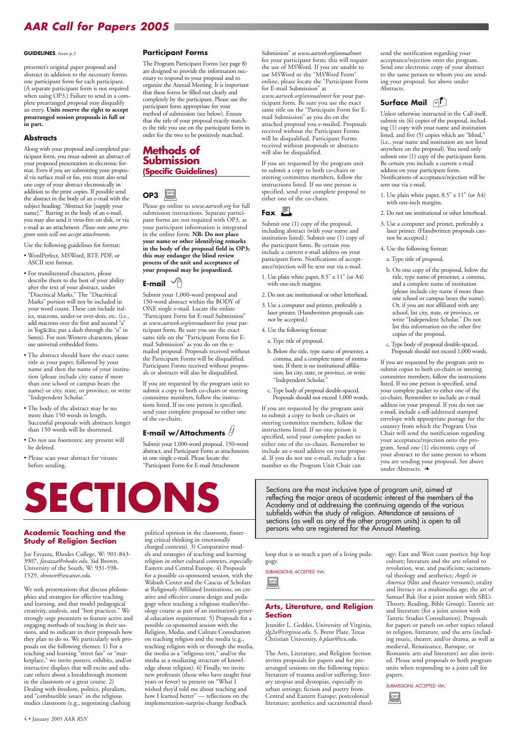**Academic Teaching and the Study of Religion Section**

Joe Favazza, Rhodes College, W: 901-843- 3907, *favazza@rhodes.edu*. Sid Brown, University of the South, W: 931-598-

1529, *sbrown@sewanee.edu*.

We seek presentations that discuss philosophies and strategies for effective teaching and learning, and that model pedagogical creativity, analysis, and "best practices." We strongly urge presenters to feature active and engaging methods of teaching in their sessions, and to indicate in their proposals how they plan to do so. We particularly seek proposals on the following themes: 1) For a teaching and learning "street fair" or "marketplace," we invite posters, exhibits, and/or interactive displays that will excite and educate others about a breakthrough moment in the classroom or a great course. 2) Dealing with freedom, politics, pluralism, and "combustible issues" in the religious studies classroom (e.g., negotiating clashing

political opinion in the classroom, fostering critical thinking in emotionally charged contexts). 3) Comparative models and strategies of teaching and learning religion in other cultural contexts, especially Eastern and Central Europe. 4) Proposals for a possible co-sponsored session, with the

Wabash Center and the Caucus of Scholars at Religiously Affiliated Institutions, on creative and effective course design and pedagogy when teaching a religious studies/theology course as part of an institution's general education requirement. 5) Proposals for a possible co-sponsored session with the Religion, Media, and Culture Consultation on teaching religion and the media (e.g., teaching religion with or through the media, the media as a "religious text," and/or the media as a mediating structure of knowledge about religion). 6) Finally, we invite new professors (those who have taught four years or fewer) to present on "What I wished they'd told me about teaching and how I learned better" — reflections on the implementation-surprise-change feedback

Sections are the most inclusive type of program unit, aimed at reflecting the major areas of academic interest of the members Academy and at addressing the continuing agenda of the varia reflecting the major areas of academic interest of the members of the Academy and at addressing the continuing agenda of the various subfields within the study of religion. Attendance at sessions of sections (as well as any of the other program units) is open to all persons who are registered for the Annual Meeting.

> loop that is so much a part of a living pedagogy.

SUBMISSIONS ACCEPTED VIA:

#### **Arts, Literature, and Religion Section**

Jennifer L. Geddes, University of Virginia, *jlg2u@virginia.edu*. S. Brent Plate, Texas Christian University, *b.plate@tcu.edu*.

The Arts, Literature, and Religion Section invites proposals for papers and for prearranged sessions on the following topics: literature of trauma and/or suffering; literary utopias and dystopias, especially in urban settings; fiction and poetry from Central and Eastern Europe; postcolonial literature; aesthetics and sacramental theol-



ogy; East and West coast poetics; hip hop culture; literature and the arts related to revolution, war, and pacificism; sacramental theology and aesthetics; *Angels in America* (film and theater versions); orality and literacy in a multimedia age; the art of Samuel Bak (for a joint session with SBL's Theory, Reading, Bible Group); Tantric art and literature (for a joint session with Tantric Studies Consultation). Proposals for papers or panels on other topics related to religion, literature, and the arts (including music, theater, and/or drama, as well as medieval, Renaissance, Baroque, or Romantic arts and literature) are also invited. Please send proposals to both program units when responding to a joint call for papers.

#### SUBMISSIONS ACCEPTED VIA:



#### **GUIDELINES**, from p.3

presenter's original paper proposal and abstract in addition to the necessary forms; one participant form for each participant. (A separate participant form is not required when using OP3.) Failure to send in a complete prearranged proposal may disqualify an entry. **Units reserve the right to accept prearranged session proposals in full or in part.**

#### **Abstracts**

Along with your proposal and completed participant form, you must submit an abstract of your proposed presentation in electronic format. Even if you are submitting your proposal via surface mail or fax, you must also send one copy of your abstract electronically in addition to the print copies. If possible send the abstract in the body of an e-mail with the subject heading: "Abstract for [supply your name]." Barring in the body of an e-mail, you may also send it virus-free on disk, or via e-mail as an attachment. *Please note some program units will not accept attachment*s.

Use the following guidelines for format:

- WordPerfect, MSWord, RTF, PDF, or ASCII text format.
- For transliterated characters, please describe them to the best of your ability after the text of your abstract, under "Diacritical Marks." The "Diacritical Marks" portion will not be included in your word count. These can include italics, macrons, under-or over-dots, etc. (i.e., add macrons over the first and second "a" in Yogacara; put a slash through the "o" in Søren). For non-Western characters, please use universal embedded fonts.
- The abstract should have the exact same title as your paper, followed by your name and then the name of your institution (please include city name if more than one school or campus bears the name) or city, state, or province, or write "Independent Scholar."
- The body of the abstract may be no more than 150 words in length. Successful proposals with abstracts longer than 150 words will be shortened.
- Do not use footnotes; any present will be deleted.

• Please scan your abstract for viruses before sending.

#### **Participant Forms**

The Program Participant Forms (see page 8) are designed to provide the information necessary to respond to your proposal and to organize the Annual Meeting. It is important that these forms be filled out clearly and completely by the participant. Please use the participant form appropriate for your method of submission (see below). Ensure that the title of your proposal exactly matches the title you use on the participant form in order for the two to be positively matched.

## **Methods of Submission (Specific Guidelines)**

Please go online to *www.aarweb.org* for full submission instructions. Separate participant forms are not required with OP3, as your participant information is integrated in the online form. **NB: Do not place your name or other identifying remarks in the body of the proposal field in OP3; this may endanger the blind review process of the unit and acceptance of your proposal may be jeopardized.** 

#### **E-mail**  $\sqrt{a}$

Submit your 1,000-word proposal and 150-word abstract within the BODY of ONE single e-mail. Locate the online "Participant Form for E-mail Submission" at *www.aarweb.org/annualmeet* for your participant form. Be sure you use the exact same title on the "Participant Form for Email Submission" as you do on the emailed proposal. Proposals received without the Participant Forms will be disqualified. Participant Forms received without proposals or abstracts will also be disqualified.

If you are requested by the program unit to submit a copy to both co-chairs or steering committee members, follow the instructions listed. If no one person is specified, send your complete proposal to either one of the co-chairs.

# **E-mail w/Attachments**

Submit your 1,000-word proposal, 150-word abstract, and Participant Form as attachments in one single e-mail. Please locate the "Participant Form for E-mail Attachment

Submission" at *www.aarweb.org/annualmeet* for your participant form; this will require the use of MSWord. If you are unable to use MSWord or the "MSWord Form" online, please locate the "Participant Form for E-mail Submission" at *www.aarweb.org/annualmeet* for your participant form. Be sure you use the exact same title on the "Participant Form for Email Submission" as you do on the attached proposal you e-mailed. Proposals received without the Participant Forms will be disqualified. Participant Forms received without proposals or abstracts will also be disqualified.

If you are requested by the program unit to submit a copy to both co-chairs or steering committee members, follow the instructions listed. If no one person is specified, send your complete proposal to either one of the co-chairs.

# Fax  $\blacksquare$

Submit one (1) copy of the proposal, including abstract (with your name and institution listed). Submit one (1) copy of the participant form. Be certain you include a current e-mail address on your participant form. Notifications of acceptance/rejection will be sent out via e-mail.

- 1. Use plain white paper, 8.5" x 11" (or A4) with one-inch margins.
- 2. Do not use institutional or other letterhead.
- 3. Use a computer and printer, preferably a laser printer. (Handwritten proposals cannot be accepted.)
- 4. Use the following format:
	- a. Type title of proposal.
	- b. Below the title, type name of presenter, a comma, and a complete name of institution. If there is no institutional affiliation, list city, state, or province, or write "Independent Scholar."
	- c. Type body of proposal double-spaced. Proposals should not exceed 1,000 words.

#### **OP3**   $\begin{array}{c}\n\boxed{OP3} \\
\hline\n\end{array}$ OP3

If you are requested by the program unit to submit a copy to both co-chairs or steering committee members, follow the instructions listed. If no one person is specified, send your complete packet to either one of the co-chairs. Remember to include an e-mail address on your proposal. If you do not use e-mail, include a fax number so the Program Unit Chair can

send the notification regarding your acceptance/rejection onto the program. Send one electronic copy of your abstract to the same person to whom you are sending your proposal. See above under Abstracts.

## **Surface Mail**  $\bigcap$

Unless otherwise instructed in the Call itself, submit six (6) copies of the proposal, including (1) copy with your name and institution listed, and five (5) copies which are "blind," (i.e., your name and institution are not listed anywhere on the proposal). You need only submit one (1) copy of the participant form. Be certain you include a current e-mail address on your participant form. Notifications of acceptance/rejection will be sent out via e-mail.

- 1. Use plain white paper, 8.5" x 11" (or A4) with one-inch margins.
- 2. Do not use institutional or other letterhead.
- 3. Use a computer and printer, preferably a laser printer. (Handwritten proposals cannot be accepted.)
- 4. Use the following format:
- a. Type title of proposal.
- b. On one copy of the proposal, below the title, type name of presenter, a comma, and a complete name of institution (please include city name if more than one school or campus bears the name). Or, if you are not affiliated with any school, list city, state, or province, or write "Independent Scholar." Do not list this information on the other five copies of the proposal.
- c. Type body of proposal double-spaced. Proposals should not exceed 1,000 words.

If you are requested by the program unit to submit copies to both co-chairs or steering committee members, follow the instructions listed. If no one person is specified, send your complete packet to either one of the co-chairs. Remember to include an e-mail address on your proposal. If you do not use e-mail, include a self-addressed stamped envelope with appropriate postage for the country from which the Program Unit Chair will send the notification regarding your acceptance/rejection onto the program. Send one (1) electronic copy of your abstract to the same person to whom you are sending your proposal. See above under Abstracts. ❧

4 • January 2005 AAR *RSN*

# *AAR Call for Papers 2005*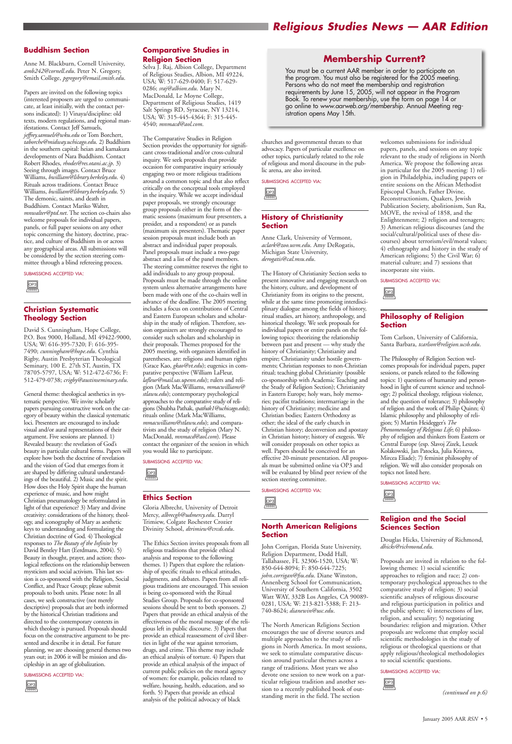#### **Buddhism Section**

Anne M. Blackburn, Cornell University, *amb242@cornell.edu*. Peter N. Gregory, Smith College, *pgregory@email.smith.edu*.

Papers are invited on the following topics (interested proposers are urged to communicate, at least initially, with the contact persons indicated): 1) Vinaya/discipline: old texts, modern regulations, and regional manifestations. Contact Jeff Samuels, *jeffrey.samuels@wku.edu* or Tom Borchert, *taborche@midway.uchicago.edu*. 2) Buddhism in the southern capital: heian and kamakura developments of Nara Buddhism. Contact Robert Rhodes, *rhodes@res.otani.ac.jp*. 3) Seeing through images. Contact Bruce Williams, *bwilliam@library.berkeley.edu*. 4) Rituals across traditions. Contact Bruce Williams, *bwilliam@library.berkeley.edu*. 5) The demonic, saints, and death in Buddhism. Contact Mariko Walter, *mnwalter@ptd.net*. The section co-chairs also welcome proposals for individual papers, panels, or full paper sessions on any other topic concerning the history, doctrine, practice, and culture of Buddhism in or across any geographical areas. All submissions will be considered by the section steering committee through a blind refereeing process.

SUBMISSIONS ACCEPTED VIA:

#### **Christian Systematic Theology Section**

David S. Cunningham, Hope College, P.O. Box 9000, Holland, MI 49422-9000, USA; W: 616-395-7320; F: 616-395- 7490; *cunningham@hope.edu*. Cynthia Rigby, Austin Presbyterian Theological Seminary, 100 E. 27th ST, Austin, TX 78705-5797, USA; W: 512-472-6736; F: 512-479-0738; *crigby@austinseminary.edu*.

General theme: theological aesthetics in systematic perspective. We invite scholarly papers pursuing constructive work on the category of beauty within the classical systematic loci. Presenters are encouraged to include visual and/or aural representations of their argument. Five sessions are planned. 1) Revealed beauty: the revelation of God's beauty in particular cultural forms. Papers will explore how both the doctrine of revelation and the vision of God that emerges from it are shaped by differing cultural understandings of the beautiful. 2) Music and the spirit. How does the Holy Spirit shape the human experience of music, and how might Christian pneumatology be reformulated in light of that experience? 3) Mary and divine creativity: considerations of the history, theology, and iconography of Mary as aesthetic keys to understanding and formulating the Christian doctrine of God. 4) Theological responses to *The Beauty of the Infinite* by David Bentley Hart (Eerdmans, 2004). 5) Beauty in thought, prayer, and action: theological reflections on the relationship between mysticism and social activism. This last session is co-sponsored with the Religion, Social

Conflict, and Peace Group; please submit proposals to both units. Please note: In all cases, we seek constructive (not merely descriptive) proposals that are both informed by the historical Christian traditions and directed to the contemporary contexts in which theology is pursued. Proposals should focus on the constructive argument to be presented and describe it in detail. For future planning, we are choosing general themes two years out; in 2006 it will be mission and discipleship in an age of globalization.

#### SUBMISSIONS ACCEPTED VIA:

#### **Comparative Studies in Religion Section**

Selva J. Raj, Albion College, Department of Religious Studies, Albion, MI 49224, USA; W: 517-629-0400; F: 517-629- 0286; *sraj@albion.edu*. Mary N. MacDonald, Le Moyne College, Department of Religious Studies, 1419 Salt Springs RD, Syracuse, NY 13214, USA; W: 315-445-4364; F: 315-445- 4540; *mnmacd@aol.com*.

The Comparative Studies in Religion Section provides the opportunity for significant cross-traditional and/or cross-cultural inquiry. We seek proposals that provide occasion for comparative inquiry seriously engaging two or more religious traditions around a common topic and that also reflect critically on the conceptual tools employed in the inquiry. While we accept individual paper proposals, we strongly encourage group proposals either in the form of thematic sessions (maximum four presenters, a presider, and a respondent) or as panels (maximum six presenters). Thematic paper session proposals must include both an abstract and individual paper proposals. Panel proposals must include a two-page abstract and a list of the panel members. The steering committee reserves the right to add individuals to any group proposal. Proposals must be made through the online system unless alternative arrangements have been made with one of the co-chairs well in advance of the deadline. The 2005 meeting includes a focus on contributions of Central and Eastern European scholars and scholarship in the study of religion. Therefore, session organizers are strongly encouraged to consider such scholars and scholarship in their proposals. Themes proposed for the 2005 meeting, with organizers identified in parentheses, are: religions and human rights (Grace Kao, *gkao@vt.edu*); eugenics in comparative perspective (William LaFleur, *lafleur@mail.sas.upenn.edu*); rulers and religion (Mark MacWilliams, *mmacwilliams@ stlawu.edu*); contemporary psychological approaches to the comparative study of religions (Shubha Pathak, *spathak1@uchicago.edu*); rituals online (Mark MacWilliams, *mmacwilliams@stlawu.edu*); and comparativists and the study of religion (Mary N. MacDonald, *mnmacd@aol.com*). Please contact the organizer of the session in which you would like to participate.

SUBMISSIONS ACCEPTED VIA:

#### **Ethics Section**

Gloria Albrecht, University of Detroit Mercy, *albrecgh@udmercy.edu*. Darryl Trimiew, Colgate Rochester Crozier Divinity School, *dtrimiew@crcds.edu*.

The Ethics Section invites proposals from all religious traditions that provide ethical analysis and response to the following themes. 1) Papers that explore the relationship of specific rituals to ethical attitudes, judgments, and debates. Papers from all religious traditions are encouraged. This session is being co-sponsored with the Ritual Studies Group. Proposals for co-sponsored sessions should be sent to both sponsors. 2) Papers that provide an ethical analysis of the effectiveness of the moral message of the religious left in public discourse. 3) Papers that provide an ethical reassessment of civil liberties in light of the war against terrorism, drugs, and crime. This theme may include an ethical analysis of torture. 4) Papers that provide an ethical analysis of the impact of current public policies on the moral agency of women: for example, policies related to welfare, housing, health, education, and so forth. 5) Papers that provide an ethical analysis of the political advocacy of black



churches and governmental threats to that advocacy. Papers of particular excellence on other topics, particularly related to the role of religious and moral discourse in the public arena, are also invited.

SUBMISSIONS ACCEPTED VIA:

 $\boxed{\text{OP3}}$ 

#### **History of Christianity Section**

Anne Clark, University of Vermont, *aclark@zoo.uvm.edu*. Amy DeRogatis, Michigan State University, *derogatis@cal.msu.edu*.

The History of Christianity Section seeks to present innovative and engaging research on the history, culture, and development of Christianity from its origins to the present, while at the same time promoting interdisciplinary dialogue among the fields of history, ritual studies, art history, anthropology, and historical theology. We seek proposals for individual papers or entire panels on the following topics: theorizing the relationship between past and present — why study the history of Christianity; Christianity and empire; Christianity under hostile governments; Christian responses to non-Christian ritual; teaching global Christianity (possible co-sponsorship with Academic Teaching and the Study of Religion Section); Christianity in Eastern Europe; holy wars, holy memories; pacifist traditions; intermarriage in the history of Christianity; medicine and Christian bodies; Eastern Orthodoxy as other; the ideal of the early church in Christian history; deconversion and apostasy in Christian history; history of exegesis. We will consider proposals on other topics as well. Papers should be conceived for an effective 20-minute presentation. All proposals must be submitted online via OP3 and will be evaluated by blind peer review of the section steering committee.

SUBMISSIONS ACCEPTED VIA:

# $\boxed{\text{OP3}}$

#### **North American Religions Section**



John Corrigan, Florida State University, Religion Department, Dodd Hall, Tallahassee, FL 32306-1520, USA; W: 850-644-8094; F: 850-644-7225; *john.corrigan@fsu.edu*. Diane Winston, Annenberg School for Communication, University of Southern California, 3502 Watt WAY, 332B Los Angeles, CA 90089- 0281, USA; W: 213-821-5388; F: 213- 740-8624; *dianewin@usc.edu*.

The North American Religions Section encourages the use of diverse sources and multiple approaches to the study of religions in North America. In most sessions, we seek to stimulate comparative discussion around particular themes across a range of traditions. Most years we also devote one session to new work on a particular religious tradition and another session to a recently published book of outstanding merit in the field. The section

welcomes submissions for individual papers, panels, and sessions on any topic relevant to the study of religions in North America. We propose the following areas in particular for the 2005 meeting: 1) religion in Philadelphia, including papers or entire sessions on the African Methodist Episcopal Church, Father Divine, Reconstructionism, Quakers, Jewish Publication Society, abolitionism, Sun Ra, MOVE, the revival of 1858, and the Enlightenment; 2) religion and teenagers; 3) American religious discourses (and the social/cultural/political uses of these discourses) about terrorism/evil/moral values; 4) ethnography and history in the study of American religions; 5) the Civil War; 6) material culture; and 7) sessions that incorporate site visits.

SUBMISSIONS ACCEPTED VIA:

#### **Philosophy of Religion Section**

Tom Carlson, University of California, Santa Barbara, *tcarlson@religion.ucsb.edu*.

The Philosophy of Religion Section welcomes proposals for individual papers, paper sessions, or panels related to the following topics: 1) questions of humanity and personhood in light of current science and technology; 2) political theology, religious violence, and the question of tolerance; 3) philosophy of religion and the work of Philip Quinn; 4) Islamic philosophy and philosophy of religion; 5) Martin Heidegger's *The Phenomenology of Religious Life*; 6) philosophy of religion and thinkers from Eastern or Central Europe (esp. Slavoj Zizek, Leszek Kolakowski, Jan Patocka, Julia Kristeva, Mircea Eliade); 7) feminist philosophy of religion. We will also consider proposals on topics not listed here.



SUBMISSIONS ACCEPTED VIA:

#### **Religion and the Social Sciences Section**

Douglas Hicks, University of Richmond, *dhicks@richmond.edu*.



Proposals are invited in relation to the following themes: 1) social scientific approaches to religion and race; 2) contemporary psychological approaches to the comparative study of religion; 3) social scientific analyses of religious discourse and religious participation in politics and the public sphere; 4) intersections of law, religion, and sexuality; 5) negotiating boundaries: religion and migration. Other proposals are welcome that employ social scientific methodologies in the study of religious or theological questions or that apply religious/theological methodologies to social scientific questions.

SUBMISSIONS ACCEPTED VIA:

*(continued on p.6)*



January 2005 AAR *RSN* • 5

# *Religious Studies News — AAR Edition*

### **Membership Current?**

You must be a current AAR member in order to participate on the program. You must also be registered for the 2005 meeting. Persons who do not meet the membership and registration requirements by June 15, 2005, will not appear in the Program Book. To renew your membership, use the form on page 14 or go online to *www.aarweb.org/membership*. Annual Meeting registration opens May 15th.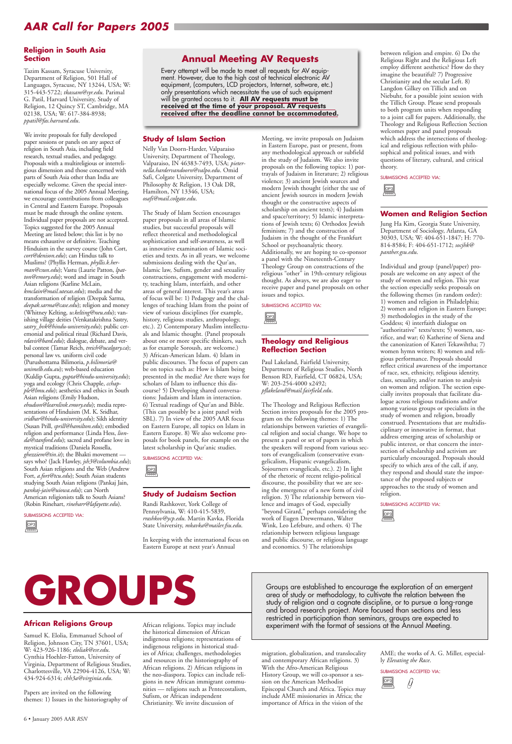# *AAR Call for Papers 2005*

#### **African Religions Group**

Samuel K. Elolia, Emmanuel School of Religion, Johnson City, TN 37601, USA; W: 423-926-1186; *eloliak@esr.edu*. Cynthia Hoehler-Fatton, University of Virginia, Department of Religious Studies, Charlottesville, VA 22904-4126, USA; W: 434-924-6314; *chh3a@virginia.edu*.

Papers are invited on the following themes: 1) Issues in the historiography of African religions. Topics may include the historical dimension of African indigenous religions; representations of indigenous religions in historical studies of Africa; challenges, methodologies and resources in the historiography of African religions. 2) African religions in the neo-diaspora. Topics can include religions in new African immigrant communities — religions such as Pentecostalism, Sufism, or African independent Christianity. We invite discussion of

Groups are established to encourage the exploration of an emergent<br>area of study or methodology, to cultivate the relation between the<br>study of religion and a cognate discipline, or to pursue a long-range<br>and broad researc area of study or methodology, to cultivate the relation between the study of religion and a cognate discipline, or to pursue a long-range and broad research project. More focused than sections and less restricted in participation than seminars, groups are expected to experiment with the format of sessions at the Annual Meeting.

> migration, globalization, and translocality and contemporary African religions. 3) With the Afro-American Religious History Group, we will co-sponsor a session on the American Methodist Episcopal Church and Africa. Topics may include AME missionaries in Africa; the importance of Africa in the vision of the

AME; the works of A. G. Miller, especially *Elevating the Race*.

SUBMISSIONS ACCEPTED VIA:



#### **Religion in South Asia Section**

Tazim Kassam, Syracuse University, Department of Religion, 501 Hall of Languages, Syracuse, NY 13244, USA; W: 315-443-5722; *tkassam@syr.edu*. Parimal G. Patil, Harvard University, Study of Religion, 12 Quincy ST, Cambridge, MA 02138, USA; W: 617-384-8938; *ppatil@fas.harvard.edu*.

We invite proposals for fully developed paper sessions or panels on any aspect of religion in South Asia, including field research, textual studies, and pedagogy. Proposals with a multireligious or interreligious dimension and those concerned with parts of South Asia other than India are especially welcome. Given the special international focus of the 2005 Annual Meeting, we encourage contributions from colleagues in Central and Eastern Europe. Proposals must be made through the online system. Individual paper proposals are not accepted. Topics suggested for the 2005 Annual Meeting are listed below; this list is by no means exhaustive or definitive. Teaching Hinduism in the survey course (John Cort, *cort@denison.edu*); can Hindus talk to Muslims? (Phyllis Herman, *phyllis.k.herman@csun.edu*); Vastu (Laurie Patton, *lpatton@emory.edu*); word and image in South Asian religions (Karline McLain, *kmclain@mail.utexas.edu*); media and the transformation of religion (Deepak Sarma, *deepak.sarma@case.edu*); religion and money (Whitney Kelting, *w.kelting@neu.edu*); vanishing village deities (Venkatakrishna Sastry, *sastry\_bvk@hindu-university.edu*); public ceremonial and political ritual (Richard Davis, *rdavis@bard.edu*); dialogue, debate, and verbal contest (Tamar Reich, *treich@ucalgary.ca*); personal law vs. uniform civil code (Purushottama Bilimoria, *p.bilimoria@ unimelb.edu.au*); web-based education (Kuldip Gupta, *gupta@hindu-university.edu*); yoga and ecology (Chris Chapple, *cchapple@lmu.edu*); aesthetics and ethics in South Asian religions (Emily Hudson, *ehudson@learnlink.emory.edu*); media representations of Hinduism (M. K. Sridhar, *sridhar@hindu-university.edu*); Sikh identity (Susan Prill, *sprill@hamilton.edu*); embodied religion and performance (Linda Hess, *lionda@stanford.edu*); sacred and profane love in mystical traditions (Daniela Rossella, *ghezziem@tin.it*); the Bhakti movement says who? (Jack Hawley, *jsh3@columbia.edu*); South Asian religions and the Web (Andrew Fort, *a.fort@tcu.edu*); South Asian students studying South Asian religions (Pankaj Jain, *pankaj-jain@uiowa.edu*); can North American religionists talk to South Asians? (Robin Rinehart, *rineharr@lafayette.edu*).

SUBMISSIONS ACCEPTED VIA:

#### **Study of Islam Section**

Nelly Van Doorn-Harder, Valparaiso University, Department of Theology, Valparaiso, IN 46383-7493, USA; *pieternella.hardervandoorn@valpo.edu*. Omid Safi, Colgate University, Department of Philosophy & Religion, 13 Oak DR, Hamilton, NY 13346, USA; *osafi@mail.colgate.edu*.

The Study of Islam Section encourages paper proposals in all areas of Islamic studies, but successful proposals will reflect theoretical and methodological sophistication and self-awareness, as well as innovative examination of Islamic societies and texts. As in all years, we welcome submissions dealing with the Qur'an, Islamic law, Sufism, gender and sexuality constructions, engagement with modernity, teaching Islam, interfaith, and other areas of general interest. This year's areas of focus will be: 1) Pedagogy and the challenges of teaching Islam from the point of view of various disciplines (for example, history, religious studies, anthropology, etc.). 2) Contemporary Muslim intellectuals and Islamic thought. (Panel proposals about one or more specific thinkers, such as for example Soroush, are welcome.) 3) African-American Islam. 4) Islam in public discourses. The focus of papers can be on topics such as: How is Islam being presented in the media? Are there ways for scholars of Islam to influence this discourse? 5) Developing shared conversations: Judaism and Islam in interaction. 6) Textual readings of Qur'an and Bible. (This can possibly be a joint panel with SBL). 7) In view of the 2005 AAR focus on Eastern Europe, all topics on Islam in Eastern Europe. 8) We also welcome proposals for book panels, for example on the latest scholarship in Qur'anic studies.

SUBMISSIONS ACCEPTED VIA:

#### **Study of Judaism Section**

Randi Rashkover, York College of Pennsylvania, W: 410-415-5839, *rrashkov@ycp.edu*. Martin Kavka, Florida State University, *mkavka@mailer.fsu.edu*.

In keeping with the international focus on Eastern Europe at next year's Annual

Meeting, we invite proposals on Judaism in Eastern Europe, past or present, from any methodological approach or subfield in the study of Judaism. We also invite proposals on the following topics: 1) portrayals of Judaism in literature; 2) religious violence; 3) ancient Jewish sources and modern Jewish thought (either the use of ancient Jewish sources in modern Jewish thought or the constructive aspects of scholarship on ancient texts); 4) Judaism and space/territory; 5) Islamic interpretations of Jewish texts; 6) Orthodox Jewish feminism; 7) and the construction of Judaism in the thought of the Frankfurt School or psychoanalytic theory. Additionally, we are hoping to co-sponsor a panel with the Nineteenth-Century Theology Group on constructions of the religious "other" in 19th-century religious thought. As always, we are also eager to receive paper and panel proposals on other issues and topics.

#### SUBMISSIONS ACCEPTED VIA:

#### **Theology and Religious Reflection Section**

Paul Lakeland, Fairfield University, Department of Religious Studies, North Benson RD, Fairfield, CT 06824, USA; W: 203-254-4000 x2492; *pflakeland@mail.fairfield.edu*.



The Theology and Religious Reflection Section invites proposals for the 2005 program on the following themes: 1) The relationships between varieties of evangelical religion and social change. We hope to present a panel or set of papers in which the speakers will respond from various sectors of evangelicalism (conservative evangelicalism, Hispanic evangelicalism, Sojourners evangelicals, etc.). 2) In light of the rhetoric of recent religio-political discourse, the possibility that we are seeing the emergence of a new form of civil religion. 3) The relationship between violence and images of God, especially "beyond Girard," perhaps considering the work of Eugen Drewermann, Walter Wink, Leo Lefebure, and others. 4) The relationship between religious language and public discourse, or religious language and economics. 5) The relationships



between religion and empire. 6) Do the Religious Right and the Religious Left employ different aesthetics? How do they imagine the beautiful? 7) Progressive Christianity and the secular Left. 8) Langdon Gilkey on Tillich and on Niebuhr, for a possible joint session with the Tillich Group. Please send proposals to both program units when responding to a joint call for papers. Additionally, the Theology and Religious Reflection Section welcomes paper and panel proposals which address the intersections of theological and religious reflection with philosophical and political issues, and with questions of literary, cultural, and critical theory.



SUBMISSIONS ACCEPTED VIA:

#### **Women and Religion Section**

Jung Ha Kim, Georgia State University, Department of Sociology, Atlanta, GA 30303, USA; W: 404-651-1847; H: 770- 814-8584; F: 404-651-1712; *socjhk@ panther.gsu.edu*.



Individual and group (panel/paper) proposals are welcome on any aspect of the study of women and religion. This year the section especially seeks proposals on the following themes (in random order): 1) women and religion in Philadelphia; 2) women and religion in Eastern Europe; 3) methodologies in the study of the Goddess; 4) interfaith dialogue on "authoritative" texts/texts; 5) women, sacrifice, and war; 6) Katherine of Siena and the canonization of Kateri Tekawihtha; 7) women hymn writers; 8) women and religious performance. Proposals should reflect critical awareness of the importance of race, sex, ethnicity, religious identity, class, sexuality, and/or nation to analysis on women and religion. The section especially invites proposals that facilitate dialogue across religious traditions and/or among various groups or specialists in the study of women and religion, broadly construed. Presentations that are multidisciplinary or innovative in format, that address emerging areas of scholarship or public interest, or that concern the intersection of scholarship and activism are particularly encouraged. Proposals should specify to which area of the call, if any, they respond and should state the importance of the proposed subjects or approaches to the study of women and religion.

SUBMISSIONS ACCEPTED VIA:





#### **Annual Meeting AV Requests**

Every attempt will be made to meet all requests for AV equipment. However, due to the high cost of technical electronic AV equipment, (computers, LCD projectors, Internet, software, etc.) only presentations which necessitate the use of such equipment will be granted access to it. **All AV requests must be received at the time of your proposal. AV requests received after the deadline cannot be accommodated.**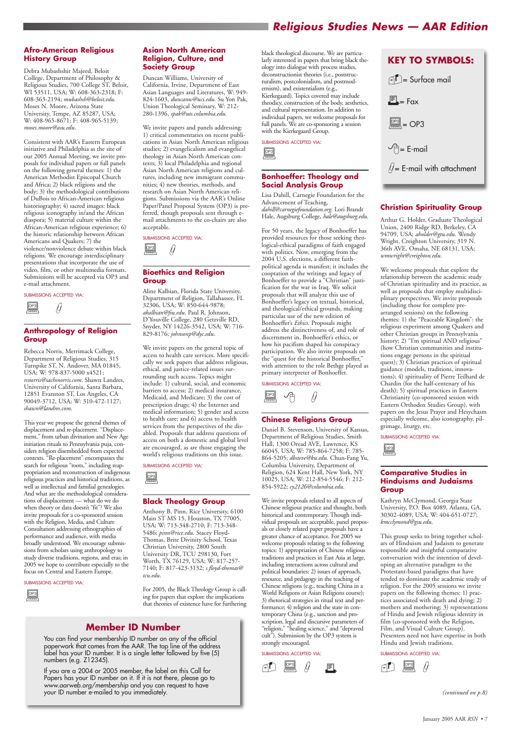# *Religious Studies News — AAR Edition*

#### **Afro-American Religious History Group**

Debra Mubashshir Majeed, Beloit College, Department of Philosophy & Religious Studies, 700 College ST, Beloit, WI 53511, USA; W: 608-363-2318; F: 608-363-2194; *mubashsh@beloit.edu*. Moses N. Moore, Arizona State University, Tempe, AZ 85287, USA; W: 408-965-8671; F: 408-965-5139; *moses.moore@asu.edu*.

Consistent with AAR's Eastern European initiative and Philadelphia as the site of our 2005 Annual Meeting, we invite proposals for individual papers or full panels on the following general themes: 1) the American Methodist Episcopal Church and Africa; 2) black religions and the body; 3) the methodological contributions of DuBois to African-American religious historiography; 4) sacred images: black religious iconography in/and the African diaspora; 5) material culture within the African-American religious experience; 6) the historic relationship between African Americans and Quakers; 7) the violence/nonviolence debate within black religions. We encourage interdisciplinary presentations that incorporate the use of video, film, or other multimedia formats. Submissions will be accepted via OP3 and e-mail attachment.

#### SUBMISSIONS ACCEPTED VIA:

Ų

#### **Anthropology of Religion Group**

Rebecca Norris, Merrimack College, Department of Religious Studies, 315 Turnpike ST, N. Andover, MA 01845, USA; W: 978-837-5000 x4521; *rsnorris@sachsnorris.com*. Shawn Landres, University of California, Santa Barbara, 12851 Evanston ST, Los Angeles, CA 90049-3712, USA; W: 310-472-1127; *shawn@landres.com*.

This year we propose the general themes of displacement and re-placement. "Displacement," from urban divination and New Age initiation rituals to Pennsylvania puja, considers religion disembedded from expected contexts. "Re-placement" encompasses the search for religious "roots," including reappropriation and reconstruction of indigenous religious practices and historical traditions, as well as intellectual and familial genealogies. And what are the methodological considerations of displacement — what do we do when theory or data doesn't "fit"? We also invite proposals for a co-sponsored session with the Religion, Media, and Culture Consultation addressing ethnographies of performance and audience, with media broadly understood. We encourage submissions from scholars using anthropology to study diverse traditions, regions, and eras; in 2005 we hope to contribute especially to the focus on Central and Eastern Europe.

#### **Asian North American Religion, Culture, and Society Group**

Duncan Williams, University of California, Irvine, Department of East Asian Languages and Literatures, W: 949- 824-1603, *duncanw@uci.edu*. Su Yon Pak, Union Theological Seminary, W: 212- 280-1396, *spak@uts.columbia.edu*.

We invite papers and panels addressing: 1) critical commentaries on recent publications in Asian North American religious studies; 2) evangelicalism and evangelical theology in Asian North American contexts; 3) local Philadelphia and regional Asian North American religions and cultures, including new immigrant communities; 4) new theories, methods, and research on Asian North American religions. Submissions via the AAR's Online Paper/Panel Proposal System (OP3) is preferred, though proposals sent through email attachments to the co-chairs are also acceptable.

SUBMISSIONS ACCEPTED VIA:

#### **Bioethics and Religion Group**

Aline Kalbian, Florida State University, Department of Religion, Tallahassee, FL 32306, USA; W: 850-644-9878; *akalbian@fsu.edu*. Paul R. Johnson, D'Youville College, 280 Getzville RD, Snyder, NY 14226-3542, USA; W: 716- 829-8176; *johnsonp@dyc.edu*.

We invite papers on the general topic of access to health care services. More specifically we seek papers that address religious, ethical, and justice-related issues surrounding such access. Topics might include: 1) cultural, social, and economic barriers to access; 2) medical insurance, Medicaid, and Medicare; 3) the cost of prescription drugs; 4) the Internet and medical information; 5) gender and access to health care; and 6) access to health services from the perspectives of the disabled. Proposals that address questions of access on both a domestic and global level are encouraged, as are those engaging the world's religious traditions on this issue.

SUBMISSIONS ACCEPTED VIA:

#### **Black Theology Group**

Anthony B. Pinn, Rice University, 6100 Main ST MS 15, Houston, TX 77005, USA; W: 713-348-2710; F: 713-348- 5486; *pinn@rice.edu*. Stacey Floyd-Thomas, Brite Divinity School, Texas Christian University, 2800 South University DR, TCU 298130, Fort Worth, TX 76129, USA; W: 817-257- 7140; F: 817-423-3132; *s.floyd-thomas@ tcu.edu*.

For 2005, the Black Theology Group is calling for papers that explore the implications that theories of existence have for furthering

black theological discourse. We are particularly interested in papers that bring black theology into dialogue with process studies, deconstructionist theories (i.e., poststructuralism, postcolonialism, and postmodernism), and existentialism (e.g., Kierkegaard). Topics covered may include theodicy, construction of the body, aesthetics, and cultural representation. In addition to individual papers, we welcome proposals for full panels. We are co-sponsoring a session with the Kierkegaard Group.

#### SUBMISSIONS ACCEPTED VIA:

#### **Bonhoeffer: Theology and Social Analysis Group**

Lisa Dahill, Carnegie Foundation for the Advancement of Teaching, *dahill@carnegiefoundation.org*. Lori Brandt Hale, Augsburg College, *hale@augsburg.edu*.



For 50 years, the legacy of Bonhoeffer has provided resources for those seeking theological-ethical paradigms of faith engaged with politics. Now, emerging from the 2004 U.S. elections, a different faithpolitical agenda is manifest; it includes the cooptation of the writings and legacy of Bonhoeffer to provide a "Christian" justification for the war in Iraq. We solicit proposals that will analyze this use of Bonhoeffer's legacy on textual, historical, and theological/ethical grounds, making particular use of the new edition of Bonhoeffer's *Ethics*. Proposals might address the distinctiveness of, and role of discernment in, Bonhoeffer's ethics, or how his pacifism shaped his conspiracy participation. We also invite proposals on the "quest for the historical Bonhoeffer," with attention to the role Bethge played as primary interpreter of Bonhoeffer.



SUBMISSIONS ACCEPTED VIA:

#### **Chinese Religions Group**



Daniel B. Stevenson, University of Kansas, Department of Religious Studies, Smith Hall, 1300 Oread AVE, Lawrence, KS 66045, USA; W: 785-864-7258; F: 785- 864-5205; *dbsteve@ku.edu*. Chun-Fang Yu, Columbia University, Department of Religion, 624 Kent Hall, New York, NY 10025, USA; W: 212-854-5546; F: 212- 854-5922; *cy2126@columbia.edu*.



We invite proposals related to all aspects of Chinese religious practice and thought, both historical and contemporary. Though individual proposals are acceptable, panel proposals or closely related paper proposals have a greater chance of acceptance. For 2005 we welcome proposals relating to the following topics: 1) appropriation of Chinese religious traditions and practices in East Asia at large, including interactions across cultural and political boundaries; 2) issues of approach, resource, and pedagogy in the teaching of Chinese religions (e.g., teaching China in a World Religions or Asian Religions course); 3) rhetorical strategies in ritual text and performance; 4) religion and the state in contemporary China (e.g., sanction and proscription, legal and discursive parameters of "religion," "healing science," and "depraved cult"). Submission by the OP3 system is strongly encouraged.

#### SUBMISSIONS ACCEPTED VIA:

#### **Christian Spirituality Group**

Arthur G. Holder, Graduate Theological Union, 2400 Ridge RD, Berkeley, CA 94709, USA; *aholder@gtu.edu*. Wendy Wright, Creighton University, 319 N. 36th AVE, Omaha, NE 68131, USA; *wmwright@creighton.edu*.



We welcome proposals that explore the relationship between the academic study of Christian spirituality and its practice, as well as proposals that employ multidisciplinary perspectives. We invite proposals (including those for complete prearranged sessions) on the following themes: 1) the "Peaceable Kingdom": the religious experiment among Quakers and other Christian groups in Pennsylvania history; 2) "I'm spiritual AND religious" (how Christian communities and institutions engage persons in the spiritual quest); 3) Christian practices of spiritual guidance (models, traditions, innovations); 4) spirituality of Pierre Teilhard de Chardin (for the half-centenary of his death); 5) spiritual practices in Eastern Christianity (co-sponsored session with Eastern Orthodox Studies Group), with papers on the Jesus Prayer and Hesychasm especially welcome, also iconography, pilgrimage, liturgy, etc.



SUBMISSIONS ACCEPTED VIA:

#### **Comparative Studies in Hinduisms and Judaisms Group**

Kathryn McClymond, Georgia State University, P.O. Box 4089, Atlanta, GA, 30302-4089, USA; W: 404-651-0727; *kmcclymond@gsu.edu*.



This group seeks to bring together scholars of Hinduism and Judaism to generate responsible and insightful comparative conversation with the intention of developing an alternative paradigm to the Protestant-based paradigms that have tended to dominate the academic study of religion. For the 2005 sessions we invite papers on the following themes: 1) practices associated with death and dying; 2) mothers and mothering; 3) representations of Hindu and Jewish religious identity in film (co-sponsored with the Religion, Film, and Visual Culture Group). Presenters need not have expertise in both Hindu and Jewish traditions.

**MISSIONS ACCEPTED VIA:** 

#### SUBMISSIONS ACCEPTED VIA:

*(continued on p.8)*

|--|--|

## **Member ID Number**

You can find your membership ID number on any of the official paperwork that comes from the AAR. The top line of the address label has your ID number. It is a single letter followed by five (5) numbers (e.g. Z12345).

If you are a 2004 or 2005 member, the label on this Call for Papers has your ID number on it. If it is not there, please go to *www.aarweb.org/membership* and you can request to have your ID number e-mailed to you immediately.

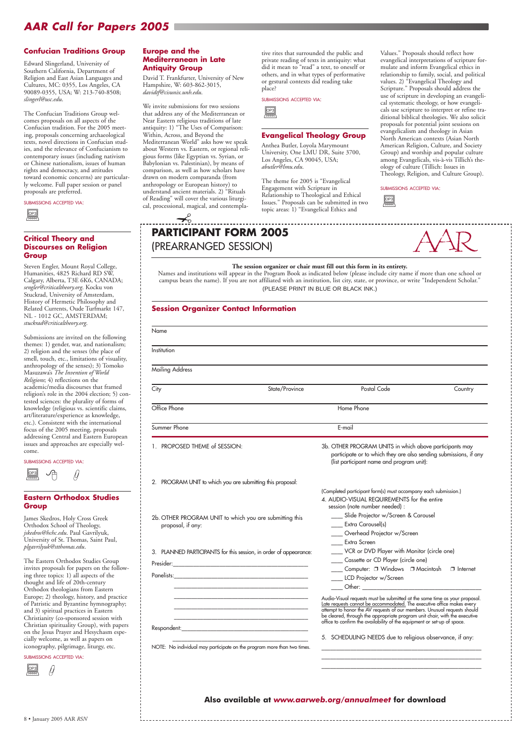# *AAR Call for Papers 2005*

#### **Confucian Traditions Group**

Edward Slingerland, University of Southern California, Department of Religion and East Asian Languages and Cultures, MC: 0355, Los Angeles, CA 90089-0355, USA; W: 213-740-8508; *slingerl@usc.edu*.

The Confucian Traditions Group welcomes proposals on all aspects of the Confucian tradition. For the 2005 meeting, proposals concerning archaeological texts, novel directions in Confucian studies, and the relevance of Confucianism to contemporary issues (including nativism or Chinese nationalism, issues of human rights and democracy, and attitudes toward economic concerns) are particularly welcome. Full paper session or panel proposals are preferred.

SUBMISSIONS ACCEPTED VIA:

#### **Critical Theory and Discourses on Religion Group**

Steven Engler, Mount Royal College, Humanities, 4825 Richard RD SW, Calgary, Alberta, T3E 6K6, CANADA; *sengler@criticaltheory.org*. Kocku von Stuckrad, University of Amsterdam, History of Hermetic Philosophy and Related Currents, Oude Turfmarkt 147, NL - 1012 GC, AMSTERDAM; *stuckrad@criticaltheory.org*.

The Eastern Orthodox Studies Group invites proposals for papers on the following three topics: 1) all aspects of the thought and life of 20th-century Orthodox theologians fr Europe;  $2)$  theology, his of Patristic and Byzanti and  $3$ ) spiritual practice Christianity (co-sponso Christian spirituality G on the Jesus Prayer and cially welcome, as well iconography, pilgrimag

Presider: Panelists:

Submissions are invited on the following themes: 1) gender, war, and nationalism; 2) religion and the senses (the place of smell, touch, etc., limitations of visuality, anthropology of the senses); 3) Tomoko Masuzawa's *The Invention of World Religions*; 4) reflections on the academic/media discourses that framed religion's role in the 2004 election; 5) contested sciences: the plurality of forms of knowledge (religious vs. scientific claims, art/literature/experience as knowledge, etc.). Consistent with the international focus of the 2005 meeting, proposals addressing Central and Eastern European issues and approaches are especially welcome.

SUBMISSIONS ACCEPTED VIA:

#### **Eastern Orthodox Studies Group**

James Skedros, Holy Cross Greek Orthodox School of Theology, *jskedros@hchc.edu*. Paul Gavrilyuk, University of St. Thomas, Saint Paul, *plgavrilyuk@stthomas.edu*.

#### $\begin{array}{c}\n\boxed{OP3} \\
\hline\n\end{array}$ OP3

SUBMISSIONS ACCEPTED VIA:

#### **Europe and the Mediterranean in Late Antiquity Group**

## $\prec$ **PARTICIPANT FORM 2005** (PREARRANGED SESSION)



David T. Frankfurter, University of New Hampshire, W: 603-862-3015, *davidtf@cisunix.unh.edu*.



We invite submissions for two sessions that address any of the Mediterranean or Near Eastern religious traditions of late antiquity: 1) "The Uses of Comparison: Within, Across, and Beyond the Mediterranean World" asks how we speak about Western vs. Eastern, or regional religious forms (like Egyptian vs. Syrian, or Babylonian vs. Palestinian), by means of comparison, as well as how scholars have drawn on modern comparanda (from anthropology or European history) to understand ancient materials. 2) "Rituals of Reading" will cover the various liturgical, processional, magical, and contempla-



tive rites that surrounded the public and private reading of texts in antiquity: what did it mean to "read" a text, to oneself or others, and in what types of performative or gestural contexts did reading take place?

#### **Evangelical Theology Group**



8 • January 2005 AAR RS

Anthea Butler, Loyola Marymount University, One LMU DR, Suite 3700, Los Angeles, CA 90045, USA; *abutler@lmu.edu*.

The theme for 2005 is "Evangelical Engagement with Scripture in Relationship to Theological and Ethical Issues." Proposals can be submitted in two topic areas: 1) "Evangelical Ethics and

Values." Proposals should reflect how evangelical interpretations of scripture formulate and inform Evangelical ethics in relationship to family, social, and political values. 2) "Evangelical Theology and Scripture." Proposals should address the use of scripture in developing an evangelical systematic theology, or how evangelicals use scripture to interpret or refine traditional biblical theologies. We also solicit proposals for potential joint sessions on evangelicalism and theology in Asian North American contexts (Asian North American Religion, Culture, and Society Group) and worship and popular culture among Evangelicals, vis-à-vis Tillich's theology of culture (Tillich: Issues in Theology, Religion, and Culture Group).

#### SUBMISSIONS ACCEPTED VIA:



Cassette or CD Player (circle one)

LCD Projector w/Screen

Computer: □ Windows □ Macintosh □ Internet

-------

#### **The session organizer or chair must fill out this form in its entirety.**

Names and institutions will appear in the Program Book as indicated below (please include city name if more than one school or campus bears the name). If you are not affiliated with an institution, list city, state, or province, or write "Independent Scholar." (PLEASE PRINT IN BLUE OR BLACK INK.)

| <b>Session Organizer Contact Information</b>                      |                                                                                                                                                                                              |
|-------------------------------------------------------------------|----------------------------------------------------------------------------------------------------------------------------------------------------------------------------------------------|
| Name                                                              |                                                                                                                                                                                              |
| Institution                                                       |                                                                                                                                                                                              |
| Mailing Address                                                   |                                                                                                                                                                                              |
| City<br>State/Province                                            | Postal Code<br>Country                                                                                                                                                                       |
| Office Phone                                                      | Home Phone                                                                                                                                                                                   |
| Summer Phone                                                      | E-mail                                                                                                                                                                                       |
| 1. PROPOSED THEME of SESSION:                                     | 3b. OTHER PROGRAM UNITS in which above participants may<br>participate or to which they are also sending submissions, if any<br>(list participant name and program unit):                    |
| 2. PROGRAM UNIT to which you are submitting this proposal:        |                                                                                                                                                                                              |
| 2b. OTHER PROGRAM UNIT to which you are submitting this           | (Completed participant form(s) must accompany each submission.)<br>4. AUDIO-VISUAL REQUIREMENTS for the entire<br>session (note number needed) :<br>____ Slide Projector w/Screen & Carousel |
| proposal, if any:                                                 | Extra Carousel(s)<br>Overhead Projector w/Screen<br>Extra Screen                                                                                                                             |
| 3. PLANNED PARTICIPANTS for this session, in order of appearance: | VCR or DVD Player with Monitor (circle one)                                                                                                                                                  |

| a century<br>rom Eastern                                                                                                                                 |                                                                                        | Other:                                                                                                                                                                                                                                                                                                                                                                                                                                             |
|----------------------------------------------------------------------------------------------------------------------------------------------------------|----------------------------------------------------------------------------------------|----------------------------------------------------------------------------------------------------------------------------------------------------------------------------------------------------------------------------------------------------------------------------------------------------------------------------------------------------------------------------------------------------------------------------------------------------|
| story, and practice<br>ne hymnography;<br>es in Eastern<br>red session with<br>roup), with papers<br>Hesychasm espe-<br>as papers on<br>e, liturgy, etc. | Respondent:<br>NOTE: No individual may participate on the program more than two times. | Audio-Visual requests must be submitted at the same time as your proposal.<br>Late requests cannot be accommodated. The executive office makes every<br>attempt to honor the AV requests of our members. Unusual requests should<br>be cleared, through the appropriate program unit chair, with the executive office to confirm the availability of the equipment or set-up of space.<br>5. SCHEDULING NEEDS due to religious observance, if any: |
|                                                                                                                                                          |                                                                                        | Also available at www.aarweb.org/annualmeet for download                                                                                                                                                                                                                                                                                                                                                                                           |
| M,                                                                                                                                                       |                                                                                        |                                                                                                                                                                                                                                                                                                                                                                                                                                                    |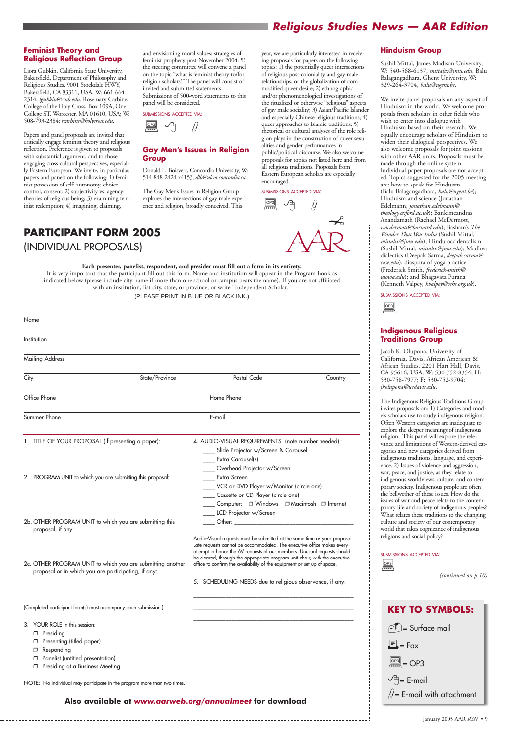# *Religious Studies News — AAR Edition*

#### **Feminist Theory and Religious Reflection Group**

Liora Gubkin, California State University, Bakersfield, Department of Philosophy and Religious Studies, 9001 Stockdale HWY, Bakersfield, CA 93311, USA; W: 661-664- 2314; *lgubkin@csub.edu*. Rosemary Carbine, College of the Holy Cross, Box 109A, One College ST, Worcester, MA 01610, USA; W: 508-793-2384; *rcarbine@holycross.edu*.

Papers and panel proposals are invited that critically engage feminist theory and religious reflection. Preference is given to proposals with substantial argument, and to those engaging cross-cultural perspectives, especially Eastern European. We invite, in particular, papers and panels on the following: 1) feminist possession of self: autonomy, choice, control, consent; 2) subjectivity vs. agency: theories of religious being; 3) examining feminist redemption; 4) imagining, claiming,

and envisioning moral values: strategies of feminist prophecy post-November 2004; 5) the steering committee will convene a panel on the topic "what is feminist theory to/for religion scholars?" The panel will consist of invited and submitted statements.

Submissions of 500-word statements to this panel will be considered.

SUBMISSIONS ACCEPTED VIA:

#### **Gay Men's Issues in Religion Group**

Donald L. Boisvert, Concordia University, W: 514-848-2424 x4153, *dlb@alcor.concordia.ca*.

The Gay Men's Issues in Religion Group explores the intersections of gay male experience and religion, broadly conceived. This

year, we are particularly interested in receiving proposals for papers on the following topics: 1) the potentially queer intersections of religious post-coloniality and gay male relationships, or the globalization of commodified queer desire; 2) ethnographic and/or phenomenological investigations of the ritualized or otherwise "religious" aspects of gay male sociality; 3) Asian/Pacific Islander and especially Chinese religious traditions; 4) queer approaches to Islamic traditions; 5) rhetorical or cultural analyses of the role religion plays in the construction of queer sexualities and gender performances in public/political discourse. We also welcome proposals for topics not listed here and from all religious traditions. Proposals from Eastern European scholars are especially

encouraged.

SUBMISSIONS ACCEPTED VIA:

 $\underbrace{\fbox{0P3}}_{\overline{\hspace{1em}}} \quad \text{I}$ OP3

#### **Hinduism Group**

Sushil Mittal, James Madison University, W: 540-568-6137, *mittalsx@jmu.edu*. Balu Balagangadhara, Ghent University, W: 329-264-3704, *balu@ugent.be*.

We invite panel proposals on any aspect of Hinduism in the world. We welcome proposals from scholars in other fields who wish to enter into dialogue with Hinduism based on their research. We equally encourage scholars of Hinduism to widen their dialogical perspectives. We also welcome proposals for joint sessions with other AAR units. Proposals must be made through the online system. Individual paper proposals are not accepted. Topics suggested for the 2005 meeting are: how to speak for Hinduism (Balu Balagangadhara, *balu@ugent.be*); Hinduism and science (Jonathan Edelmann, *jonathan.edelmann@ theology.oxford.ac.uk*); Bankimcandras Anandamath (Rachael McDermott, *rmcdermott@barnard.edu*); Basham's *The Wonder That Was India* (Sushil Mittal, *mittalsx@jmu.edu*); Hindu occidentalism (Sushil Mittal, *mittalsx@jmu.edu*); Madhva dialectics (Deepak Sarma, *deepak.sarma@ case.edu*); diaspora of yoga practice (Frederick Smith, *frederick-smith@ uiowa.edu*); and Bhagavata Purana (Kenneth Valpey, *kvalpey@ochs.org.uk*).



SUBMISSIONS ACCEPTED VIA:

#### **Indigenous Religious Traditions Group**

Jacob K. Olupona, University of California, Davis, African American & African Studies, 2201 Hart Hall, Davis, CA 95616, USA; W: 530-752-8354; H: 530-758-7977; F: 530-752-9704; *jkolupona@ucdavis.edu*.



The Indigenous Religious Traditions Group invites proposals on: 1) Categories and models scholars use to study indigenous religion. Often Western categories are inadequate to explore the deeper meanings of indigenous religion. This panel will explore the relevance and limitations of Western-derived categories and new categories derived from indigenous traditions, language, and experience. 2) Issues of violence and aggression, war, peace, and justice, as they relate to indigenous worldviews, culture, and contemporary society. Indigenous people are often the bellwether of these issues. How do the issues of war and peace relate to the contemporary life and society of indigenous peoples? What relates these traditions to the changing culture and society of our contemporary world that takes cognizance of indigenous religions and social policy?



#### SUBMISSIONS ACCEPTED VIA:

 $rac{OP3}{\sqrt{200}}$ 

*(continued on p.10)*

SCHEDULING NEEDS due to religious observance, if any

**Each presenter, panelist, respondent, and presider must fill out a form in its entirety.** It is very important that the participant fill out this form. Name and institution will appear in the Program Book as indicated below (please include city name if more than one school or campus bears the name). If you are not affiliated with an institution, list city, state, or province, or write "Independent Scholar."

(PLEASE PRINT IN BLUE OR BLACK INK.)

# **PARTICIPANT FORM 2005** (INDIVIDUAL PROPOSALS)

2c. OTHER PROGRAM UNIT to which you are submitting another proposal or in which you are participating, if any:

(Completed participant form(s) must accompany each submission.)

3. YOUR ROLE in this session:

❐ Presiding

❐ Presenting (titled paper)

❐ Responding

❐ Panelist (untitled presentation)

❐ Presiding at a Business Meeting

| Name                                                                         |                                                                                                                                                                                                                                                                 |
|------------------------------------------------------------------------------|-----------------------------------------------------------------------------------------------------------------------------------------------------------------------------------------------------------------------------------------------------------------|
| Institution                                                                  |                                                                                                                                                                                                                                                                 |
| <b>Mailing Address</b>                                                       |                                                                                                                                                                                                                                                                 |
| State/Province<br>City                                                       | Postal Code<br>Country                                                                                                                                                                                                                                          |
| Office Phone                                                                 | Home Phone                                                                                                                                                                                                                                                      |
| Summer Phone                                                                 | E-mail                                                                                                                                                                                                                                                          |
| 1. TITLE OF YOUR PROPOSAL (if presenting a paper):                           | 4. AUDIO-VISUAL REQUIREMENTS (note number needed) :<br>____ Slide Projector w/Screen & Carousel<br><b>Extra Carousel(s)</b><br>____ Overhead Projector w/Screen                                                                                                 |
| 2. PROGRAM UNIT to which you are submitting this proposal:                   | <b>Extra Screen</b><br>____ VCR or DVD Player w/Monitor (circle one)<br>____ Cassette or CD Player (circle one)<br><u>Computer:</u> □ Windows □ Macintosh □ Internet                                                                                            |
| 2b. OTHER PROGRAM UNIT to which you are submitting this<br>proposal, if any: | ____ LCD Projector w/Screen<br>Audio-Visual requests must be submitted at the same time as your proposal.<br>Late requests cannot be accommodated. The executive office makes every<br>attempt to honor the AV requests of our members. Unusual requests should |

NOTE: No individual may participate in the program more than two times.

be cleared, through the appropriate program unit chair, with the executive office to confirm the availability of the equipment or set-up of space.

\_\_\_\_\_\_\_\_\_\_\_\_\_\_\_\_\_\_\_\_\_\_\_\_\_\_\_\_\_\_\_\_\_\_\_\_\_\_\_\_\_\_\_\_\_\_\_\_\_\_\_\_\_\_\_ \_\_\_\_\_\_\_\_\_\_\_\_\_\_\_\_\_\_\_\_\_\_\_\_\_\_\_\_\_\_\_\_\_\_\_\_\_\_\_\_\_\_\_\_\_\_\_\_\_\_\_\_\_\_\_ \_\_\_\_\_\_\_\_\_\_\_\_\_\_\_\_\_\_\_\_\_\_\_\_\_\_\_\_\_\_\_\_\_\_\_\_\_\_\_\_\_\_\_\_\_\_\_\_\_\_\_\_\_\_\_

**Also available at** *www.aarweb.org/annualmeet* **for download**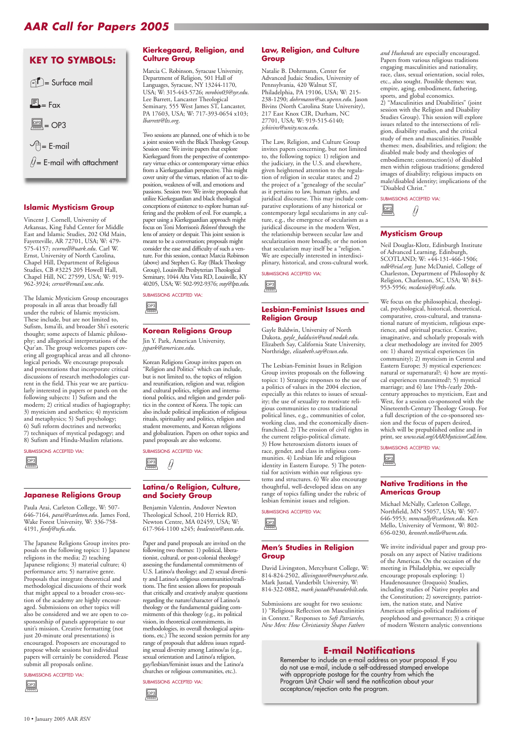# *AAR Call for Papers 2005*

#### **Islamic Mysticism Group**

Vincent J. Cornell, University of Arkansas, King Fahd Center for Middle East and Islamic Studies, 202 Old Main, Fayetteville, AR 72701, USA; W: 479- 575-4157; *vcornell@uark.edu*. Carl W. Ernst, University of North Carolina, Chapel Hill, Department of Religious Studies, CB #3225 205 Howell Hall, Chapel Hill, NC 27599, USA; W: 919- 962-3924; *cernst@email.unc.edu*.

The Islamic Mysticism Group encourages proposals in all areas that broadly fall under the rubric of Islamic mysticism. These include, but are not limited to, Sufism, Isma'ili, and broader Shi'i esoteric thought; some aspects of Islamic philosophy; and allegorical interpretations of the Qur'an. The group welcomes papers covering all geographical areas and all chronological periods. We encourage proposals and presentations that incorporate critical discussions of research methodologies current in the field. This year we are particularly interested in papers or panels on the following subjects: 1) Sufism and the modern; 2) critical studies of hagiography; 3) mysticism and aesthetics; 4) mysticism and metaphysics; 5) Sufi psychology; 6) Sufi reform doctrines and networks; 7) techniques of mystical pedagogy; and 8) Sufism and Hindu-Muslim relations.

SUBMISSIONS ACCEPTED VIA:

#### **Japanese Religions Group**

Paula Arai, Carleton College, W: 507- 646-7164, *parai@carleton.edu*. James Ford, Wake Forest University, W: 336-758- 4191, *fordj@wfu.edu*.

SUBMISSIONS ACCEPTED VIA:  $\boxed{\text{OP3}}$ 

The Japanese Religions Group invites proposals on the following topics: 1) Japanese religions in the media; 2) teaching Japanese religions; 3) material culture; 4) performance arts; 5) narrative genre. Proposals that integrate theoretical and methodological discussions of their work that might appeal to a broader cross-section of the academy are highly encouraged. Submissions on other topics will also be considered and we are open to cosponsorship of panels appropriate to our unit's mission. Creative formatting (not just 20-minute oral presentations) is encouraged. Proposers are encouraged to propose whole sessions but individual papers will certainly be considered. Please submit all proposals online.

SUBMISSIONS ACCEPTED VIA:

#### **Kierkegaard, Religion, and Culture Group**

Marcia C. Robinson, Syracuse University, Department of Religion, 501 Hall of Languages, Syracuse, NY 13244-1170, USA; W: 315-443-5726; *mrobin03@syr.edu*. Lee Barrett, Lancaster Theological Seminary, 555 West James ST, Lancaster, PA 17603, USA; W: 717-393-0654 x103; *lbarrett@lts.org*.

Two sessions are planned, one of which is to be a joint session with the Black Theology Group. Session one: We invite papers that explore Kierkegaard from the perspective of contemporary virtue ethics or contemporary virtue ethics from a Kierkegaardian perspective. This might cover unity of the virtues, relation of act to disposition, weakness of will, and emotions and passions. Session two: We invite proposals that utilize Kierkegaardian and black theological conceptions of existence to explore human suffering and the problem of evil. For example, a paper using a Kierkegaardian approach might focus on Toni Morrison's *Beloved* through the lens of anxiety or despair. This joint session is meant to be a conversation; proposals might consider the ease and difficulty of such a venture. For this session, contact Marcia Robinson (above) and Stephen G. Ray (Black Theology Group), Louisville Presbyterian Theological Seminary, 1044 Alta Vista RD, Louisville, KY 40205, USA; W: 502-992-9376; *sray@lpts.edu*.

#### **Korean Religions Group**

Jin Y. Park, American University, *jypark@american.edu*.

Korean Religions Group invites papers on "Religion and Politics" which can include, but is not limited to, the topics of religion and reunification, religion and war, religion and cultural politics, religion and international politics, and religion and gender politics in the context of Korea. The topic can also include political implication of religious rituals, spirituality and politics, religion and student movements, and Korean religions and globalization. Papers on other topics and panel proposals are also welcome.

SUBMISSIONS ACCEPTED VIA:

#### **Latina/o Religion, Culture, and Society Group**

Benjamin Valentin, Andover Newton Theological School, 210 Herrick RD, Newton Centre, MA 02459, USA; W: 617-964-1100 x245; *bvalentin@ants.edu*.

Paper and panel proposals are invited on the following two themes: 1) political, liberationist, cultural, or post-colonial theology? assessing the fundamental commitments of U.S. Latino/a theology; and 2) sexual diversity and Latino/a religious communities/traditions. The first session allows for proposals that critically and creatively analyze questions regarding the nature/character of Latino/a theology or the fundamental guiding commitments of this theology (e.g., its political vision, its theoretical commitments, its methodologies, its overall theological aspirations, etc.) The second session permits for any range of proposals that address issues regarding sexual diversity among Latinos/as (e.g., sexual orientation and Latino/a religion, gay/lesbian/feminist issues and the Latino/a churches or religious communities, etc.).

 $\begin{array}{c}\n\boxed{OP3} \\
\hline\n\end{array}$ OP3

SUBMISSIONS ACCEPTED VIA:

#### **Law, Religion, and Culture Group**

Natalie B. Dohrmann, Center for Advanced Judaic Studies, University of Pennsylvania, 420 Walnut ST, Philadelphia, PA 19106, USA; W: 215- 238-1290; *dohrmann@sas.upenn.edu*. Jason Bivins (North Carolina State University), 217 East Knox CIR, Durham, NC 27701, USA; W: 919-515-6140; *jcbivins@unity.ncsu.edu*.



The Law, Religion, and Culture Group invites papers concerning, but not limited to, the following topics: 1) religion and the judiciary, in the U.S. and elsewhere, given heightened attention to the regulation of religion in secular states; and 2) the project of a "genealogy of the secular" as it pertains to law, human rights, and juridical discourse. This may include comparative explorations of any historical or contemporary legal secularisms in any culture, e.g., the emergence of secularism as a juridical discourse in the modern West, the relationship between secular law and secularization more broadly, or the notion that secularism may itself be a "religion." We are especially interested in interdisciplinary, historical, and cross-cultural work.

SUBMISSIONS ACCEPTED VIA:

 $rac{OP3}{2P3}$ 

#### **Lesbian-Feminist Issues and Religion Group**

Gayle Baldwin, University of North Dakota, *gayle\_baldwin@und.nodak.edu*. Elizabeth Say, California State University, Northridge, *elizabeth.say@csun.edu*.

The Lesbian-Feminist Issues in Religion Group invites proposals on the following topics: 1) Strategic responses to the use of a politics of values in the 2004 election, especially as this relates to issues of sexuality; the use of sexuality to motivate religious communities to cross traditional political lines, e.g., communities of color, working class, and the economically disenfranchised. 2) The erosion of civil rights in the current religio-political climate. 3) How heterosexism distorts issues of race, gender, and class in religious communities. 4) Lesbian life and religious identity in Eastern Europe. 5) The potential for activism within our religious systems and structures. 6) We also encourage thoughtful, well-developed ideas on any range of topics falling under the rubric of lesbian feminist issues and religion.



SUBMISSIONS ACCEPTED VIA:

# $\boxed{\text{OP3}}$

#### **Men's Studies in Religion Group**

David Livingston, Mercyhurst College, W: 814-824-2502, *dlivingston@mercyhurst.edu*. Mark Justad, Vanderbilt University, W: 814-322-0882, *mark.justad@vanderbilt.edu*.

Submissions are sought for two sessions: 1) "Religious Reflection on Masculinities in Context." Responses to *Soft Patriarchs, New Men: How Christianity Shapes Fathers*



*and Husbands* are especially encouraged. Papers from various religious traditions engaging masculinities and nationality, race, class, sexual orientation, social roles, etc., also sought. Possible themes: war, empire, aging, embodiment, fathering, sports, and global economics.

2) "Masculinities and Disabilities" (joint session with the Religion and Disability Studies Group). This session will explore issues related to the intersections of religion, disability studies, and the critical study of men and masculinities. Possible themes: men, disabilities, and religion; the disabled male body and theologies of embodiment; construction(s) of disabled men within religious traditions; gendered images of disability; religious impacts on male/disabled identity; implications of the "Disabled Christ."

SUBMISSIONS ACCEPTED VIA:

#### **Mysticism Group**

Neil Douglas-Klotz, Edinburgh Institute of Advanced Learning, Edinburgh, SCOTLAND; W: +44-131-466-1506; *ndk@eial.org*. June McDaniel, College of Charleston, Department of Philosophy & Religion, Charleston, SC, USA; W: 843- 953-5956; *mcdanielj@cofc.edu*.

We focus on the philosophical, theological, psychological, historical, theoretical, comparative, cross-cultural, and transnational nature of mysticism, religious experience, and spiritual practice. Creative, imaginative, and scholarly proposals with a clear methodology are invited for 2005 on: 1) shared mystical experiences (in community); 2) mysticism in Central and Eastern Europe; 3) mystical experiences: natural or supernatural?; 4) how are mystical experiences transmitted?; 5) mystical marriage; and 6) late 19th-/early 20thcentury approaches to mysticism, East and West, for a session co-sponsored with the Nineteenth-Century Theology Group. For a full description of the co-sponsored session and the focus of papers desired, which will be prepublished online and in print, see *www.eial.org/AARMysticismCall.htm*.





#### **Native Traditions in the Americas Group**

Michael McNally, Carleton College, Northfield, MN 55057, USA; W: 507- 646-5953; *mmcnally@carleton.edu*. Ken Mello, University of Vermont, W: 802- 656-0230, *kenneth.mello@uvm.edu*.



We invite individual paper and group proposals on any aspect of Native traditions of the Americas. On the occasion of the meeting in Philadelphia, we especially encourage proposals exploring: 1) Haudenosaunee (Iroquois) Studies, including studies of Native peoples and the Constitution; 2) sovereignty, patriotism, the nation state, and Native American religio-political traditions of peoplehood and governance; 3) a critique of modern Western analytic conventions

## **E-mail Notifications**

Remember to include an e-mail address on your proposal. If you do not use e-mail, include a self-addressed stamped envelope with appropriate postage for the country from which the Program Unit Chair will send the notification about your acceptance/rejection onto the program.

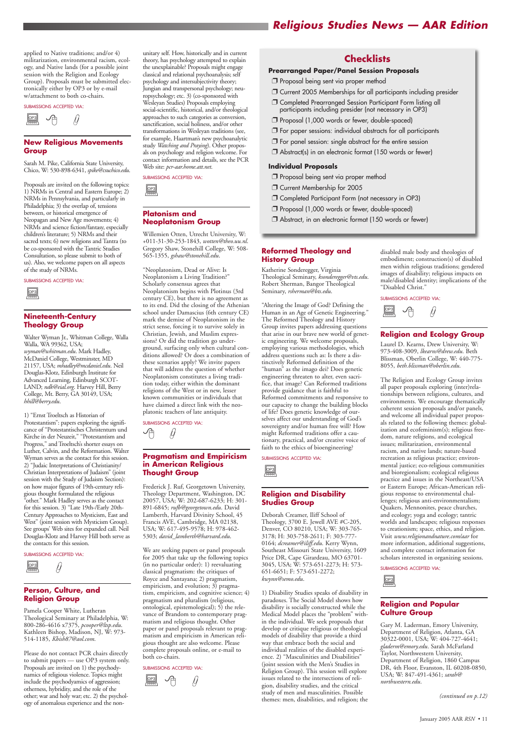# *Religious Studies News — AAR Edition*

applied to Native traditions; and/or 4) militarization, environmental racism, ecology, and Native lands (for a possible joint session with the Religion and Ecology Group). Proposals must be submitted electronically either by OP3 or by e-mail w/attachment to both co-chairs.

SUBMISSIONS ACCEPTED VIA:

#### **New Religious Movements Group**

Sarah M. Pike, California State University, Chico, W: 530-898-6341, *spike@csuchico.edu*.

Proposals are invited on the following topics: 1) NRMs in Central and Eastern Europe; 2) NRMs in Pennsylvania, and particularly in Philadelphia; 3) the overlap of, tensions between, or historical emergence of Neopagan and New Age movements; 4) NRMs and science fiction/fantasy, especially children's literature; 5) NRMs and their sacred texts; 6) new religions and Tantra (to be co-sponsored with the Tantric Studies Consultation, so please submit to both of us). Also, we welcome papers on all aspects of the study of NRMs.

#### SUBMISSIONS ACCEPTED VIA:

#### **Nineteenth-Century Theology Group**

Walter Wyman Jr., Whitman College, Walla Walla, WA 99362, USA; *wyman@whitman.edu*. Mark Hadley, McDaniel College, Westminster, MD 21157, USA; *mhadley@mcdaniel.edu*. Neil Douglas-Klotz, Edinburgh Institute for Advanced Learning, Edinburgh SCOT-LAND; *ndk@eial.org*. Harvey Hill, Berry College, Mt. Berry, GA 30149, USA; *hhill@berry.edu*.

1) "Ernst Troeltsch as Historian of Protestantism": papers exploring the significance of "Protestantisches Christentum und Kirche in der Neuzeit," "Protestantism and Progress," and Troeltsch's shorter essays on Luther, Calvin, and the Reformation. Walter Wyman serves as the contact for this session. 2) "Judaic Interpretations of Christianity/ Christian Interpretations of Judaism" (joint session with the Study of Judaism Section): on how major figures of 19th-century religious thought formulated the religious "other." Mark Hadley serves as the contact for this session. 3) "Late 19th-/Early 20th-Century Approaches to Mysticism, East and West" (joint session with Mysticism Group). See groups' Web sites for expanded call. Neil Douglas-Klotz and Harvey Hill both serve as the contacts for this session.

#### SUBMISSIONS ACCEPTED VIA:

#### **Person, Culture, and Religion Group**

SUBMISSIONS ACCEPTED VIA:  $\Theta$ 

Pamela Cooper White, Lutheran Theological Seminary at Philadelphia, W: 800-286-4616 x7375, *pcooper@ltsp.edu*. Kathleen Bishop, Madison, NJ, W: 973- 514-1185, *Kbish87@aol.com*.

Please do not contact PCR chairs directly to submit papers — use OP3 system only. Proposals are invited on 1) the psychodynamics of religious violence. Topics might include the psychodyamics of aggression; otherness, hybridity, and the role of the other; war and holy war; etc. 2) the psychology of anomalous experience and the nonunitary self. How, historically and in current theory, has psychology attempted to explain the unexplainable? Proposals might engage classical and relational psychoanalysis; self psychology and intersubjectivity theory; Jungian and transpersonal psychology; neuropsychology; etc. 3) (co-sponsored with Wesleyan Studies) Proposals employing social-scientific, historical, and/or theological approaches to such categories as conversion, sanctification, social holiness, and/or other transformations in Wesleyan traditions (see, for example, Haartman's new psychoanalytic study *Watching and Praying*). Other proposals on psychology and religion welcome. For contact information and details, see the PCR Web site: *pcr-aar.home.att.net*.

SUBMISSIONS ACCEPTED VIA:

#### **Platonism and Neoplatonism Group**

Willemien Otten, Utrecht University, W: +011-31-30-253-1843, *wotten@theo.uu.nl*. Gregory Shaw, Stonehill College, W: 508- 565-1355, *gshaw@stonehill.edu*.

"Neoplatonism, Dead or Alive: Is Neoplatonism a Living Tradition?" Scholarly consensus agrees that Neoplatonism begins with Plotinus (3rd century CE), but there is no agreement as to its end. Did the closing of the Athenian school under Damascius (6th century CE) mark the demise of Neoplatonism in the strict sense, forcing it to survive solely in Christian, Jewish, and Muslim expressions? Or did the tradition go underground, surfacing only when cultural conditions allowed? Or does a combination of these scenarios apply? We invite papers that will address the question of whether Neoplatonism constitutes a living tradition today, either within the dominant religions of the West or in new, lesser known communities or individuals that have claimed a direct link with the neoplatonic teachers of late antiquity.

#### **Pragmatism and Empiricism in American Religious Thought Group**

 $\begin{array}{c}\n\boxed{OP3} \\
\hline\n\end{array}$ OP3

Frederick J. Ruf, Georgetown University, Theology Department, Washington, DC 20057, USA; W: 202-687-6233; H: 301- 891-6845; *rufb@georgetown.edu*. David Lamberth, Harvard Divinity School, 45 Francis AVE, Cambridge, MA 02138, USA; W: 617-495-9578; H: 978-462- 5303; *david\_lamberth@harvard.edu*.



We are seeking papers or panel proposals for 2005 that take up the following topics (in no particular order): 1) reevaluating classical pragmatism: the critiques of Royce and Santayana; 2) pragmatism, empiricism, and evolution; 3) pragmatism, empiricism, and cognitive science; 4) pragmatism and pluralism (religious, ontological, epistemological); 5) the relevance of Brandom to contemporary pragmatism and religious thought. Other paper or panel proposals relevant to pragmatism and empiricism in American religious thought are also welcome. Please complete proposals online, or e-mail to both co-chairs.



SUBMISSIONS ACCEPTED VIA:

#### **Reformed Theology and History Group**

Katherine Sonderegger, Virginia Theological Seminary, *ksonderegger@vts.edu*. Robert Sherman, Bangor Theological Seminary, *rsherman@bts.edu*.



"Altering the Image of God? Defining the Human in an Age of Genetic Engineering." The Reformed Theology and History Group invites papers addressing questions that arise in our brave new world of genetic engineering. We welcome proposals, employing various methodologies, which address questions such as: Is there a distinctively Reformed definition of the "human" as the imago dei? Does genetic engineering threaten to alter, even sacrifice, that image? Can Reformed traditions provide guidance that is faithful to Reformed commitments and responsive to our capacity to change the building blocks of life? Does genetic knowledge of ourselves affect our understanding of God's sovereignty and/or human free will? How might Reformed traditions offer a cautionary, practical, and/or creative voice of faith to the ethics of bioengineering?

SUBMISSIONS ACCEPTED VIA:

#### **Religion and Disability Studies Group**

Deborah Creamer, Iliff School of Theology, 3700 E. Jewell AVE #C-205, Denver, CO 80210, USA; W: 303-765- 3178; H: 303-758-2611; F: 303-777- 0164; *dcreamer@iliff.edu*. Kerry Wynn, Southeast Missouri State University, 1609 Price DR, Cape Girardeau, MO 63701- 3045, USA; W: 573-651-2273; H: 573- 651-6651; F: 573-651-2272; *kwynn@semo.edu*.

1) Disability Studies speaks of disability in paradoxes. The Social Model shows how disability is socially constructed while the Medical Model places the "problem" within the individual. We seek proposals that develop or critique religious or theological models of disability that provide a third way that embrace both the social and individual realities of the disabled experience. 2) "Masculinities and Disabilities" (joint session with the Men's Studies in Religion Group). This session will explore issues related to the intersections of religion, disability studies, and the critical study of men and masculinities. Possible themes: men, disabilities, and religion; the





disabled male body and theologies of embodiment; construction(s) of disabled men within religious traditions; gendered images of disability; religious impacts on male/disabled identity; implications of the "Disabled Christ."



#### **Religion and Ecology Group**

Laurel D. Kearns, Drew University, W: 973-408-3009, *lkearns@drew.edu*. Beth Blissman, Oberlin College, W: 440-775- 8055, *beth.blissman@oberlin.edu*.



The Religion and Ecology Group invites all paper proposals exploring (inter)relationships between religions, cultures, and environments. We encourage thematically coherent session proposals and/or panels, and welcome all individual paper proposals related to the following themes: globalization and ecofeminism(s); religious freedom, nature religions, and ecological issues; militarization, environmental racism, and native lands; nature-based recreation as religious practice; environmental justice; eco-religious communities and bioregionalism; ecological religious practice and issues in the Northeast/USA or Eastern Europe; African-American religious response to environmental challenges; religious anti-environmentalism; Quakers, Mennonites, peace churches, and ecology; yoga and ecology; tantric worlds and landscapes; religious responses to creationism; space, ethics, and religion. Visit *www.religionandnature.com/aar* for more information, additional suggestions, and complete contact information for scholars interested in organizing sessions.



SUBMISSIONS ACCEPTED VIA:

**Religion and Popular Culture Group**



Gary M. Laderman, Emory University, Department of Religion, Atlanta, GA 30322-0001, USA; W: 404-727-4641; *gladerm@emory.edu*. Sarah McFarland Taylor, Northwestern University, Department of Religion, 1860 Campus DR, 4th Floor, Evanston, IL 60208-0850, USA; W: 847-491-4361; *sarah@ northwestern.edu*.

*(continued on p.12)*

### **Checklists**

#### **Prearranged Paper/Panel Session Proposals**

- ❐ Proposal being sent via proper method
- ❐ Current 2005 Memberships for all participants including presider
- ❐ Completed Prearranged Session Participant Form listing all participants including presider (not necessary in OP3)
- ❐ Proposal (1,000 words or fewer, double-spaced)
- □ For paper sessions: individual abstracts for all participants
- $\square$  For panel session: single abstract for the entire session
- ❐ Abstract(s) in an electronic format (150 words or fewer)

#### **Individual Proposals**

- ❐ Proposal being sent via proper method
- ❐ Current Membership for 2005
- ❐ Completed Participant Form (not necessary in OP3)
- ❐ Proposal (1,000 words or fewer, double-spaced)
- ❐ Abstract, in an electronic format (150 words or fewer)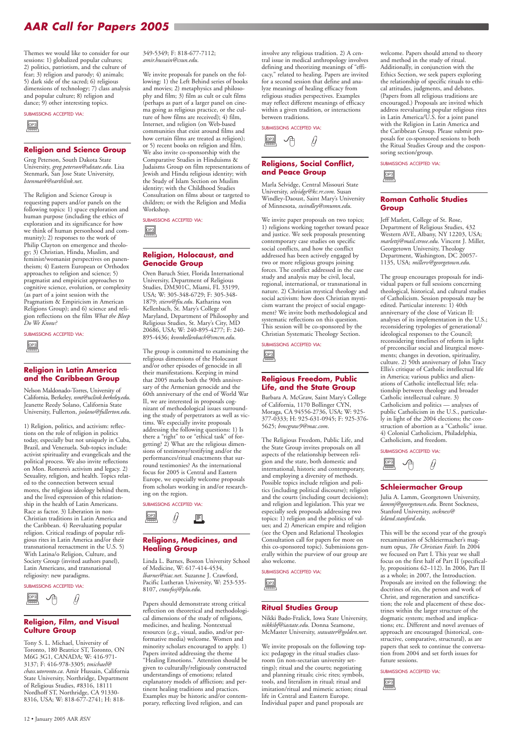Themes we would like to consider for our sessions: 1) globalized popular cultures; 2) politics, patriotism, and the culture of fear; 3) religion and parody; 4) animals; 5) dark side of the sacred; 6) religious dimensions of technology; 7) class analysis and popular culture; 8) religion and dance; 9) other interesting topics.

#### SUBMISSIONS ACCEPTED VIA:

#### **Religion and Science Group**

Greg Peterson, South Dakota State University, *greg.peterson@sdstate.edu*. Lisa Stenmark, San Jose State University, *lstenmark@earthlink.net*.

The Religion and Science Group is requesting papers and/or panels on the following topics: 1) space exploration and human purpose (including the ethics of exploration and its significance for how we think of human personhood and community); 2) responses to the work of Philip Clayton on emergence and theology; 3) Christian, Hindu, Muslim, and feminist/womanist perspectives on panentheism; 4) Eastern European or Orthodox approaches to religion and science; 5) pragmatist and empiricist approaches to cognitive science, evolution, or complexity (as part of a joint session with the Pragmatism & Empiricism in American Religions Group); and 6) science and religion reflections on the film *What the Bleep Do We Know?*

#### SUBMISSIONS ACCEPTED VIA:

#### **Religion in Latin America and the Caribbean Group**

Nelson Maldonado-Torres, University of California, Berkeley, *nmt@uclink.berkeley.edu*. Jeanette Reedy Solano, California State University, Fullerton, *jsolano@fullerton.edu*.

1) Religion, politics, and activism: reflections on the role of religion in politics today, especially but not uniquely in Cuba, Brazil, and Venezuela. Sub-topics include: activist spirituality and evangelicals and the political process. We also invite reflections on Mon. Romero's activism and legacy. 2) Sexuality, religion, and health. Topics related to the connection between sexual mores, the religious ideology behind them, and the lived expression of this relationship in the health of Latin Americans. Race as factor. 3) Liberation in non-Christian traditions in Latin America and the Caribbean. 4) Reevaluating popular religion. Critical readings of popular religious rites in Latin America and/or their transnational reenactment in the U.S. 5) With Latina/o Religion, Culture, and Society Group (invited authors panel), Latin Americans, and transnational religiosity: new paradigms.

SUBMISSIONS ACCEPTED VIA:

#### **Religion, Film, and Visual Culture Group**

Tony S. L. Michael, University of Toronto, 180 Beatrice ST, Toronto, ON M6G 3G1, CANADA; W: 416-971- 3137; F: 416-978-3305; *tmichael@ chass.utoronto.ca*. Amir Hussain, California State University, Northridge, Department of Religious Studies, #8316, 18111 Nordhoff ST, Northridge, CA 91330- 8316, USA; W: 818-677-2741; H: 818349-5349; F: 818-677-7112; *amir.hussain@csun.edu*.

We invite proposals for panels on the following: 1) the Left Behind series of books and movies; 2) metaphysics and philosophy and film; 3) film as cult or cult films (perhaps as part of a larger panel on cinema going as religious practice, or the culture of how films are received); 4) film, Internet, and religion (on Web-based communities that exist around films and how certain films are treated as religion); or 5) recent books on religion and film. We also invite co-sponsorship with the Comparative Studies in Hinduisms & Judaisms Group on film representations of Jewish and Hindu religious identity; with the Study of Islam Section on Muslim identity; with the Childhood Studies Consultation on films about or targeted to children; or with the Religion and Media Workshop.

#### **Religion, Holocaust, and Genocide Group**

Oren Baruch Stier, Florida International University, Department of Religious Studies, DM301C, Miami, FL 33199, USA; W: 305-348-6729; F: 305-348- 1879; *stiero@fiu.edu*. Katharina von Kellenbach, St. Mary's College of Maryland, Department of Philosophy and Religious Studies, St. Mary's City, MD 20686, USA; W: 240-895-4277; F: 240- 895-4436; *kvonkellenbach@smcm.edu*.

The group is committed to examining the religious dimensions of the Holocaust and/or other episodes of genocide in all their manifestations. Keeping in mind that 2005 marks both the 90th anniversary of the Armenian genocide and the 60th anniversary of the end of World War II, we are interested in proposals cognizant of methodological issues surrounding the study of perpetrators as well as victims. We especially invite proposals addressing the following questions: 1) Is there a "right" to or "ethical task" of forgetting? 2) What are the religious dimensions of testimony/testifying and/or the performances/ritual enactments that surround testimonies? As the international focus for 2005 is Central and Eastern Europe, we especially welcome proposals from scholars working in and/or researching on the region.

SUBMISSIONS ACCEPTED VIA:

#### **Religions, Medicines, and Healing Group**

Linda L. Barnes, Boston University School of Medicine, W: 617-414-4534, *lbarnes@tiac.net*. Suzanne J. Crawford, Pacific Lutheran University, W: 253-535- 8107, *crawfosj@plu.edu*.

Papers should demonstrate strong critical reflection on theoretical and methodological dimensions of the study of religions, medicines, and healing. Nontextual resources (e.g., visual, audio, and/or performative media) welcome. Women and minority scholars encouraged to apply. 1) Papers invited addressing the theme "Healing Emotions." Attention should be given to culturally/religiously constructed understandings of emotions; related explanatory models of affliction; and pertinent healing traditions and practices. Examples may be historic and/or contemporary, reflecting lived religion, and can

 $\underbrace{\fbox{0P3}}_{\fbox{\scriptsize{even}}}$ OP3



involve any religious tradition. 2) A central issue in medical anthropology involves defining and theorizing meanings of "efficacy," related to healing. Papers are invited for a second session that define and analyze meanings of healing efficacy from religious studies perspectives. Examples may reflect different meanings of efficacy within a given tradition, or interactions between traditions.



#### **Religions, Social Conflict, and Peace Group**

Marla Selvidge, Central Missouri State University, *selvidge@kc.rr.com*. Susan Windley-Daoust, Saint Mary's University of Minnesota, *swindley@smumn.edu*.



We invite paper proposals on two topics; 1) religions working together toward peace and justice. We seek proposals presenting contemporary case studies on specific social conflicts, and how the conflict addressed has been actively engaged by two or more religious groups joining forces. The conflict addressed in the case study and analysis may be civil, local, regional, international, or transnational in nature. 2) Christian mystical theology and social activism: how does Christian mysticism warrant the project of social engagement? We invite both methodological and systematic reflections on this question. This session will be co-sponsored by the Christian Systematic Theology Section.

SUBMISSIONS ACCEPTED VIA:

#### **Religious Freedom, Public Life, and the State Group**

Barbara A. McGraw, Saint Mary's College of California, 1170 Bollinger CYN, Moraga, CA 94556-2736, USA; W: 925- 377-0333; H: 925-631-0945; F: 925-376- 5625; *bmcgraw9@mac.com*.



The Religious Freedom, Public Life, and the State Group invites proposals on all aspects of the relationship between religion and the state, both domestic and international, historic and contemporary, and employing a diversity of methods. Possible topics include religion and politics (including political discourse); religion and the courts (including court decisions); and religion and legislation. This year we especially seek proposals addressing two topics: 1) religion and the politics of values; and 2) American empire and religion (see the Open and Relational Theologies Consultation call for papers for more on this co-sponsored topic). Submissions generally within the purview of our group are also welcome.

#### SUBMISSIONS ACCEPTED VIA:

### **Ritual Studies Group**

Nikki Bado-Fralick, Iowa State University, *nikkibf@iastate.edu*. Donna Seamone, McMaster University, *seawater@golden.net*.



We invite proposals on the following topics: pedagogy in the ritual studies classroom (in non-sectarian university settings); ritual and the courts; negotiating and planning rituals; civic rites; symbols, tools, and literalism in ritual; ritual and imitation/ritual and mimetic action; ritual life in Central and Eastern Europe. Individual paper and panel proposals are



welcome. Papers should attend to theory and method in the study of ritual. Additionally, in conjunction with the Ethics Section, we seek papers exploring the relationship of specific rituals to ethical attitudes, judgments, and debates. (Papers from all religious traditions are encouraged.) Proposals are invited which address reevaluating popular religious rites in Latin America/U.S. for a joint panel with the Religion in Latin America and the Caribbean Group. Please submit proposals for co-sponsored sessions to both the Ritual Studies Group and the cosponsoring section/group.

SUBMISSIONS ACCEPTED VIA:

#### **Roman Catholic Studies Group**



Jeff Marlett, College of St. Rose, Department of Religious Studies, 432 Western AVE, Albany, NY 12203, USA; *marlettj@mail.strose.edu*. Vincent J. Miller, Georgetown University, Theology Department, Washington, DC 20057- 1135, USA; *millerv@georgetown.edu*.



The group encourages proposals for individual papers or full sessions concerning theological, historical, and cultural studies of Catholicism. Session proposals may be edited. Particular interests: 1) 40th anniversary of the close of Vatican II: analyses of its implementation in the U.S.; reconsidering typologies of generational/ ideological responses to the Council; reconsidering timelines of reform in light of preconciliar social and liturgical movements; changes in devotion, spirituality, culture. 2) 50th anniversary of John Tracy Ellis's critique of Catholic intellectual life in America; various publics and alienations of Catholic intellectual life; relationship between theology and broader Catholic intellectual culture. 3) Catholicism and politics — analyses of public Catholicism in the U.S., particularly in light of the 2004 elections; the construction of abortion as a "Catholic" issue. 4) Colonial Catholicism, Philadelphia, Catholicism, and freedom.



#### SUBMISSIONS ACCEPTED VIA:

#### **Schleiermacher Group**

Julia A. Lamm, Georgetown University, *lammj@georgetown.edu*. Brent Sockness, Stanford University, *sockness@ leland.stanford.edu*.



This will be the second year of the group's reexamination of Schleiermacher's magnum opus, *The Christian Faith*. In 2004 we focused on Part I. This year we shall focus on the first half of Part II (specifically, propositions 62–112). In 2006, Part II as a whole; in 2007, the Introduction. Proposals are invited on the following: the doctrines of sin, the person and work of Christ, and regeneration and sanctification; the role and placement of these doctrines within the larger structure of the dogmatic system; method and implications; etc. Different and novel avenues of approach are encouraged (historical, constructive, comparative, structural), as are papers that seek to continue the conversation from 2004 and set forth issues for future sessions.

SUBMISSIONS ACCEPTED VIA:



12 • January 2005 AAR *RSN*

# *AAR Call for Papers 2005*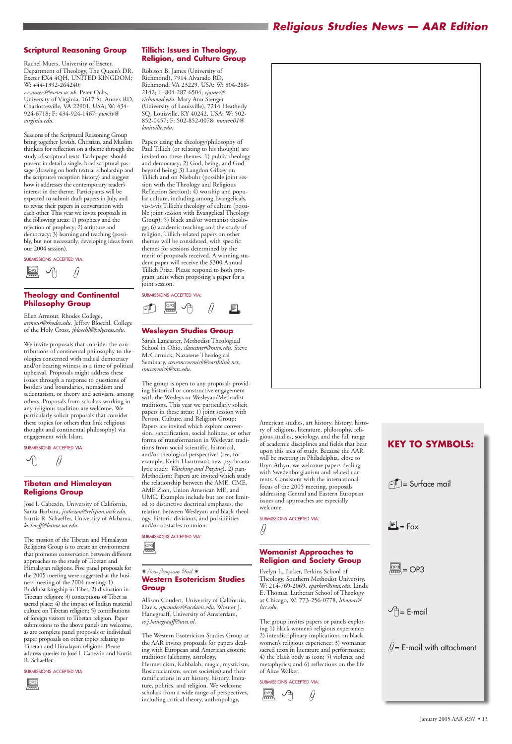

## *Religious Studies News — AAR Edition*

#### **Scriptural Reasoning Group**

Rachel Muers, University of Exeter, Department of Theology, The Queen's DR, Exeter EX4 4QH, UNITED KINGDOM; W: +44-1392-264240; *r.e.muers@exeter.ac.uk*. Peter Ochs,

University of Virginia, 1617 St. Anne's RD, Charlottesville, VA 22901, USA; W: 434- 924-6718; F: 434-924-1467; *pwo3v@ virginia.edu*.

Sessions of the Scriptural Reasoning Group bring together Jewish, Christian, and Muslim thinkers for reflection on a theme through the study of scriptural texts. Each paper should present in detail a single, brief scriptural passage (drawing on both textual scholarship and the scripture's reception history) and suggest how it addresses the contemporary reader's interest in the theme. Participants will be expected to submit draft papers in July, and to revise their papers in conversation with each other. This year we invite proposals in the following areas: 1) prophecy and the rejection of prophecy; 2) scripture and democracy; 3) learning and teaching (possibly, but not necessarily, developing ideas from our 2004 session).

#### SUBMISSIONS ACCEPTED VIA:

#### **Theology and Continental Philosophy Group**

Ellen Armour, Rhodes College, *armour@rhodes.edu*. Jeffrey Bloechl, College of the Holy Cross, *jbloechl@holycross.edu*.

We invite proposals that consider the contributions of continental philosophy to theologies concerned with radical democracy and/or bearing witness in a time of political upheaval. Proposals might address these issues through a response to questions of borders and boundaries, nomadism and sedentarism, or theory and activism, among others. Proposals from scholars working in any religious tradition are welcome. We particularly solicit proposals that consider these topics (or others that link religious thought and continental philosophy) via engagement with Islam.

#### SUBMISSIONS ACCEPTED VIA:



#### **Tibetan and Himalayan Religions Group**

José I. Cabezón, University of California, Santa Barbara, *jcabezon@religion.ucsb.edu*. Kurtis R. Schaeffer, University of Alabama, *kschaeff@bama.ua.edu*.

The mission of the Tibetan and Himalayan Religions Group is to create an environment that promotes conversation between different approaches to the study of Tibetan and Himalayan religions. Five panel proposals for the 2005 meeting were suggested at the business meeting of the 2004 meeting: 1) Buddhist kingship in Tibet; 2) divination in Tibetan religion; 3) conceptions of Tibet as sacred place; 4) the impact of Indian material culture on Tibetan religion; 5) contributions of foreign visitors to Tibetan religion. Paper submissions to the above panels are welcome, as are complete panel proposals or individual paper proposals on other topics relating to Tibetan and Himalayan religions. Please address queries to José I. Cabezón and Kurtis R. Schaeffer.

#### SUBMISSIONS ACCEPTED VIA:

#### **Tillich: Issues in Theology, Religion, and Culture Group**

Robison B. James (University of Richmond), 7914 Alvarado RD, Richmond, VA 23229, USA; W: 804-288- 2142; F: 804-287-6504; *rjames@ richmond.edu*. Mary Ann Stenger (University of Louisville), 7214 Heatherly SQ, Louisville, KY 40242, USA; W: 502- 852-0457; F: 502-852-0078; *masten01@ louisville.edu*.

Papers using the theology/philosophy of Paul Tillich (or relating to his thought) are invited on these themes: 1) public theology and democracy; 2) God, being, and God beyond being; 3) Langdon Gilkey on Tillich and on Niebuhr (possible joint session with the Theology and Religious Reflection Section); 4) worship and popular culture, including among Evangelicals, vis-à-vis Tillich's theology of culture (possible joint session with Evangelical Theology Group); 5) black and/or womanist theology; 6) academic teaching and the study of religion. Tillich-related papers on other themes will be considered, with specific themes for sessions determined by the merit of proposals received. A winning student paper will receive the \$300 Annual Tillich Prize. Please respond to both program units when proposing a paper for a joint session.



#### SUBMISSIONS ACCEPTED VIA:

#### **Wesleyan Studies Group**

Sarah Lancaster, Methodist Theological School in Ohio, *slancaster@mtso.edu*. Steve McCormick, Nazarene Theological Seminary, *stevemccormick@earthlink.net*; *smccormick@nts.edu*.

The group is open to any proposals providing historical or constructive engagement with the Wesleys or Wesleyan/Methodist traditions. This year we particularly solicit papers in these areas: 1) joint session with Person, Culture, and Religion Group: Papers are invited which explore conversion, sanctification, social holiness, or other forms of transformation in Wesleyan traditions from social scientific, historical, and/or theological perspectives (see, for example, Keith Haartman's new psychoanalytic study, *Watching and Praying*). 2) pan-Methodism: Papers are invited which study the relationship between the AME, CME, AME Zion, Union American ME, and UMC. Examples include but are not limited to distinctive doctrinal emphases, the relation between Wesleyan and black theology, historic divisions, and possibilities and/or obstacles to union.

SUBMISSIONS ACCEPTED VIA:

✷ *New Program Unit* ✷ **Western Esotericism Studies**

# **Group**

Allison Coudert, University of California, Davis, *apcoudert@ucdavis.edu*. Wouter J. Hanegraaff, University of Amsterdam, *w.j.hanegraaff@uva.nl*.



The Western Esotericism Studies Group at the AAR invites proposals for papers dealing with European and American esoteric traditions (alchemy, astrology, Hermeticism, Kabbalah, magic, mysticism, Rosicrucianism, secret societies) and their ramifications in art history, history, literature, politics, and religion. We welcome scholars from a wide range of perspectives, including critical theory, anthropology,

American studies, art history, history, history of religions, literature, philosophy, religious studies, sociology, and the full range of academic disciplines and fields that bear upon this area of study. Because the AAR will be meeting in Philadelphia, close to Bryn Athyn, we welcome papers dealing with Swedenborgianism and related currents. Consistent with the international focus of the 2005 meeting, proposals addressing Central and Eastern European issues and approaches are especially welcome.



#### SUBMISSIONS ACCEPTED VIA:

#### **Womanist Approaches to Religion and Society Group**

Evelyn L. Parker, Perkins School of Theology, Southern Methodist University,

W: 214-769-2069, *eparker@smu.edu*. Linda E. Thomas, Lutheran School of Theology at Chicago, W: 773-256-0778, *lthomas@ lstc.edu*.

The group invites papers or panels exploring 1) black women's religious experience; 2) interdisciplinary implications on black women's religious experience; 3) womanist sacred texts in literature and performance; 4) the black body as icon; 5) violence and metaphysics; and 6) reflections on the life of Alice Walker.

#### SUBMISSIONS ACCEPTED VIA:



## $\vee \uparrow$  = E-mail



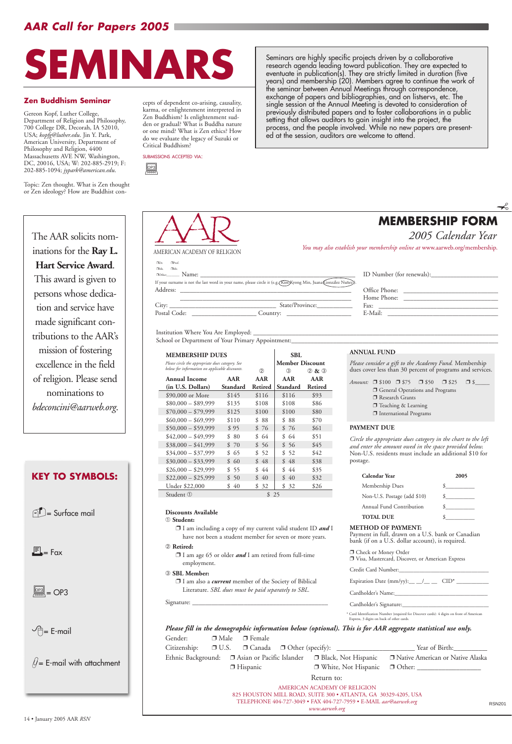# *AAR Call for Papers 2005*

**KEY TO SYMBOLS:**

 $\bigcap_{i=1}^n$  Surface mail

 $E_{\rm esc}$  Fax

The AAR solicits nominations for the **Ray L. Hart Service Award**. This award is given to persons whose dedication and service have made significant contributions to the AAR's mission of fostering excellence in the field of religion. Please send nominations to *bdeconcini@aarweb.org*.

| $\Box$ Dr.<br>$\Box$ Prof.                             |                                                                                                                                                                                                                                          |                           |
|--------------------------------------------------------|------------------------------------------------------------------------------------------------------------------------------------------------------------------------------------------------------------------------------------------|---------------------------|
| $\Box Mr$ .<br>$\Box$ Ms.<br>$\Box$ Other $\Box$ Name: |                                                                                                                                                                                                                                          | ID Number (for renewals): |
|                                                        | <u> 1980 - Jan Barbara, martin da basar da basar da basar da basar da basar da basar da basar da basar da basar</u><br>If your surname is not the last word in your name, please circle it (e.g. (Kim) Kyong Min, Juana Conzález Nuñez). |                           |
| Address:                                               | <u> 1980 - Jan Barat, margaret ar manar a shekara tsara a shekara tsara a shekara tsara a shekara tsara a shekara</u>                                                                                                                    | Office Phone:             |
|                                                        |                                                                                                                                                                                                                                          | Home Phone:               |
|                                                        | City:<br>State/Province:                                                                                                                                                                                                                 | $\Gamma$ Fax:             |
| Postal Code:                                           | Country:<br><u> 1986 - Jan Samuel Barbara, primeira e</u>                                                                                                                                                                                | E-Mail:                   |

Institution Where You Are Employed:

School or Department of Your Primary Appointment:

#### **MEMBERSHIP DUES** SBL

*You may also establish your membership online at* www.aarweb.org/membership. AMERICAN ACADEMY OF RELIGION

| Office Phone: |  |  |
|---------------|--|--|
| Home Phone:   |  |  |
| Fax:          |  |  |
| E-Mail:       |  |  |

#### **Discounts Available**

➀ **Student:**

❐ I am including a copy of my current valid student ID *and* I have not been a student member for seven or more years.

➁ **Retired:**

*Amount:* □ \$100 □ \$75 □ \$50 □ \$25 □ \$\_ □ General Operations and Programs ❐ Research Grants ❐ Teaching & Learning ❐ International Programs

- ❐ I am age 65 or older *and* I am retired from full-time employment.
- ➂ **SBL Member:**



❐ I am also a *current* member of the Society of Biblical Literature. *SBL dues must be paid separately to SBL.*

| $\lambda$ <sub>10</sub> m <sub>1t11</sub> re |  |
|----------------------------------------------|--|
|                                              |  |
| $-$                                          |  |
|                                              |  |

Cardholder's Name:

Cardholder's Signature:

RSN201

AMERICAN ACADEMY OF RELIGION 825 HOUSTON MILL ROAD, SUITE 300 • ATLANTA, GA 30329-4205, USA TELEPHONE 404-727-3049 • FAX 404-727-7959 • E-MAIL *aar@aarweb.org www.aarweb.org*

| Please circle the appropriate dues category. See<br>below for information on applicable discounts. | (2)      | <b>Member Discount</b><br>③ | $(2)$ & $(3)$            |         |
|----------------------------------------------------------------------------------------------------|----------|-----------------------------|--------------------------|---------|
| Annual Income                                                                                      | AAR      | AAR                         | AAR                      | AAR     |
| (in U.S. Dollars)                                                                                  | Standard | Retired<br>\$116            | <b>Standard</b><br>\$116 | Retired |
| \$90,000 or More                                                                                   | \$145    |                             |                          | \$93    |
| $$80,000 - $89,999$                                                                                | \$135    | \$108                       | \$108                    | \$86    |
| $$70,000 - $79,999$                                                                                | \$125    | \$100                       | \$100                    | \$80    |
| $$60,000 - $69,999$                                                                                | \$110    | \$88                        | \$<br>-88                | \$70    |
| $$50,000 - $59,999$                                                                                | \$95     | \$76                        | \$76                     | \$61    |
| $$42,000 - $49,999$                                                                                | \$80     | \$ 64                       | \$64                     | \$51    |
| $$38,000 - $41,999$                                                                                | \$70     | \$56                        | \$56                     | \$45    |
| $$34,000 - $37,999$                                                                                | \$65     | \$ 52                       | \$52                     | \$42    |
| $$30,000 - $33,999$                                                                                | \$60     | \$ 48                       | \$48                     | \$38    |
| $$26,000 - $29,999$                                                                                | \$55     | \$44                        | \$44                     | \$35    |
| $$22,000 - $25,999$                                                                                | \$50     | \$40                        | \$40                     | \$32    |
| Under \$22,000                                                                                     | \$40     | \$32                        | \$32                     | \$26    |
| Student ①                                                                                          |          | \$                          | 25                       |         |

#### **ANNUAL FUND**

*Please consider a gift to the Academy Fund.* Membership dues cover less than 30 percent of programs and services.

*Please fill in the demographic information below (optional). This is for AAR aggregate statistical use only.* Gender: □ Male □ Female Citizenship: □ U.S. □ Canada □ Other (specify): \_\_\_\_\_\_\_\_\_\_\_\_\_\_\_\_\_\_\_\_\_\_\_\_\_\_\_\_ Year of Birth:\_ Ethnic Background: □ Asian or Pacific Islander □ Black, Not Hispanic □ Native American or Native Alaskan ❐ Hispanic ❐ White, Not Hispanic ❐ Other: \_\_\_\_\_\_\_\_\_\_\_\_\_\_\_\_\_\_ Return to:

#### **PAYMENT DUE**

*Circle the appropriate dues category in the chart to the left and enter the amount owed in the space provided below.* Non-U.S. residents must include an additional \$10 for postage.

| Calendar Year               | 2005 |
|-----------------------------|------|
| Membership Dues             |      |
| Non-U.S. Postage (add \$10) |      |
| Annual Fund Contribution    |      |
| <b>TOTAL DUE</b>            |      |

#### **METHOD OF PAYMENT:**

Payment in full, drawn on a U.S. bank or Canadian bank (if on a U.S. dollar account), is required.

❐ Check or Money Order ❐ Visa, Mastercard, Discover, or American Express

Credit Card Number:

Expiration Date (mm/yy): $\_\_\_\_\_\_\_\_\_\_\_\_$  CID\*  $\_$ 

 $\frac{1}{\sqrt{2}}$  = OP3

 $\vee \uparrow$  = E-mail

 $\mathcal{U}$ = E-mail with attachment

\* Card Identification Number (required for Discover cards): 4 digits on front of American Express, 3 digits on back of other cards.

#### **Zen Buddhism Seminar**

Gereon Kopf, Luther College, Department of Religion and Philosophy, 700 College DR, Decorah, IA 52010, USA; *kopfg@luther.edu*. Jin Y. Park, American University, Department of Philosophy and Religion, 4400 Massachusetts AVE NW, Washington, DC, 20016, USA; W: 202-885-2919; F: 202-885-1094; *jypark@american.edu*.

Topic: Zen thought. What is Zen thought or Zen ideology? How are Buddhist con-

cepts of dependent co-arising, causality, karma, or enlightenment interpreted in Zen Buddhism? Is enlightenment sudden or gradual? What is Buddha nature or one mind? What is Zen ethics? How do we evaluate the legacy of Suzuki or Critical Buddhism?

SUBMISSIONS ACCEPTED VIA:





research agenda leading toward publication. They are expected to eventuate in publication(s). They are strictly limited in duration (five years) and membership (20). Members agree to continue the work of the seminar between Annual Meetings through correspondence, exchange of papers and bibliographies, and on listservs, etc. The single session at the Annual Meeting is devoted to consideration of previously distributed papers and to foster collaborations in a public setting that allows auditors to gain insight into the project, the process, and the people involved. While no new papers are presented at the session, auditors are welcome to attend.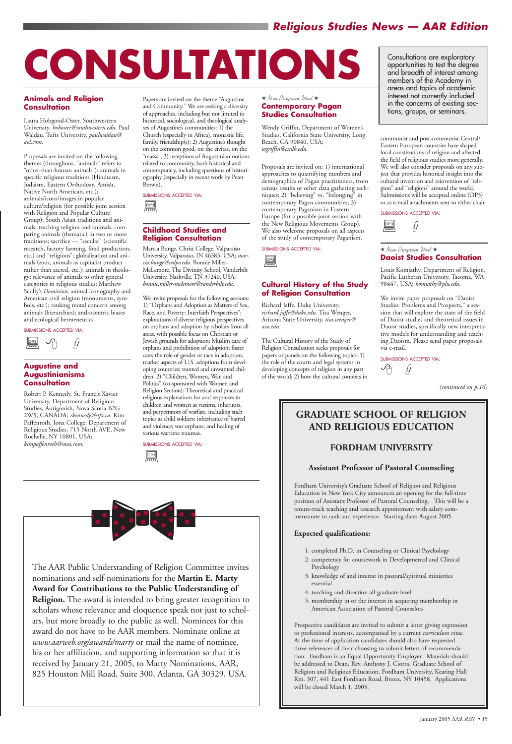#### **Animals and Religion Consultation**

Laura Hobgood-Oster, Southwestern University, *hoboster@southwestern.edu*. Paul Waldau, Tufts University, *paulwaldau@ aol.com*.

Proposals are invited on the following themes (throughout, "animals" refers to "other-than-human animals"): animals in specific religious traditions (Hinduism, Judaism, Eastern Orthodoxy, Amish, Native North American, etc.); animals/icons/images in popular culture/religion (for possible joint session with Religion and Popular Culture Group); South Asian traditions and animals; teaching religion and animals; comparing animals (thematic) in two or more traditions; sacrifice — "secular" (scientific research, factory farming, food production, etc.) and "religious"; globalization and animals (zoos, animals as capitalist product rather than sacred, etc.); animals in theology; relevance of animals to other general categories in religious studies; Matthew Scully's *Dominion*; animal iconography and American civil religion (monuments, symbols, etc.); ranking moral concern among animals (hierarchies); androcentric biases and ecological hermeneutics.

#### SUBMISSIONS ACCEPTED VIA:

#### **Augustine and Augustinianisms Consultation**

Robert P. Kennedy, St. Francis Xavier University, Department of Religious Studies, Antigonish, Nova Scotia B2G 2W5, CANADA; *rkennedy@stfx.ca*. Kim Paffenroth, Iona College, Department of Religious Studies, 715 North AVE, New Rochelle, NY 10801, USA; *kimpaffenroth@msn.com*.

Papers are invited on the theme "Augustine and Community." We are seeking a diversity of approaches, including but not limited to historical, sociological, and theological analyses of Augustine's communities: 1) the Church (especially in Africa), monastic life, family, friendship(s); 2) Augustine's thought on the common good, on the civitas, on the "massa"; 3) receptions of Augustinian notions related to community, both historical and contemporary, including questions of historiography (especially in recent work by Peter Brown).

#### **Childhood Studies and Religion Consultation**

Marcia Bunge, Christ College, Valparaiso University, Valparaiso, IN 46383, USA; *marcia.bunge@valpo.edu*. Bonnie Miller-McLemore, The Divinity School, Vanderbilt University, Nashville, TN 37240, USA; *bonnie.miller-mclemore@vanderbilt.edu*.

We invite proposals for the following sessions: 1) "Orphans and Adoption as Matters of Sex, Race, and Poverty: Interfaith Perspectives": explorations of diverse religious perspectives on orphans and adoption by scholars from all areas, with possible focus on Christian or Jewish grounds for adoption; Muslim care of orphans and prohibition of adoption; foster care; the role of gender or race in adoption; market aspects of U.S. adoptions from developing countries; wanted and unwanted children. 2) "Children, Women, War, and Politics" (co-sponsored with Women and Religion Section): Theoretical and practical religious explanations for and responses to children and women as victims, inheritors, and perpetrators of warfare, including such topics as child soldiers; inheritance of hatred and violence; war orphans; and healing of various wartime traumas.

SUBMISSIONS ACCEPTED VIA:



✷ *New Program Unit* ✷ **Contemporary Pagan Studies Consultation**

Wendy Griffin, Department of Women's Studies, California State University, Long Beach, CA 90840, USA; *wgriffin@csulb.edu*.

Proposals are invited on: 1) international approaches to quantifying numbers and demographics of Pagan practitioners, from census results or other data gathering techniques; 2) "believing" vs. "belonging" in contemporary Pagan communities; 3) contemporary Paganism in Eastern Europe (for a possible joint session with the New Religious Movements Group). We also welcome proposals on all aspects of the study of contemporary Paganism.

SUBMISSIONS ACCEPTED VIA:  $\begin{array}{c}\n\boxed{OP3} \\
\hline\n\end{array}$ OP3

SUBMISSIONS ACCEPTED VIA:

#### **Cultural History of the Study of Religion Consultation**

Richard Jaffe, Duke University, *richard.jaffe@duke.edu*. Tisa Wenger, Arizona State University, *tisa.wenger@ asu.edu*.

The Cultural History of the Study of Religion Consultation seeks proposals for papers or panels on the following topics: 1) the role of the courts and legal systems in developing concepts of religion in any part of the world; 2) how the cultural contexts in





communist and post-communist Central/ Eastern European countries have shaped local constitutions of religion and affected the field of religious studies more generally. We will also consider proposals on any subject that provides historical insight into the cultural invention and reinvention of "religion" and "religions" around the world. Submissions will be accepted online (OP3) or as e-mail attachments sent to either chair.



SUBMISSIONS ACCEPTED VIA:

#### ✷ *New Program Unit* ✷ **Daoist Studies Consultation**

Louis Komjathy, Department of Religion, Pacific Lutheran University, Tacoma, WA 98447, USA; *komjathy@plu.edu*.



We invite paper proposals on "Daoist Studies: Problems and Prospects," a session that will explore the state of the field of Daoist studies and theoretical issues in Daoist studies, specifically new interpretative models for understanding and teaching Daoism. Please send paper proposals via e-mail.

SUBMISSIONS ACCEPTED VIA:

√ලි Ų

January 2005 AAR *RSN* • 15

# *Religious Studies News — AAR Edition*

The AAR Public Understanding of Religion Committee invites nominations and self-nominations for the **Martin E. Marty**

**Award for Contributions to the Public Understanding of Religion.** The award is intended to bring greater recognition to scholars whose relevance and eloquence speak not just to scholars, but more broadly to the public as well. Nominees for this award do not have to be AAR members. Nominate online at *www.aarweb.org/awards/marty* or mail the name of nominee, his or her affiliation, and supporting information so that it is received by January 21, 2005, to Marty Nominations, AAR, 825 Houston Mill Road, Suite 300, Atlanta, GA 30329, USA.

# **GRADUATE SCHOOL OF RELIGION AND RELIGIOUS EDUCATION**

#### **FORDHAM UNIVERSITY**

#### **Assistant Professor of Pastoral Counseling**

Fordham University's Graduate School of Religion and Religious Education in New York City announces an opening for the full-time position of Assistant Professor of Pastoral Counseling. This will be a tenure-track teaching and research appointment with salary commensurate to rank and experience. Starting date: August 2005.

#### **Expected qualifications:**

- 1. completed Ph.D. in Counseling or Clinical Psychology
- 2. competency for coursework in Developmental and Clinical Psychology
- 3. knowledge of and interest in pastoral/spiritual ministries

essential

4. teaching and direction all graduate level

5. membership in or the interest in acquiring membership in American Association of Pastoral Counselors

Prospective candidates are invited to submit a letter giving expression to professional interests, accompanied by a current *curriculum vitae.* At the time of application candidates should also have requested three references of their choosing to submit letters of recommendation. Fordham is an Equal Opportunity Employer. Materials should be addressed to Dean, Rev. Anthony J. Ciorra, Graduate School of Religion and Religious Education, Fordham University, Keating Hall Rm. 307, 441 East Fordham Road, Bronx, NY 10458. Applications will be closed March 1, 2005.

Consultations are exploratory opportunities to test the degree and breadth of interest among members of the Academy in areas and topics of academic interest not currently included in the concerns of existing sections, groups, or seminars.



*(continued on p.16)*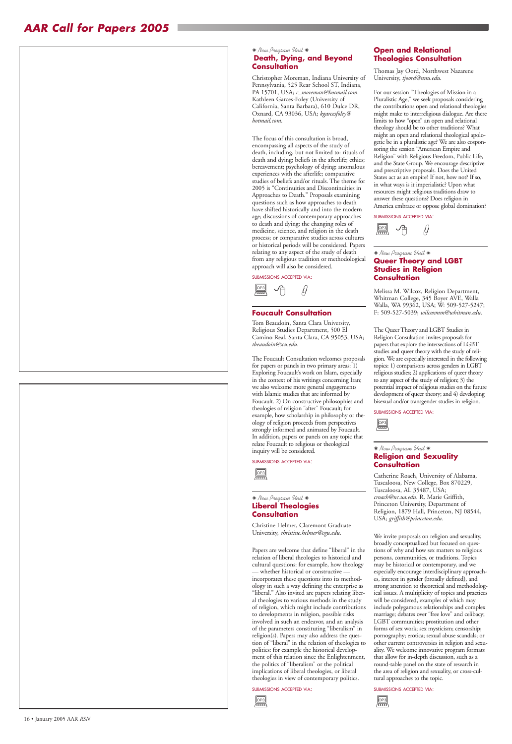✷ *New Program Unit* ✷

#### **Death, Dying, and Beyond Consultation**

Christopher Moreman, Indiana University of Pennsylvania, 525 Rear School ST, Indiana, PA 15701, USA; *c\_moreman@hotmail.com*. Kathleen Garces-Foley (University of California, Santa Barbara), 610 Dulce DR, Oxnard, CA 93036, USA; *kgarcesfoley@ hotmail.com*.

The focus of this consultation is broad, encompassing all aspects of the study of death, including, but not limited to: rituals of death and dying; beliefs in the afterlife; ethics; bereavement; psychology of dying; anomalous experiences with the afterlife; comparative studies of beliefs and/or rituals. The theme for 2005 is "Continuities and Discontinuities in Approaches to Death." Proposals examining questions such as how approaches to death have shifted historically and into the modern age; discussions of contemporary approaches to death and dying; the changing roles of medicine, science, and religion in the death process; or comparative studies across cultures or historical periods will be considered. Papers relating to any aspect of the study of death from any religious tradition or methodological approach will also be considered.

SUBMISSIONS ACCEPTED VIA:

#### **Foucault Consultation**

Tom Beaudoin, Santa Clara University, Religious Studies Department, 500 El Camino Real, Santa Clara, CA 95053, USA; *tbeaudoin@scu.edu*.

The Foucault Consultation welcomes proposals for papers or panels in two primary areas: 1) Exploring Foucault's work on Islam, especially in the context of his writings concerning Iran; we also welcome more general engagements with Islamic studies that are informed by Foucault. 2) On constructive philosophies and theologies of religion "after" Foucault; for example, how scholarship in philosophy or theology of religion proceeds from perspectives strongly informed and animated by Foucault. In addition, papers or panels on any topic that relate Foucault to religious or theological inquiry will be considered.

SUBMISSIONS ACCEPTED VIA:

#### ✷ *New Program Unit* ✷ **Liberal Theologies Consultation**

Christine Helmer, Claremont Graduate University, *christine.helmer@cgu.edu*.

Papers are welcome that define "liberal" in the relation of liberal theologies to historical and cultural questions: for example, how theology — whether historical or constructive incorporates these questions into its methodology in such a way defining the enterprise as "liberal." Also invited are papers relating liberal theologies to various methods in the study of religion, which might include contributions to developments in religion, possible risks involved in such an endeavor, and an analysis of the parameters constituting "liberalism" in religion(s). Papers may also address the question of "liberal" in the relation of theologies to politics: for example the historical development of this relation since the Enlightenment, the politics of "liberalism" or the political implications of liberal theologies, or liberal theologies in view of contemporary politics.

#### SUBMISSIONS ACCEPTED VIA:

#### **Open and Relational Theologies Consultation**

Thomas Jay Oord, Northwest Nazarene University, *tjoord@nnu.edu*.

For our session "Theologies of Mission in a Pluralistic Age," we seek proposals considering the contributions open and relational theologies might make to interreligious dialogue. Are there limits to how "open" an open and relational theology should be to other traditions? What might an open and relational theological apologetic be in a pluralistic age? We are also cosponsoring the session "American Empire and Religion" with Religious Freedom, Public Life, and the State Group. We encourage descriptive and prescriptive proposals. Does the United States act as an empire? If not, how not? If so, in what ways is it imperialistic? Upon what resources might religious traditions draw to answer these questions? Does religion in America embrace or oppose global domination?



SUBMISSIONS ACCEPTED VIA:

#### ✷ *New Program Unit* ✷ **Queer Theory and LGBT Studies in Religion Consultation**



Melissa M. Wilcox, Religion Department, Whitman College, 345 Boyer AVE, Walla Walla, WA 99362, USA; W: 509-527-5247; F: 509-527-5039; *wilcoxmm@whitman.edu*.

The Queer Theory and LGBT Studies in Religion Consultation invites proposals for papers that explore the intersections of LGBT studies and queer theory with the study of religion. We are especially interested in the following topics: 1) comparisons across genders in LGBT religious studies; 2) applications of queer theory to any aspect of the study of religion; 3) the potential impact of religious studies on the future development of queer theory; and 4) developing bisexual and/or transgender studies in religion.



SUBMISSIONS ACCEPTED VIA:

#### ✷ *New Program Unit* ✷ **Religion and Sexuality Consultation**

Catherine Roach, University of Alabama, Tuscaloosa, New College, Box 870229, Tuscaloosa, AL 35487, USA; *croach@nc.ua.edu*. R. Marie Griffith, Princeton University, Department of Religion, 1879 Hall, Princeton, NJ 08544, USA; *griffith@princeton.edu*.





We invite proposals on religion and sexuality, broadly conceptualized but focused on questions of why and how sex matters to religious persons, communities, or traditions. Topics may be historical or contemporary, and we especially encourage interdisciplinary approaches, interest in gender (broadly defined), and strong attention to theoretical and methodological issues. A multiplicity of topics and practices will be considered, examples of which may include polygamous relationships and complex marriage; debates over "free love" and celibacy; LGBT communities; prostitution and other forms of sex work; sex mysticism; censorship; pornography; erotica; sexual abuse scandals; or other current controversies in religion and sexuality. We welcome innovative program formats that allow for in-depth discussion, such as a round-table panel on the state of research in the area of religion and sexuality, or cross-cultural approaches to the topic.

SUBMISSIONS ACCEPTED VIA:

 $\boxed{\text{OP3}}$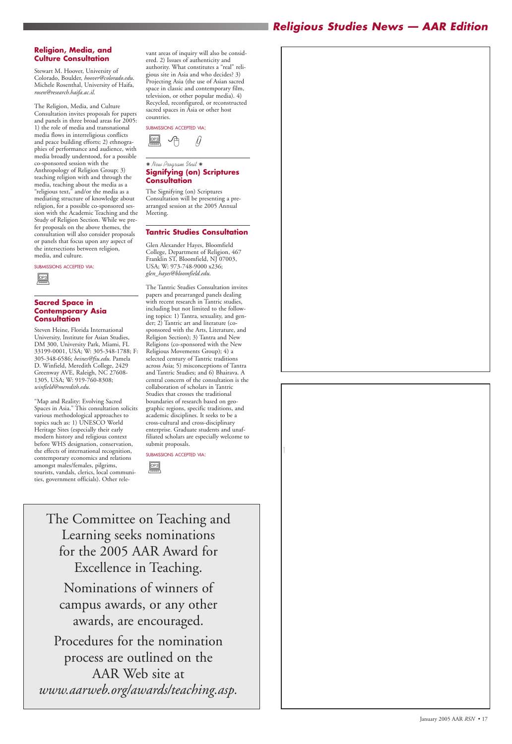# *Religious Studies News — AAR Edition*

The Committee on Teaching and Learning seeks nominations for the 2005 AAR Award for Excellence in Teaching.





Nominations of winners of campus awards, or any other awards, are encouraged. Procedures for the nomination process are outlined on the AAR Web site at *www.aarweb.org/awards/teaching.asp.*

#### **Religion, Media, and Culture Consultation**

Stewart M. Hoover, University of Colorado, Boulder, *hoover@colorado.edu*. Michele Rosenthal, University of Haifa, *rosen@research.haifa.ac.il*.

The Religion, Media, and Culture Consultation invites proposals for papers and panels in three broad areas for 2005: 1) the role of media and transnational media flows in interreligious conflicts and peace building efforts; 2) ethnographies of performance and audience, with media broadly understood, for a possible co-sponsored session with the Anthropology of Religion Group; 3) teaching religion with and through the media, teaching about the media as a "religious text," and/or the media as a mediating structure of knowledge about religion, for a possible co-sponsored session with the Academic Teaching and the Study of Religion Section. While we prefer proposals on the above themes, the consultation will also consider proposals or panels that focus upon any aspect of the intersections between religion, media, and culture.

SUBMISSIONS ACCEPTED VIA:

#### **Sacred Space in Contemporary Asia Consultation**

Steven Heine, Florida International University, Institute for Asian Studies, DM 300, University Park, Miami, FL 33199-0001, USA; W: 305-348-1788; F: 305-348-6586; *heines@fiu.edu*. Pamela D. Winfield, Meredith College, 2429 Greenway AVE, Raleigh, NC 27608- 1305, USA; W: 919-760-8308; *winfield@meredith.edu*.

 $\underbrace{\fbox{0P3}}_{\fbox{\scriptsize{even}}}$ OP3

"Map and Reality: Evolving Sacred Spaces in Asia." This consultation solicits various methodological approaches to topics such as: 1) UNESCO World Heritage Sites (especially their early modern history and religious context before WHS designation, conservation, the effects of international recognition, contemporary economics and relations amongst males/females, pilgrims, tourists, vandals, clerics, local communities, government officials). Other rele-

vant areas of inquiry will also be considered. 2) Issues of authenticity and authority. What constitutes a "real" religious site in Asia and who decides? 3) Projecting Asia (the use of Asian sacred space in classic and contemporary film, television, or other popular media). 4) Recycled, reconfigured, or reconstructed sacred spaces in Asia or other host countries.

SUBMISSIONS ACCEPTED VIA:

#### ✷ *New Program Unit* ✷ **Signifying (on) Scriptures Consultation**



The Signifying (on) Scriptures Consultation will be presenting a prearranged session at the 2005 Annual Meeting.

#### **Tantric Studies Consultation**

Glen Alexander Hayes, Bloomfield College, Department of Religion, 467 Franklin ST, Bloomfield, NJ 07003, USA; W: 973-748-9000 x236; *glen\_hayes@bloomfield.edu*.

The Tantric Studies Consultation invites papers and prearranged panels dealing with recent research in Tantric studies, including but not limited to the following topics: 1) Tantra, sexuality, and gender; 2) Tantric art and literature (cosponsored with the Arts, Literature, and Religion Section); 3) Tantra and New Religions (co-sponsored with the New Religious Movements Group); 4) a selected century of Tantric traditions across Asia; 5) misconceptions of Tantra and Tantric Studies; and 6) Bhairava. A central concern of the consultation is the collaboration of scholars in Tantric Studies that crosses the traditional boundaries of research based on geographic regions, specific traditions, and academic disciplines. It seeks to be a cross-cultural and cross-disciplinary enterprise. Graduate students and unaffiliated scholars are especially welcome to submit proposals.

SUBMISSIONS ACCEPTED VIA:

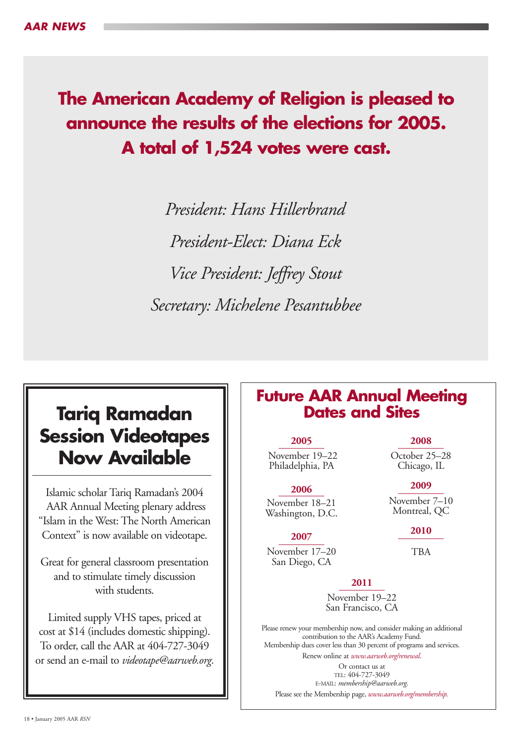# **The American Academy of Religion is pleased to announce the results of the elections for 2005. A total of 1,524 votes were cast.**

*President: Hans Hillerbrand President-Elect: Diana Eck Vice President: Jeffrey Stout Secretary: Michelene Pesantubbee*

# **Tariq Ramadan Session Videotapes Now Available**

Islamic scholar Tariq Ramadan's 2004 AAR Annual Meeting plenary address "Islam in the West: The North American Context" is now available on videotape.

Great for general classroom presentation and to stimulate timely discussion

# with students.

Limited supply VHS tapes, priced at cost at \$14 (includes domestic shipping). To order, call the AAR at 404-727-3049 or send an e-mail to *videotape@aarweb.org*.

# **Future AAR Annual Meeting Dates and Sites**

**2011 \_\_\_\_\_\_\_\_\_** 

November 19–22 San Francisco, CA

Please renew your membership now, and consider making an additional contribution to the AAR's Academy Fund. Membership dues cover less than 30 percent of programs and services.

Renew online at *www.aarweb.org/renewal*.

Or contact us at TEL: 404-727-3049 E-MAIL: *membership@aarweb.org*. Please see the Membership page, *www.aarweb.org/membership.*

# **2005 \_\_\_\_\_\_\_\_\_**

November 19–22 Philadelphia, PA

**\_\_\_\_\_\_\_\_\_ 2006** November 18–21 Washington, D.C.

# **2007 \_\_\_\_\_\_\_\_\_**

November 17–20 San Diego, CA

## **2008 \_\_\_\_\_\_\_\_\_**

October 25–28 Chicago, IL

# **2009 \_\_\_\_\_\_\_\_\_**

November 7–10 Montreal, QC

## **2010 \_\_\_\_\_\_\_\_\_**

TBA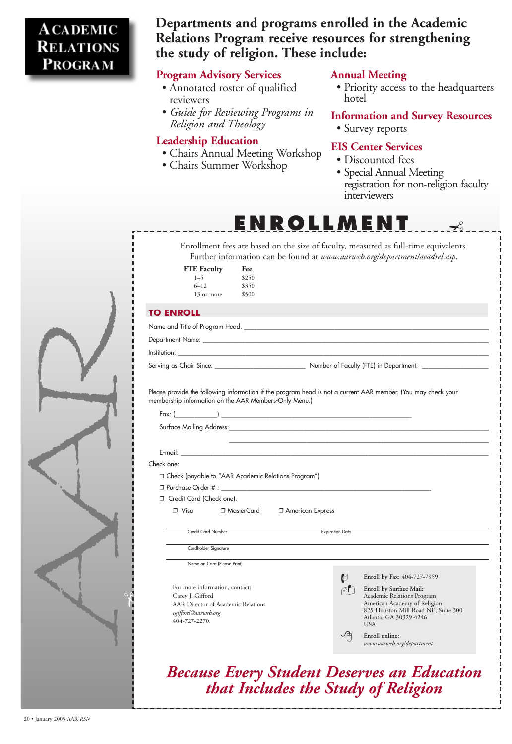# **Program Advisory Services**

- Annotated roster of qualified reviewers
- *Guide for Reviewing Programs in Religion and Theology*

# **Leadership Education**

- Chairs Annual Meeting Workshop
- Chairs Summer Workshop

# **Annual Meeting**

- Discounted fees
- Special Annual Meeting registration for non-religion faculty interviewers

• Priority access to the headquarters hotel

# **Information and Survey Resources**

• Survey reports

# **EIS Center Services**



✃

Enroll by Surface Mail: Academic Relations Program American Academy of Religion 825 Houston Mill Road NE, Suite 300 Atlanta, GA 30329-4246 USA



| Enrollment fees are based on the size of faculty, measured as full-time equivalents.<br>Further information can be found at www.aarweb.org/department/acadrel.asp. |
|--------------------------------------------------------------------------------------------------------------------------------------------------------------------|
| <b>FTE</b> Faculty<br>Fee<br>$1 - 5$<br>\$250                                                                                                                      |
| $6 - 12$<br>\$350<br>\$500                                                                                                                                         |
| 13 or more                                                                                                                                                         |
| <b>TO ENROLL</b>                                                                                                                                                   |
|                                                                                                                                                                    |
|                                                                                                                                                                    |
|                                                                                                                                                                    |
|                                                                                                                                                                    |
| membership information on the AAR Members-Only Menu.)                                                                                                              |
|                                                                                                                                                                    |
| Check one:                                                                                                                                                         |
| □ Check (payable to "AAR Academic Relations Program")                                                                                                              |
| Credit Card (Check one):                                                                                                                                           |
| $\Box$ Visa<br>□ MasterCard<br><b>J</b> American Express                                                                                                           |
|                                                                                                                                                                    |
| Credit Card Number<br><b>Expiration Date</b>                                                                                                                       |
| Cardholder Signature                                                                                                                                               |
|                                                                                                                                                                    |
| Name on Card (Please Print)                                                                                                                                        |
| $\mathbb{C}$<br>Enroll by Fax: 404-727-7959                                                                                                                        |

For more information, contact: Carey J. Gifford AAR Director of Academic Relations *cgifford@aarweb.org* 404-727-2270.

# *Because Every Student Deserves an Education that Includes the Study of Religion*

 **Enroll online:**  *www.aarweb.org/department*

# **ACADEMIC RELATIONS** PROGRAM

# **Departments and programs enrolled in the Academic Relations Program receive resources for strengthening the study of religion. These include:**

**ENROLLMENT** 

20 • January 2005 AAR *RSN*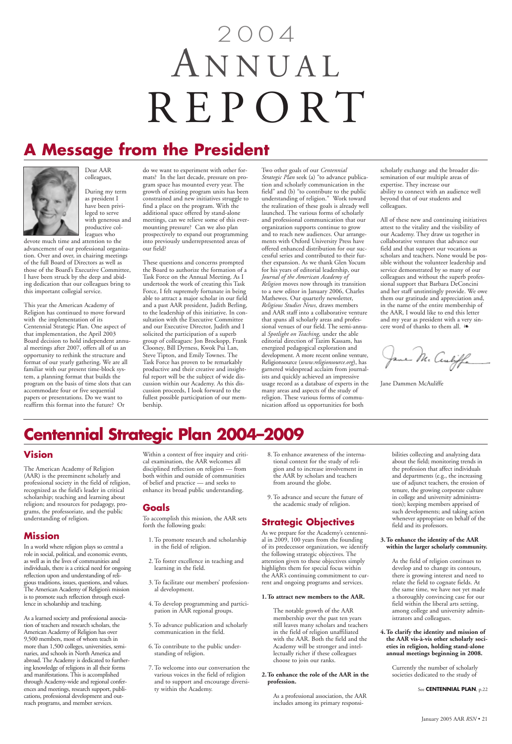# **A Message from the President**



Dear AAR colleagues,

During my term as president I have been privileged to serve with generous and productive colleagues who

devote much time and attention to the advancement of our professional organization. Over and over, in chairing meetings of the full Board of Directors as well as those of the Board's Executive Committee, I have been struck by the deep and abiding dedication that our colleagues bring to this important collegial service.

This year the American Academy of Religion has continued to move forward with the implementation of its Centennial Strategic Plan. One aspect of that implementation, the April 2003 Board decision to hold independent annual meetings after 2007, offers all of us an opportunity to rethink the structure and format of our yearly gathering. We are all familiar with our present time-block system, a planning format that builds the program on the basis of time slots that can accommodate four or five sequential papers or presentations. Do we want to reaffirm this format into the future? Or

do we want to experiment with other formats? In the last decade, pressure on program space has mounted every year. The growth of existing program units has been constrained and new initiatives struggle to find a place on the program. With the additional space offered by stand-alone meetings, can we relieve some of this evermounting pressure? Can we also plan prospectively to expand out programming into previously underrepresented areas of our field?

These questions and concerns prompted the Board to authorize the formation of a Task Force on the Annual Meeting. As I undertook the work of creating this Task Force, I felt supremely fortunate in being able to attract a major scholar in our field and a past AAR president, Judith Berling, to the leadership of this initiative. In consultation with the Executive Committee and our Executive Director, Judith and I solicited the participation of a superb group of colleagues: Jon Brockopp, Frank Clooney, Bill Dyrness, Kwok Pui Lan, Steve Tipton, and Emily Townes. The Task Force has proven to be remarkably productive and their creative and insightful report will be the subject of wide discussion within our Academy. As this discussion proceeds, I look forward to the fullest possible participation of our membership.

Two other goals of our *Centennial Strategic Plan* seek (a) "to advance publication and scholarly communication in the field" and (b) "to contribute to the public understanding of religion." Work toward the realization of these goals is already well launched. The various forms of scholarly and professional communication that our organization supports continue to grow and to reach new audiences. Our arrangements with Oxford University Press have offered enhanced distribution for our successful series and contributed to their further expansion. As we thank Glen Yocum for his years of editorial leadership, our *Journal of the American Academy of Religion* moves now through its transition to a new editor in January 2006, Charles Mathewes. Our quarterly newsletter, *Religious Studies News,* draws members and AAR staff into a collaborative venture that spans all scholarly areas and professional venues of our field. The semi-annual *Spotlight on Teaching*, under the able editorial direction of Tazim Kassam, has energized pedagogical exploration and development. A more recent online venture, Religionsource (*www.religionsource.org*), has garnered widespread acclaim from journalists and quickly achieved an impressive usage record as a database of experts in the many areas and aspects of the study of religion. These various forms of communication afford us opportunities for both

scholarly exchange and the broader dissemination of our multiple areas of expertise. They increase our ability to connect with an audience well beyond that of our students and colleagues.

All of these new and continuing initiatives attest to the vitality and the visibility of our Academy. They draw us together in collaborative ventures that advance our field and that support our vocations as scholars and teachers. None would be possible without the volunteer leadership and service demonstrated by so many of our colleagues and without the superb professional support that Barbara DeConcini and her staff unstintingly provide. We owe them our gratitude and appreciation and, in the name of the entire membership of the AAR, I would like to end this letter and my year as president with a very sincere word of thanks to them all. ❧

Jame M. Centiffe

Jane Dammen McAuliffe

# 2004 A NNUAL REPORT

#### **Vision**

The American Academy of Religion (AAR) is the preeminent scholarly and professional society in the field of religion, recognized as the field's leader in critical scholarship; teaching and learning about religion; and resources for pedagogy, programs, the professoriate, and the public understanding of religion.

## **Mission**

In a world where religion plays so central a role in social, political, and economic events, as well as in the lives of communities and individuals, there is a critical need for ongoing reflection upon and understanding of religious traditions, issues, questions, and values. The American Academy of Religion's mission is to promote such reflection through excellence in scholarship and teaching.

As a learned society and professional association of teachers and research scholars, the American Academy of Religion has over 9,500 members, most of whom teach in more than 1,500 colleges, universities, seminaries, and schools in North America and abroad. The Academy is dedicated to furthering knowledge of religions in all their forms and manifestations. This is accomplished through Academy-wide and regional conferences and meetings, research support, publications, professional development and outreach programs, and member services.

Within a context of free inquiry and critical examination, the AAR welcomes all disciplined reflection on religion — from both within and outside of communities of belief and practice — and seeks to enhance its broad public understanding.

#### **Goals**

To accomplish this mission, the AAR sets forth the following goals:

- 1. To promote research and scholarship in the field of religion.
- 2. To foster excellence in teaching and learning in the field.
- 

3. To facilitate our members' professional development.

4. To develop programming and participation in AAR regional groups.

5. To advance publication and scholarly communication in the field.

- 6. To contribute to the public understanding of religion.
- 7. To welcome into our conversation the various voices in the field of religion and to support and encourage diversity within the Academy.
- 8. To enhance awareness of the international context for the study of religion and to increase involvement in the AAR by scholars and teachers from around the globe.
- 9. To advance and secure the future of the academic study of religion.

# **Strategic Objectives**

As we prepare for the Academy's centennial in 2009, 100 years from the founding of its predecessor organization, we identify the following strategic objectives. The attention given to these objectives simply highlights them for special focus within the AAR's continuing commitment to cur-

rent and ongoing programs and services.

#### **1.To attract new members to the AAR.**

The notable growth of the AAR membership over the past ten years still leaves many scholars and teachers in the field of religion unaffiliated with the AAR. Both the field and the Academy will be stronger and intellectually richer if these colleagues choose to join our ranks.

#### **2.To enhance the role of the AAR in the profession.**

As a professional association, the AAR includes among its primary responsibilities collecting and analyzing data about the field; monitoring trends in the profession that affect individuals and departments (e.g., the increasing use of adjunct teachers, the erosion of tenure, the growing corporate culture in college and university administration); keeping members apprised of such developments; and taking action whenever appropriate on behalf of the field and its professors.

#### **3. To enhance the identity of the AAR within the larger scholarly community.**

As the field of religion continues to develop and to change its contours, there is growing interest and need to relate the field to cognate fields. At the same time, we have not yet made a thoroughly convincing case for our field within the liberal arts setting, among college and university administrators and colleagues.

**4.To clarify the identity and mission of the AAR vis-à-vis other scholarly societies in religion, holding stand-alone annual meetings beginning in 2008.**

> Currently the number of scholarly societies dedicated to the study of

> > See **CENTENNIAL PLAN**, p.22

# **Centennial Strategic Plan 2004–2009**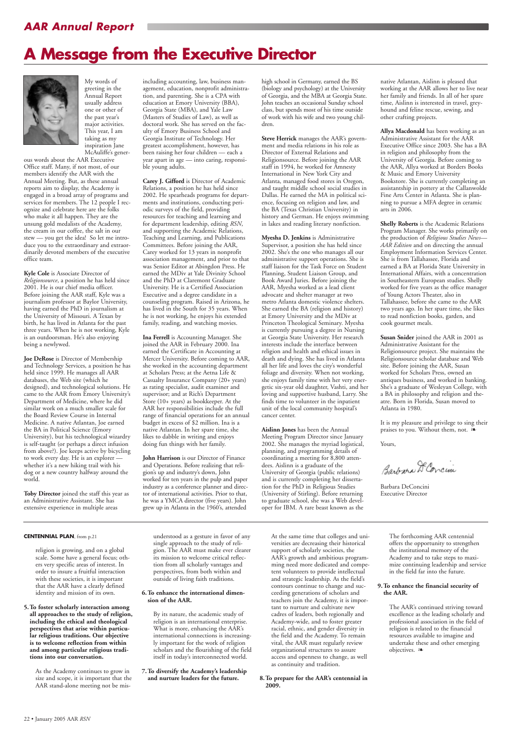# *AAR Annual Report*

**CENTENNIAL PLAN**, from p.21

religion is growing, and on a global scale. Some have a general focus; others very specific areas of interest. In order to insure a fruitful interaction with these societies, it is important

that the AAR have a clearly defined identity and mission of its own.

**5.To foster scholarly interaction among all approaches to the study of religion, including the ethical and theological perspectives that arise within particular religious traditions. Our objective is to welcome reflection from within and among particular religious traditions into our conversation.**

> As the Academy continues to grow in size and scope, it is important that the AAR stand-alone meeting not be mis-

understood as a gesture in favor of any single approach to the study of religion. The AAR must make ever clearer its mission to welcome critical reflection from all scholarly vantages and perspectives, from both within and outside of living faith traditions.

#### **6.To enhance the international dimension of the AAR.**

By its nature, the academic study of religion is an international enterprise. What is more, enhancing the AAR's international connections is increasingly important for the work of religion scholars and the flourishing of the field itself in today's interconnected world.

**7.To diversify the Academy's leadership and nurture leaders for the future.**

At the same time that colleges and universities are decreasing their historical support of scholarly societies, the AAR's growth and ambitious programming need more dedicated and competent volunteers to provide intellectual and strategic leadership. As the field's contours continue to change and succeeding generations of scholars and teachers join the Academy, it is important to nurture and cultivate new cadres of leaders, both regionally and Academy-wide, and to foster greater racial, ethnic, and gender diversity in the field and the Academy. To remain vital, the AAR must regularly review organizational structures to assure access and openness to change, as well as continuity and tradition.

#### **8.To prepare for the AAR's centennial in 2009.**

The forthcoming AAR centennial offers the opportunity to strengthen the institutional memory of the Academy and to take steps to maximize continuing leadership and service in the field far into the future.

**9.To enhance the financial security of the AAR.**

> The AAR's continued striving toward excellence as the leading scholarly and professional association in the field of religion is related to the financial resources available to imagine and undertake these and other emerging objectives. ❧

My words of greeting in the Annual Report usually address one or other of the past year's major activities. This year, I am taking as my inspiration Jane McAuliffe's gener-

ous words about the AAR Executive Office staff. Many, if not most, of our members identify the AAR with the Annual Meeting. But, as these annual reports aim to display, the Academy is engaged in a broad array of programs and services for members. The 12 people I recognize and celebrate here are the folks who make it all happen. They are the unsung gold medalists of the Academy, the cream in our coffee, the salt in our stew — you get the idea! So let me introduce you to the extraordinary and extraordinarily devoted members of the executive office team.

**Kyle Cole** is Associate Director of *Religionsource*, a position he has held since 2001. He is our chief media officer. Before joining the AAR staff, Kyle was a journalism professor at Baylor University, having earned the PhD in journalism at the University of Missouri. A Texan by birth, he has lived in Atlanta for the past three years. When he is not working, Kyle is an outdoorsman. He's also enjoying being a newlywed.

**Joe DeRose** is Director of Membership and Technology Services, a position he has held since 1999. He manages all AAR databases, the Web site (which he designed), and technological solutions. He came to the AAR from Emory University's Department of Medicine, where he did similar work on a much smaller scale for the Board Review Course in Internal Medicine. A native Atlantan, Joe earned the BA in Political Science (Emory University), but his technological wizardry is self-taught (or perhaps a direct infusion from above?). Joe keeps active by bicycling to work every day. He is an explorer whether it's a new hiking trail with his dog or a new country halfway around the world.

**Toby Director** joined the staff this year as an Administrative Assistant. She has extensive experience in multiple areas

including accounting, law, business management, education, nonprofit administration, and parenting. She is a CPA with education at Emory University (BBA), Georgia State (MBA), and Yale Law (Masters of Studies of Law), as well as doctoral work. She has served on the faculty of Emory Business School and Georgia Institute of Technology. Her greatest accomplishment, however, has been raising her four children — each a year apart in age — into caring, responsible young adults.

> It is my pleasure and privilege to sing their praises to you. Without them, not. <sup>≽</sup>

**Carey J. Gifford** is Director of Academic Relations, a position he has held since 2002. He spearheads programs for departments and institutions, conducting periodic surveys of the field, providing resources for teaching and learning and for department leadership, editing *RSN*, and supporting the Academic Relations, Teaching and Learning, and Publications Committees. Before joining the AAR, Carey worked for 13 years in nonprofit association management, and prior to that was Senior Editor at Abingdon Press. He earned the MDiv at Yale Divinity School and the PhD at Claremont Graduate University. He is a Certified Association Executive and a degree candidate in a counseling program. Raised in Arizona, he has lived in the South for 35 years. When he is not working, he enjoys his extended family, reading, and watching movies.

**Ina Ferrell** is Accounting Manager. She joined the AAR in February 2000. Ina earned the Certificate in Accounting at Mercer University. Before coming to AAR, she worked in the accounting department at Scholars Press; at the Aetna Life & Casualty Insurance Company (20+ years) as rating specialist, audit examiner and supervisor; and at Rich's Department Store (10+ years) as bookkeeper. At the AAR her responsibilities include the full range of financial operations for an annual budget in excess of \$2 million. Ina is a native Atlantan. In her spare time, she likes to dabble in writing and enjoys doing fun things with her family.

**John Harrison** is our Director of Finance and Operations. Before realizing that religion's up and industry's down, John worked for ten years in the pulp and paper industry as a conference planner and director of international activities. Prior to that, he was a YMCA director (five years). John grew up in Atlanta in the 1960's, attended

high school in Germany, earned the BS (biology and psychology) at the University of Georgia, and the MBA at Georgia State. John teaches an occasional Sunday school class, but spends most of his time outside of work with his wife and two young children.

**Steve Herrick** manages the AAR's government and media relations in his role as Director of External Relations and Religionsource. Before joining the AAR staff in 1994, he worked for Amnesty International in New York City and Atlanta, managed food stores in Oregon, and taught middle school social studies in Dallas. He earned the MA in political science, focusing on religion and law, and the BA (Texas Christian University) in history and German. He enjoys swimming in lakes and reading literary nonfiction.

**Myesha D. Jenkins** is Administrative Supervisor, a position she has held since 2002. She's the one who manages all our administrative support operations. She is staff liaison for the Task Force on Student Planning, Student Liaison Group, and Book Award Juries. Before joining the AAR, Myesha worked as a lead client advocate and shelter manager at two metro Atlanta domestic violence shelters. She earned the BA (religion and history) at Emory University and the MDiv at Princeton Theological Seminary. Myesha is currently pursuing a degree in Nursing at Georgia State University. Her research interests include the interface between religion and health and ethical issues in death and dying. She has lived in Atlanta all her life and loves the city's wonderful foliage and diversity. When not working, she enjoys family time with her very energetic six-year old daughter, Vashti, and her loving and supportive husband, Larry. She finds time to volunteer in the inpatient unit of the local community hospital's cancer center.

**Aislinn Jones** has been the Annual Meeting Program Director since January 2002. She manages the myriad logistical, planning, and programming details of coordinating a meeting for 8,800 attendees. Aislinn is a graduate of the University of Georgia (public relations) and is currently completing her dissertation for the PhD in Religious Studies (University of Stirling). Before returning to graduate school, she was a Web developer for IBM. A rare beast known as the

native Atlantan, Aislinn is pleased that working at the AAR allows her to live near her family and friends. In all of her spare time, Aislinn is interested in travel, greyhound and feline rescue, sewing, and other crafting projects.

**Allya Macdonald** has been working as an Administrative Assistant for the AAR Executive Office since 2003. She has a BA in religion and philosophy from the University of Georgia. Before coming to the AAR, Allya worked at Borders Books & Music and Emory University Bookstore. She is currently completing an assistantship in pottery at the Callanwolde Fine Arts Center in Atlanta. She is planning to pursue a MFA degree in ceramic arts in 2006.

**Shelly Roberts** is the Academic Relations Program Manager. She works primarily on the production of *Religious Studies News— AAR Edition* and on directing the annual Employment Information Services Center. She is from Tallahassee, Florida and earned a BA at Florida State University in International Affairs, with a concentration in Southeastern European studies. Shelly worked for five years as the office manager of Young Actors Theater, also in Tallahassee, before she came to the AAR two years ago. In her spare time, she likes to read nonfiction books, garden, and cook gourmet meals.

**Susan Snider** joined the AAR in 2001 as Administrative Assistant for the Religionsource project. She maintains the Religionsource scholar database and Web site. Before joining the AAR, Susan worked for Scholars Press, owned an antiques business, and worked in banking. She's a graduate of Wesleyan College, with a BA in philosophy and religion and theatre. Born in Florida, Susan moved to Atlanta in 1980.

Yours,

Barbara D. Corcin

Barbara DeConcini Executive Director

# **A Message from the Executive Director**

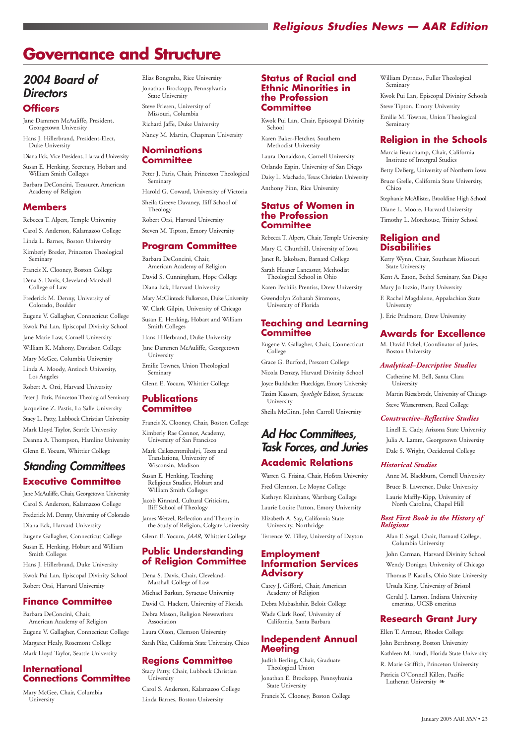# *Religious Studies News — AAR Edition*

# *2004 Board of Directors*

## **Officers**

Jane Dammen McAuliffe, President, Georgetown University

Hans J. Hillerbrand, President-Elect, Duke University

Diana Eck, Vice President, Harvard University

Susan E. Henking, Secretary, Hobart and William Smith Colleges

Barbara DeConcini, Treasurer, American Academy of Religion

#### **Members**

Rebecca T. Alpert, Temple University

Carol S. Anderson, Kalamazoo College

Linda L. Barnes, Boston University

Kimberly Bresler, Princeton Theological Seminary

Francis X. Clooney, Boston College

Dena S. Davis, Cleveland-Marshall College of Law

Frederick M. Denny, University of Colorado, Boulder

Eugene V. Gallagher, Connecticut College

Kwok Pui Lan, Episcopal Divinity School

Jane Marie Law, Cornell University

William K. Mahony, Davidson College

Mary McGee, Columbia University

Linda A. Moody, Antioch University, Los Angeles

Robert A. Orsi, Harvard University Peter J. Paris, Princeton Theological Seminary Jacqueline Z. Pastis, La Salle University Stacy L. Patty, Lubbock Christian University Mark Lloyd Taylor, Seattle University Deanna A. Thompson, Hamline University Glenn E. Yocum, Whittier College

# *Standing Committees* **Executive Committee**

Jane McAuliffe, Chair, Georgetown University Carol S. Anderson, Kalamazoo College Frederick M. Denny, University of Colorado Diana Eck, Harvard University Eugene Gallagher, Connecticut College Susan E. Henking, Hobart and William Smith Colleges Hans J. Hillerbrand, Duke University

Kwok Pui Lan, Episcopal Divinity School

Robert Orsi, Harvard University

## **Finance Committee**

Barbara DeConcini, Chair, American Academy of Religion Eugene V. Gallagher, Connecticut College Margaret Healy, Rosemont College Mark Lloyd Taylor, Seattle University

## **International Connections Committee**

Mary McGee, Chair, Columbia University

Elias Bongmba, Rice University Jonathan Brockopp, Pennsylvania State University

Steve Friesen, University of Missouri, Columbia

Richard Jaffe, Duke University

Nancy M. Martin, Chapman University

## **Nominations Committee**

Peter J. Paris, Chair, Princeton Theological Seminary

Harold G. Coward, University of Victoria Sheila Greeve Davaney, Iliff School of Theology

Robert Orsi, Harvard University

Steven M. Tipton, Emory University

## **Program Committee**

Barbara DeConcini, Chair, American Academy of Religion

David S. Cunningham, Hope College

Diana Eck, Harvard University

Mary McClintock Fulkerson, Duke University

W. Clark Gilpin, University of Chicago

Susan E. Henking, Hobart and William Smith Colleges

Hans Hillerbrand, Duke University

Jane Dammen McAuliffe, Georgetown University

Emilie Townes, Union Theological Seminary

Glenn E. Yocum, Whittier College

### **Publications Committee**

Francis X. Clooney, Chair, Boston College

Kimberly Rae Connor, Academy, University of San Francisco

Mark Csikszentmihalyi, Texts and Translations, University of Wisconsin, Madison

Susan E. Henking, Teaching Religious Studies, Hobart and William Smith Colleges

Jacob Kinnard, Cultural Criticism, Iliff School of Theology

James Wetzel, Reflection and Theory in the Study of Religion, Colgate University

Glenn E. Yocum, *JAAR*, Whittier College

#### **Public Understanding of Religion Committee**

Dena S. Davis, Chair, Cleveland-

Marshall College of Law

Michael Barkun, Syracuse University

David G. Hackett, University of Florida

Debra Mason, Religion Newswriters Association

> Ellen T. Armour, Rhodes College John Berthrong, Boston University Kathleen M. Erndl, Florida State University R. Marie Griffith, Princeton University Patricia O'Connell Killen, Pacific Lutheran University �

Laura Olson, Clemson University

Sarah Pike, California State University, Chico

# **Regions Committee**

Stacy Patty, Chair, Lubbock Christian University

Carol S. Anderson, Kalamazoo College

Linda Barnes, Boston University

#### **Status of Racial and Ethnic Minorities in the Profession Committee**

Kwok Pui Lan, Chair, Episcopal Divinity School

Karen Baker-Fletcher, Southern Methodist University

Laura Donaldson, Cornell University

Orlando Espin, University of San Diego Daisy L. Machado, Texas Christian University Anthony Pinn, Rice University

#### **Status of Women in the Profession Committee**

Rebecca T. Alpert, Chair, Temple University

Mary C. Churchill, University of Iowa

Janet R. Jakobsen, Barnard College Sarah Heaner Lancaster, Methodist

Theological School in Ohio Karen Pechilis Prentiss, Drew University

Gwendolyn Zoharah Simmons, University of Florida

## **Teaching and Learning Committee**

Eugene V. Gallagher, Chair, Connecticut College

Grace G. Burford, Prescott College

Nicola Denzey, Harvard Divinity School

Joyce Burkhalter Flueckiger, Emory University

Tazim Kassam, *Spotlight* Editor, Syracuse University

Sheila McGinn, John Carroll University

# *Ad Hoc Committees, Task Forces, and Juries* **Academic Relations**

Warren G. Frisina, Chair, Hofstra University Fred Glennon, Le Moyne College Kathryn Kleinhans, Wartburg College Laurie Louise Patton, Emory University

Elizabeth A. Say, California State University, Northridge

Terrence W. Tilley, University of Dayton

### **Employment Information Services Advisory**

Carey J. Gifford, Chair, American Academy of Religion

Debra Mubashshir, Beloit College

Wade Clark Roof, University of California, Santa Barbara

## **Independent Annual Meeting**

Judith Berling, Chair, Graduate Theological Union

Jonathan E. Brockopp, Pennsylvania State University

Francis X. Clooney, Boston College

William Dyrness, Fuller Theological Seminary

Kwok Pui Lan, Episcopal Divinity Schools

Steve Tipton, Emory University

Emilie M. Townes, Union Theological Seminary

# **Religion in the Schools**

Marcia Beauchamp, Chair, California Institute of Intergral Studies

Betty DeBerg, University of Northern Iowa

Bruce Grelle, California State University, Chico

Stephanie McAllister, Brookline High School

Diane L. Moore, Harvard University

Timothy L. Morehouse, Trinity School

## **Religion and Disabilities**

Kerry Wynn, Chair, Southeast Missouri State University

Kent A. Eaton, Bethel Seminary, San Diego

Mary Jo Iozzio, Barry University

F. Rachel Magdalene, Appalachian State University

J. Eric Pridmore, Drew University

# **Awards for Excellence**

M. David Eckel, Coordinator of Juries, Boston University

*Analytical–Descriptive Studies* Catherine M. Bell, Santa Clara

University

Martin Riesebrodt, University of Chicago

Steve Wasserstrom, Reed College

*Constructive–Reflective Studies*  Linell E. Cady, Arizona State University Julia A. Lamm, Georgetown University Dale S. Wright, Occidental College

*Historical Studies*

Anne M. Blackburn, Cornell University Bruce B. Lawrence, Duke University Laurie Maffly-Kipp, University of North Carolina, Chapel Hill

*Best First Book in the History of*

*Religions* 

Alan F. Segal, Chair, Barnard College,

Columbia University

John Carman, Harvard Divinity School Wendy Doniger, University of Chicago Thomas P. Kasulis, Ohio State University

Ursula King, University of Bristol Gerald J. Larson, Indiana University emeritus, UCSB emeritus

# **Research Grant Jury**

# **Governance and Structure**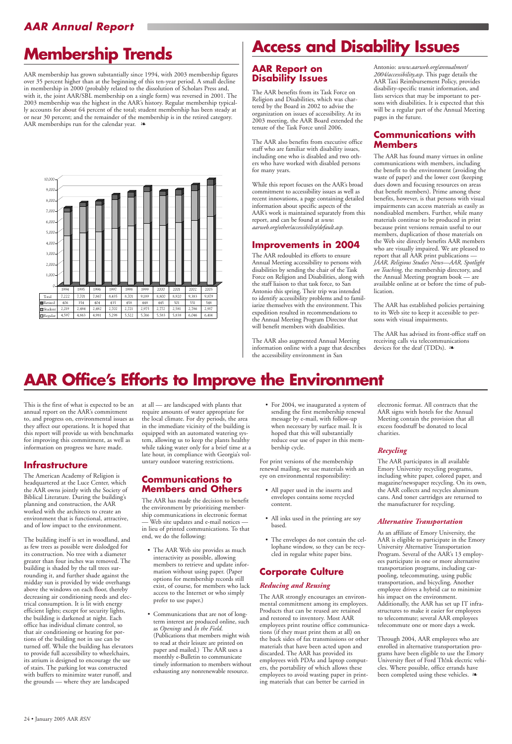AAR membership has grown substantially since 1994, with 2003 membership figures over 35 percent higher than at the beginning of this ten-year period. A small decline in membership in 2000 (probably related to the dissolution of Scholars Press and, with it, the joint AAR/SBL membership on a single form) was reversed in 2001. The 2003 membership was the highest in the AAR's history. Regular membership typically accounts for about 64 percent of the total; student membership has been steady at or near 30 percent; and the remainder of the membership is in the retired category. AAR memberships run for the calendar year.  $\bullet$ 

# *AAR Annual Report*

# **Membership Trends**



# **Access and Disability Issues**

# **AAR Office's Efforts to Improve the Environment**

# **AAR Report on Disability Issues**

The AAR benefits from its Task Force on Religion and Disabilities, which was chartered by the Board in 2002 to advise the organization on issues of accessibility. At its 2003 meeting, the AAR Board extended the tenure of the Task Force until 2006.

The AAR also benefits from executive office staff who are familiar with disability issues, including one who is disabled and two others who have worked with disabled persons for many years.

While this report focuses on the AAR's broad commitment to accessibility issues as well as recent innovations, a page containing detailed information about specific aspects of the AAR's work is maintained separately from this report, and can be found at *www. aarweb.org/other/accessibility/default.asp.*

## **Improvements in 2004**

The AAR redoubled its efforts to ensure Annual Meeting accessibility to persons with disabilities by sending the chair of the Task Force on Religion and Disabilities, along with the staff liaison to that task force, to San Antonio this spring. Their trip was intended to identify accessibility problems and to familiarize themselves with the environment. This expedition resulted in recommendations to the Annual Meeting Program Director that will benefit members with disabilities.

The AAR also augmented Annual Meeting information online with a page that describes the accessibility environment in San

Antonio: *www.aarweb.org/annualmeet/ 2004/accessibility.asp*. This page details the AAR Taxi Reimbursement Policy, provides disability-specific transit information, and lists services that may be important to persons with disabilities. It is expected that this will be a regular part of the Annual Meeting pages in the future.

## **Communications with Members**

The AAR has found many virtues in online communications with members, including the benefit to the environment (avoiding the waste of paper) and the lower cost (keeping dues down and focusing resources on areas that benefit members). Prime among these benefits, however, is that persons with visual impairments can access materials as easily as nondisabled members. Further, while many materials continue to be produced in print because print versions remain useful to our members, duplication of those materials on the Web site directly benefits AAR members who are visually impaired. We are pleased to report that all AAR print publications — *JAAR, Religious Studies News—AAR, Spotlight on Teaching,* the membership directory, and the Annual Meeting program book — are available online at or before the time of publication.

The AAR has established policies pertaining to its Web site to keep it accessible to persons with visual impairments.

The AAR has advised its front-office staff on receiving calls via telecommunications devices for the deaf (TDDs). ❧

This is the first of what is expected to be an annual report on the AAR's commitment to, and progress on, environmental issues as they affect our operations. It is hoped that this report will provide us with benchmarks for improving this commitment, as well as information on progress we have made.

## **Infrastructure**

The American Academy of Religion is headquartered at the Luce Center, which the AAR owns jointly with the Society of Biblical Literature. During the building's planning and construction, the AAR worked with the architects to create an environment that is functional, attractive, and of low impact to the environment.

> Through 2004, AAR employees who are enrolled in alternative transportation programs have been eligible to use the Emory University fleet of Ford Th!nk electric vehicles. Where possible, office errands have been completed using these vehicles.  $\triangleleft$

The building itself is set in woodland, and as few trees as possible were dislodged for its construction. No tree with a diameter greater than four inches was removed. The building is shaded by the tall trees surrounding it, and further shade against the midday sun is provided by wide overhangs above the windows on each floor, thereby decreasing air conditioning needs and electrical consumption. It is lit with energy efficient lights; except for security lights, the building is darkened at night. Each office has individual climate control, so that air conditioning or heating for portions of the building not in use can be turned off. While the building has elevators to provide full accessibility to wheelchairs, its atrium is designed to encourage the use of stairs. The parking lot was constructed with buffers to minimize water runoff, and the grounds — where they are landscaped

at all — are landscaped with plants that require amounts of water appropriate for the local climate. For dry periods, the area in the immediate vicinity of the building is equipped with an automated watering system, allowing us to keep the plants healthy while taking water only for a brief time at a late hour, in compliance with Georgia's voluntary outdoor watering restrictions.

## **Communications to Members and Others**

The AAR has made the decision to benefit the environment by prioritizing membership communications in electronic format — Web site updates and e-mail notices in lieu of printed communications. To that end, we do the following:

• The AAR Web site provides as much interactivity as possible, allowing members to retrieve and update information without using paper. (Paper options for membership records still

exist, of course, for members who lack access to the Internet or who simply prefer to use paper.)

• Communications that are not of longterm interest are produced online, such as *Openings* and *In the Field*. (Publications that members might wish to read at their leisure are printed on

paper and mailed.) The AAR uses a monthly e-Bulletin to communicate timely information to members without exhausting any nonrenewable resource.

• For 2004, we inaugurated a system of sending the first membership renewal message by e-mail, with follow-up when necessary by surface mail. It is hoped that this will substantially reduce our use of paper in this membership cycle.

For print versions of the membership renewal mailing, we use materials with an eye on environmental responsibility:

- All paper used in the inserts and envelopes contains some recycled content.
- All inks used in the printing are soy based.
- The envelopes do not contain the cellophane window, so they can be recycled in regular white paper bins.

# **Corporate Culture**

#### *Reducing and Reusing*

The AAR strongly encourages an environmental commitment among its employees. Products that can be reused are retained and restored to inventory. Most AAR employees print routine office communications (if they must print them at all) on the back sides of fax transmissions or other materials that have been acted upon and discarded. The AAR has provided its employees with PDAs and laptop computers, the portability of which allows these employees to avoid wasting paper in printing materials that can better be carried in

electronic format. All contracts that the AAR signs with hotels for the Annual Meeting contain the provision that all excess foodstuff be donated to local charities.

#### *Recycling*

The AAR participates in all available Emory University recycling programs, including white paper, colored paper, and magazine/newspaper recycling. On its own, the AAR collects and recycles aluminum cans. And toner cartridges are returned to the manufacturer for recycling.

#### *Alternative Transportation*

As an affiliate of Emory University, the AAR is eligible to participate in the Emory University Alternative Transportation Program. Several of the AAR's 13 employees participate in one or more alternative transportation programs, including carpooling, telecommuting, using public transportation, and bicycling. Another employee drives a hybrid car to minimize his impact on the environment. Additionally, the AAR has set up IT infrastructures to make it easier for employees to telecommute; several AAR employees telecommute one or more days a week.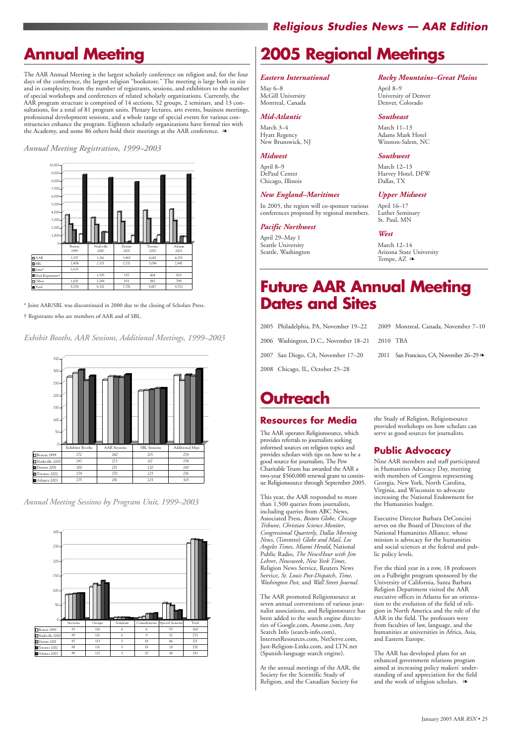# **Annual Meeting**

The AAR Annual Meeting is the largest scholarly conference on religion and, for the four days of the conference, the largest religion "bookstore." The meeting is large both in size and in complexity, from the number of registrants, sessions, and exhibitors to the number of special workshops and conferences of related scholarly organizations. Currently, the AAR program structure is comprised of 14 sections, 52 groups, 2 seminars, and 13 consultations, for a total of 81 program units. Plenary lectures, arts events, business meetings, professional development sessions, and a whole range of special events for various constituencies enhance the program. Eighteen scholarly organizations have formal ties with the Academy, and some 86 others hold their meetings at the AAR conference. ❧

\* Joint AAR/SBL was discontinued in 2000 due to the closing of Scholars Press. † Registrants who are members of AAR and of SBL.

*Exhibit Booths, AAR Sessions, Additional Meetings, 1999–2003*



*Annual Meeting Sessions by Program Unit, 1999–2003*



## *Annual Meeting Registration, 1999–2003* g g

March 12–14 Arizona State University Tempe, AZ ≥



January 2005 AAR *RSN* • 25

# *Religious Studies News — AAR Edition*

# **2005 Regional Meetings**

#### *Eastern International*

May 6–8 McGill University Montreal, Canada

#### *Mid-Atlantic*

March 3–4 Hyatt Regency New Brunswick, NJ

#### *Midwest*

April 8–9 DePaul Center Chicago, Illinois

#### *New England–Maritimes*

In 2005, the region will co-sponsor various conferences proposed by regional members.

#### *Pacific Northwest*

April 29–May 1 Seattle University Seattle, Washington

#### *Rocky Mountains–Great Plains*

April 8–9 University of Denver Denver, Colorado

#### *Southeast*

March 11–13 Adams Mark Hotel Winston-Salem, NC

#### *Southwest*

The AAR has developed plans for an enhanced government relations program aimed at increasing policy makers' understanding of and appreciation for the field and the work of religion scholars.  $\rightarrow$ 

March 12–13 Harvey Hotel, DFW Dallas, TX

#### *Upper Midwest*

April 16–17 Luther Seminary St. Paul, MN

#### *West*

- 2005 Philadelphia, PA, November 19–22 2006 Washington, D.C., November 18–21 2007 San Diego, CA, November 17–20
	- 2009 Montreal, Canada, November 7–10 2010 TBA
	- 2011 San Francisco, CA, November 26–29  $\infty$

# **Future AAR Annual Meeting Dates and Sites**

# **Outreach**

# **Resources for Media**

The AAR operates Religionsource, which provides referrals to journalists seeking informed sources on religion topics and provides scholars with tips on how to be a good source for journalists. The Pew Charitable Trusts has awarded the AAR a two-year \$560,000 renewal grant to continue Religionsource through September 2005.

This year, the AAR responded to more than 1,500 queries from journalists, including queries from ABC News, Associated Press, *Boston Globe*, *Chicago Tribune*, *Christian Science Monitor*, *Congressional Quarterly*, *Dallas Morning News*, (Toronto) *Globe and Mail*, *Los Angeles Times, Miami Herald*, National Public Radio, *The NewsHour with Jim Lehrer*, *Newsweek*, *New York Times*, Religion News Service, Reuters News Service, *St. Louis Post-Dispatch*, *Time*, *Washington Post*, and *Wall Street Journal*.

The AAR promoted Religionsource at seven annual conventions of various journalist associations, and Religionsource has been added to the search engine directories of Google.com, Ansme.com, Any Search Info (search-info.com), InternetResources.com, NetServe.com, Just-Religion-Links.com, and LTN.net (Spanish-language search engine).

At the annual meetings of the AAR, the Society for the Scientific Study of Religion, and the Canadian Society for

the Study of Religion, Religionsource provided workshops on how scholars can serve as good sources for journalists.

# **Public Advocacy**

Nine AAR members and staff participated in Humanities Advocacy Day, meeting with members of Congress representing Georgia, New York, North Carolina, Virginia, and Wisconsin to advocate increasing the National Endowment for the Humanities budget.

Executive Director Barbara DeConcini serves on the Board of Directors of the National Humanities Alliance, whose mission is advocacy for the humanities and social sciences at the federal and public policy levels.

For the third year in a row, 18 professors on a Fulbright program sponsored by the

University of California, Santa Barbara Religion Department visited the AAR executive offices in Atlanta for an orientation to the evolution of the field of religion in North America and the role of the AAR in the field. The professors were from faculties of law, language, and the humanities at universities in Africa, Asia, and Eastern Europe.

2008 Chicago, IL, October 25–28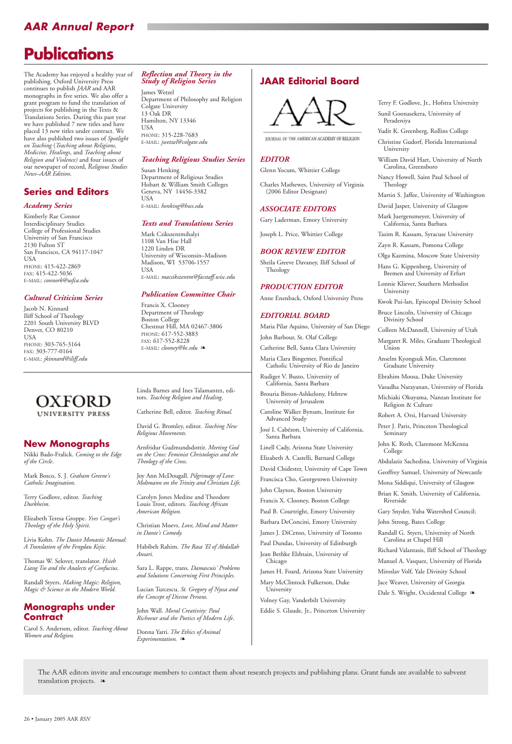# *AAR Annual Report*

## **New Monographs**

Nikki Bado-Fralick. *Coming to the Edge of the Circle*.

Mark Bosco, S. J. *Graham Greene's Catholic Imagination*.

Terry Godlove, editor. *Teaching Durkheim*.

Elizabeth Teresa Groppe. *Yves Congar's Theology of the Holy Spirit*.

Livia Kohn. *The Daoist Monastic Manual: A Translation of the Fengdau Kejie*.

Thomas W. Selover, translator. *Hsieh Liang Tso and the Analects of Confucius*.

Randall Styers. *Making Magic: Religion, Magic & Science in the Modern World.*

## **Monographs under Contract**

Carol S. Anderson, editor. *Teaching About Women and Religion.* 

Linda Barnes and Ines Talamantez, editors. *Teaching Religion and Healing*.

Catherine Bell, editor. *Teaching Ritual.*

David G. Bromley, editor. *Teaching New Religious Movements.* 

Arnfridur Gudmundsdottir. *Meeting God on the Cross: Feminist Christologies and the Theology of the Cross.* 

Joy Ann McDougall. *Pilgrimage of Love: Moltmann on the Trinity and Christian Life.*

Carolyn Jones Medine and Theodore Louis Trost, editors. *Teaching African American Religion.* 

Christian Moevs. *Love, Mind and Matter in Dante's Comedy.*

Habibeh Rahim. *The Rasa 'El of Abdallah Ansari.* 

Sara L. Rappe, trans. *Damascuis' Problems and Solutions Concerning First Principles*.

Lucian Turcescu. *St. Gregory of Nyssa and the Concept of Divine Persons.*

John Wall. *Moral Creativity: Paul Richoeur and the Poetics of Modern Life*.

Donna Yarri. *The Ethics of Animal Experimentation.* ❧

# **Publications**

The Academy has enjoyed a healthy year of publishing. Oxford University Press continues to publish *JAAR* and AAR monographs in five series. We also offer a grant program to fund the translation of projects for publishing in the Texts & Translations Series. During this past year we have published 7 new titles and have placed 13 new titles under contract. We have also published two issues of *Spotlight on Teaching* (*Teaching about Religions, Medicine, Healings*, and *Teaching about Religion and Violence)* and four issues of our newspaper of record, *Religious Studies News–AAR Edition*.

## **Series and Editors**

#### *Academy Series*

Kimberly Rae Connor Interdisciplinary Studies College of Professional Studies University of San Francisco 2130 Fulton ST San Francisco, CA 94117-1047 USA PHONE: 415-422-2869 FAX: 415-422-5036 E-MAIL: *connork@usfca.edu*

> James H. Foard, Arizona State University Mary McClintock Fulkerson, Duke **University**

#### *Cultural Criticism Series*

Jacob N. Kinnard Iliff School of Theology 2201 South University BLVD Denver, CO 80210 USA PHONE: 303-765-3164 FAX: 303-777-0164 E-MAIL: *jkinnard@iliff.edu*

#### *Reflection and Theory in the Study of Religion Series*

James Wetzel Department of Philosophy and Religion Colgate University 13 Oak DR Hamilton, NY 13346 USA PHONE: 315-228-7683 E-MAIL: *jwetzel@colgate.edu*

#### *Teaching Religious Studies Series*

Susan Henking Department of Religious Studies Hobart & William Smith Colleges Geneva, NY 14456-3382 USA E-MAIL: *henking@hws.edu*

#### *Texts and Translations Series*

Mark Csikszentmihalyi 1108 Van Hise Hall 1220 Linden DR University of Wisconsin–Madison Madison, WI 53706-1557 USA E-MAIL: *macsikszentm@facstaff.wisc.edu*

#### *Publication Committee Chair*

Jace Weaver, University of Georgia Dale S. Wright, Occidental College ��

The AAR editors invite and encourage members to contact them about research projects and publishing plans. Grant funds are available to subvent translation projects. **≥** 

Francis X. Clooney Department of Theology Boston College Chestnut Hill, MA 02467-3806 PHONE: 617-552-3883 FAX: 617-552-8228 E-MAIL: *clooney@bc.edu* ❧

# OXFORD UNIVERSITY PRESS

# **JAAR Editorial Board**



JOURNAL OF THE AMERICAN ACADEMY OF RELIGION

#### *EDITOR*

Glenn Yocum, Whittier College

Charles Mathewes, University of Virginia (2006 Editor Designate)

#### *ASSOCIATE EDITORS*

Gary Laderman, Emory University

Joseph L. Price, Whittier College

#### *BOOK REVIEW EDITOR*

Sheila Greeve Davaney, Iliff School of Theology

#### *PRODUCTION EDITOR*

Anne Enenback, Oxford University Press

#### *EDITORIAL BOARD*

Maria Pilar Aquino, University of San Diego

John Barbour, St. Olaf College

Catherine Bell, Santa Clara University

Maria Clara Bingemer, Pontifical Catholic University of Rio de Janeiro

Rudiger V. Busto, University of California, Santa Barbara

Brouria Bitton-Ashkelony, Hebrew University of Jerusalem

Caroline Walker Bynum, Institute for Advanced Study

José I. Cabézon, University of California, Santa Barbara

Linell Cady, Arizona State University

Elizabeth A. Castelli, Barnard College

David Chidester, University of Cape Town

Francisca Cho, Georgetown University

John Clayton, Boston University

Francis X. Clooney, Boston College

Paul B. Courtright, Emory University

Barbara DeConcini, Emory University

James J. DiCenso, University of Toronto

Paul Dundas, University of Edinburgh

Jean Bethke Elshtain, University of Chicago

Volney Gay, Vanderbilt University

Eddie S. Glaude, Jr., Princeton University

#### Terry F. Godlove, Jr., Hofstra University

Sunil Goonasekera, University of Peradeniya

Yudit K. Greenberg, Rollins College

Christine Gudorf, Florida International University

William David Hart, University of North Carolina, Greensboro

Nancy Howell, Saint Paul School of Theology

Martin S. Jaffee, University of Washington

David Jasper, University of Glasgow

Mark Juergensmeyer, University of California, Santa Barbara

Tazim R. Kassam, Syracuse University

Zayn R. Kassam, Pomona College

Olga Kazmina, Moscow State University

Hans G. Kippenberg, University of Bremen and University of Erfurt

Lonnie Kliever, Southern Methodist University

Kwok Pui-lan, Episcopal Divinity School

Bruce Lincoln, University of Chicago Divinity School

Colleen McDannell, University of Utah

Margaret R. Miles, Graduate Theological Union

Anselm Kyongsuk Min, Claremont Graduate University

Ebrahim Moosa, Duke University

Vasudha Narayanan, University of Florida

Michiaki Okuyama, Nanzan Institute for Religion & Culture

Robert A. Orsi, Harvard University

Peter J. Paris, Princeton Theological Seminary

John K. Roth, Claremont McKenna College

Abdulaziz Sachedina, University of Virginia

Geoffrey Samuel, University of Newcastle

Mona Siddiqui, University of Glasgow

Brian K. Smith, University of California, Riverside

Gary Snyder, Yuba Watershed Council;

John Strong, Bates College

Randall G. Styers, University of North Carolina at Chapel Hill

Richard Valantasis, Iliff School of Theology Manuel A. Vasquez, University of Florida

Miroslav Volf, Yale Divinity School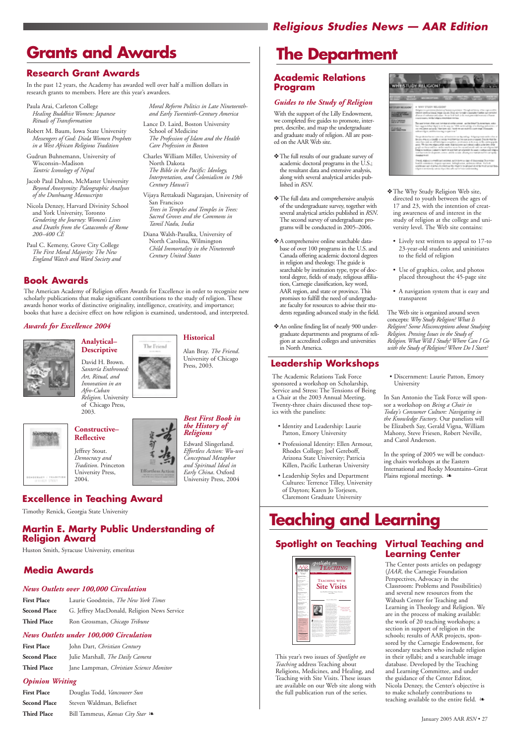#### *Awards for Excellence 2004*



#### **Analytical– Descriptive**

David H. Brown. *Santería Enthroned: Art, Ritual, and Innovation in an Afro-Cuban*

*Religion*. University of Chicago Press, 2003.



# **Constructive– Reflective** Jeffrey Stout.

*Democracy and Tradition*. Princeton University Press, 2004.

**Historical**

Alan Bray. *The Friend*. University of Chicago

Press, 2003.



#### *the History of Religions* Edward Slingerland.

*Effortless Action: Wu-wei Conceptual Metaphor and Spiritual Ideal in Early China*. Oxford University Press, 2004

January 2005 AAR *RSN* • 27

# *Religious Studies News — AAR Edition*

- Paula Arai, Carleton College *Healing Buddhist Women: Japanese Rituals of Transformation*
- Robert M. Baum, Iowa State University *Messengers of God: Diola Women Prophets in a West African Religious Tradition*
- Gudrun Buhnemann, University of Wisconsin–Madison *Tantric Iconology of Nepal*
- Jacob Paul Dalton, McMaster University *Beyond Anonymity: Paleographic Analyses of the Dunhuang Manuscripts*
- Nicola Denzey, Harvard Divinity School and York University, Toronto *Gendering the Journey: Women's Lives and Deaths from the Catacombs of Rome 200–400 CE*
- Paul C. Kemeny, Grove City College *The First Moral Majority: The New England Watch and Ward Society and*

*Moral Reform Politics in Late Nineteenthand Early Twentieth-Century America*

- Lance D. Laird, Boston University School of Medicine *The Profession of Islam and the Health Care Profession in Boston*
- Charles William Miller, University of North Dakota *The Bible in the Pacific: Ideology, Interpretation, and Colonialism in 19th Century Hawai'i*
- Vijaya Rettakudi Nagarajan, University of San Francisco *Trees in Temples and Temples in Trees:*

*Sacred Groves and the Commons in Tamil Nadu, India* Diana Walsh-Pasulka, University of

North Carolina, Wilmington *Child Immortality in the Nineteenth Century United States*

# **Book Awards**

The American Academy of Religion offers Awards for Excellence in order to recognize new scholarly publications that make significant contributions to the study of religion. These awards honor works of distinctive originality, intelligence, creativity, and importance; books that have a decisive effect on how religion is examined, understood, and interpreted.

The Friend

#### *News Outlets over 100,000 Circulation*

**First Place** Laurie Goodstein, *The New York Times* **Second Place** G. Jeffrey MacDonald, Religion News Service **Third Place** Ron Grossman, *Chicago Tribune*

#### *News Outlets under 100,000 Circulation*

**First Place** John Dart, *Christian Century* **Second Place** Julie Marshall, *The Daily Camera* **Third Place** Jane Lampman, *Christian Science Monitor*

#### *Opinion Writing*

| <b>First Place</b>  | Douglas Todd, Vancouver Sun    |
|---------------------|--------------------------------|
| <b>Second Place</b> | Steven Waldman, Beliefnet      |
| <b>Third Place</b>  | Bill Tammeus, Kansas City Star |

# **Media Awards**

# **Grants and Awards**

## **Research Grant Awards**

In the past 12 years, the Academy has awarded well over half a million dollars in research grants to members. Here are this year's awardees.

# **Excellence in Teaching Award**

In the spring of 2005 we will be conducting chairs workshops at the Eastern International and Rocky Mountains–Great Plains regional meetings. <sup>≽</sup>

Timothy Renick, Georgia State University

# **Martin E. Marty Public Understanding of Religion Award**

Huston Smith, Syracuse University, emeritus

# **The Department**

## **Academic Relations Program**

#### *Guides to the Study of Religion*

With the support of the Lilly Endowment, we completed five guides to promote, interpret, describe, and map the undergraduate and graduate study of religion. All are posted on the AAR Web site.

- ❖The full results of our graduate survey of academic doctoral programs in the U.S.; the resultant data and extensive analysis, along with several analytical articles published in *RSN*.
- ❖The full data and comprehensive analysis of the undergraduate survey, together with several analytical articles published in *RSN*. The second survey of undergraduate programs will be conducted in 2005–2006.
- ❖A comprehensive online searchable database of over 100 programs in the U.S. and Canada offering academic doctoral degrees in religion and theology. The guide is searchable by institution type, type of doctoral degree, fields of study, religious affiliation, Carnegie classification, key word, AAR region, and state or province. This promises to fulfill the need of undergraduate faculty for resources to advise their students regarding advanced study in the field.
- ❖An online finding list of nearly 900 undergraduate departments and programs of religion at accredited colleges and universities in North America.
- ❖The Why Study Religion Web site, directed to youth between the ages of 17 and 23, with the intention of creating awareness of and interest in the study of religion at the college and university level. The Web site contains:
- Lively text written to appeal to 17-to 23-year-old students and uninitiates to the field of religion
- Use of graphics, color, and photos placed throughout the 45-page site
- A navigation system that is easy and transparent

The Web site is organized around seven concepts: *Why Study Religion? What Is Religion? Some Misconceptions about Studying Religion. Pressing Issues in the Study of Religion. What Will I Study? Where Can I Go with the Study of Religion? Where Do I Start?*

The Academic Relations Task Force sponsored a workshop on Scholarship, Service and Stress: The Tensions of Being a Chair at the 2003 Annual Meeting. Twenty-three chairs discussed these topics with the panelists:

- Identity and Leadership: Laurie Patton, Emory University
- Professional Identity: Ellen Armour, Rhodes College; Joel Gereboff, Arizona State University; Patricia Killen, Pacific Lutheran University
- Leadership Styles and Department Cultures: Terrence Tilley, University of Dayton; Karen Jo Torjesen, Claremont Graduate University

• Discernment: Laurie Patton, Emory University

In San Antonio the Task Force will sponsor a workshop on *Being a Chair in Today's Consumer Culture: Navigating in the Knowledge Factory*. Our panelists will be Elizabeth Say, Gerald Vigna, William Mahony, Steve Friesen, Robert Neville, and Carol Anderson.

# **Leadership Workshops**

# **Teaching and Learning**

# **Spotlight on Teaching Virtual Teaching and**

This year's two issues of *Spotlight on Teaching* address Teaching about Religions, Medicines, and Healing, and Teaching with Site Visits. These issues are available on our Web site along with the full publication run of the series.

# **Learning Center**

The Center posts articles on pedagogy (*JAAR*, the Carnegie Foundation Perspectives, Advocacy in the



Classroom: Problems and Possibilities) and several new resources from the Wabash Center for Teaching and Learning in Theology and Religion. We are in the process of making available: the work of 20 teaching workshops; a section in support of religion in the schools; results of AAR projects, sponsored by the Carnegie Endowment, for secondary teachers who include religion in their syllabi; and a searchable image database. Developed by the Teaching and Learning Committee, and under the guidance of the Center Editor, Nicola Denzey, the Center's objective is to make scholarly contributions to teaching available to the entire field. ❧

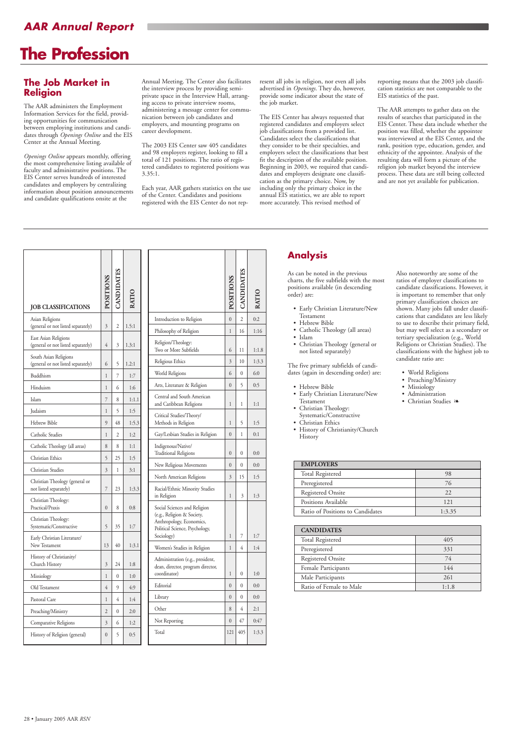# *AAR Annual Report*

# **The Profession**

#### **The Job Market in Religion**

The AAR administers the Employment Information Services for the field, providing opportunities for communication between employing institutions and candidates through *Openings Online* and the EIS Center at the Annual Meeting.

*Openings Online* appears monthly, offering the most comprehensive listing available of faculty and administrative positions. The EIS Center serves hundreds of interested candidates and employers by centralizing information about position announcements and candidate qualifications onsite at the

Annual Meeting. The Center also facilitates the interview process by providing semiprivate space in the Interview Hall, arranging access to private interview rooms, administering a message center for communication between job candidates and employers, and mounting programs on career development.

The 2003 EIS Center saw 405 candidates and 98 employers register, looking to fill a total of 121 positions. The ratio of registered candidates to registered positions was 3.35:1.

Each year, AAR gathers statistics on the use of the Center. Candidates and positions registered with the EIS Center do not represent all jobs in religion, nor even all jobs advertised in *Openings*. They do, however, provide some indicator about the state of the job market.

The EIS Center has always requested that registered candidates and employers select job classifications from a provided list. Candidates select the classifications that they consider to be their specialties, and employers select the classifications that best fit the description of the available position. Beginning in 2003, we required that candidates and employers designate one classification as the primary choice. Now, by including only the primary choice in the annual EIS statistics, we are able to report more accurately. This revised method of

reporting means that the 2003 job classification statistics are not comparable to the EIS statistics of the past.

The AAR attempts to gather data on the results of searches that participated in the EIS Center. These data include whether the position was filled, whether the appointee was interviewed at the EIS Center, and the rank, position type, education, gender, and ethnicity of the appointee. Analysis of the resulting data will form a picture of the religion job market beyond the interview process. These data are still being collected and are not yet available for publication.

| Old Testament                 | 4              | 9        | 4:9 | Editorial  |
|-------------------------------|----------------|----------|-----|------------|
| Pastoral Care                 |                | 4        | 1:4 | Library    |
| Preaching/Ministry            | $\overline{2}$ | $\theta$ | 2:0 | Other      |
| Comparative Religions         | 3              | 6        | 1:2 | Not Report |
| History of Religion (general) | $\theta$       | 5        | 0:5 | Total      |
|                               |                |          |     |            |

| <b>JOB CLASSIFICATIONS</b>                                  | <b>SNOLLISO</b> | <b>ANDIDATE</b> | ATIC  |
|-------------------------------------------------------------|-----------------|-----------------|-------|
| Asian Religions<br>(general or not listed separately)       | 3               | 2               | 1.5:1 |
| East Asian Religions<br>(general or not listed separately)  | 4               | 3               | 1.3:1 |
| South Asian Religions<br>(general or not listed separately) | 6               | 5               | 1.2:1 |
| Buddhism                                                    | 1               | 7               | 1:7   |
| Hinduism                                                    | 1               | 6               | 1:6   |
| Islam                                                       | 7               | 8               | 1:1.1 |
| Judaism                                                     | 1               | 5               | 1:5   |
| <b>Hebrew Bible</b>                                         | 9               | 48              | 1:5.3 |
| Catholic Studies                                            | 1               | 2               | 1:2   |
| Catholic Theology (all areas)                               | 8               | 8               | 1:1   |
| Christian Ethics                                            | 5               | 25              | 1:5   |
| Christian Studies                                           | 3               | 1               | 3:1   |
| Christian Theology (general or<br>not listed separately)    | 7               | 23              | 1:3.3 |
| Christian Theology:<br>Practical/Praxis                     | $\overline{0}$  | 8               | 0:8   |
| Christian Theology:<br>Systematic/Constructive              | 5               | 35              | 1:7   |
| Early Christian Literature/<br>New Testament                | 13              | 40              | 1:3.1 |
| History of Christianity/<br>Church History                  | 3               | 24              | 1:8   |
| Missiology                                                  | 1               | 0               | 1:0   |
| Old Testament                                               | 4               | 9               | 4:9   |
| Pastoral Care                                               | 1               | 4               | 1:4   |
| Preaching/Ministry                                          | $\overline{2}$  | $\mathbf{0}$    | 2:0   |
| Comparative Religions                                       | 3               | 6               | 1:2   |
| History of Religion (general)                               | $\overline{0}$  | 5               | 0:5   |

|                                                                                                                                        | <b>OSITION</b> | <b>ANDIDATE</b> | <b>ATIC</b> |
|----------------------------------------------------------------------------------------------------------------------------------------|----------------|-----------------|-------------|
| Introduction to Religion                                                                                                               | $\theta$       | $\overline{c}$  | 0:2         |
| Philosophy of Religion                                                                                                                 | 1              | 16              | 1:16        |
| Religion/Theology:<br>Two or More Subfields                                                                                            | 6              | 11              | 1:1.8       |
| Religious Ethics                                                                                                                       | 3              | 10              | 1:3.3       |
| World Religions                                                                                                                        | 6              | 0               | 6:0         |
| Arts, Literature & Religion                                                                                                            | $\theta$       | 5               | 0:5         |
| Central and South American<br>and Caribbean Religions                                                                                  | 1              | 1               | 1:1         |
| Critical Studies/Theory/<br>Methods in Religion                                                                                        | 1              | 5               | 1:5         |
| Gay/Lesbian Studies in Religion                                                                                                        | $\theta$       | 1               | 0:1         |
| Indigenous/Native/<br><b>Traditional Religions</b>                                                                                     | 0              | 0               | 0:0         |
| New Religious Movements                                                                                                                | $\overline{0}$ | $\theta$        | 0:0         |
| North American Religions                                                                                                               | 3              | 15              | 1:5         |
| Racial/Ethnic Minority Studies<br>in Religion                                                                                          | 1              | 3               | 1:3         |
| Social Sciences and Religion<br>(e.g., Religion & Society,<br>Anthropology, Economics,<br>Political Science, Psychology,<br>Sociology) | 1              | 7               | 1:7         |
| Women's Studies in Religion                                                                                                            | 1              | 4               | 1:4         |
| Administration (e.g., president,<br>dean, director, program director,<br>coordinator)                                                  | 1              | $\mathbf{0}$    | 1:0         |
| Editorial                                                                                                                              | $\overline{0}$ | $\theta$        | 0:0         |
| Library                                                                                                                                | $\overline{0}$ | 0               | 0:0         |
| Other                                                                                                                                  | 8              | 4               | 2:1         |
| Not Reporting                                                                                                                          | $\overline{0}$ | 47              | 0:47        |
| Total                                                                                                                                  | 121            | 405             | 1:3.3       |

# **Analysis**

As can be noted in the previous charts, the five subfields with the most positions available (in descending order) are:

- Early Christian Literature/New Testament
- Hebrew Bible
- Catholic Theology (all areas)
- Islam
	- Christian Theology (general or not listed separately)

The five primary subfields of candidates (again in descending order) are:

- Hebrew Bible
- Early Christian Literature/New Testament
- Christian Theology: Systematic/Constructive
- Christian Ethics
- History of Christianity/Church History

Also noteworthy are some of the ratios of employer classifications to candidate classifications. However, it is important to remember that only primary classification choices are shown. Many jobs fall under classifications that candidates are less likely to use to describe their primary field, but may well select as a secondary or tertiary specialization (e.g., World Religions or Christian Studies). The classifications with the highest job to candidate ratio are:

- World Religions
- Preaching/Ministry
- Missiology
- Administration
- Christian Studies ❧

| <b>EMPLOYERS</b>                 |        |  |  |
|----------------------------------|--------|--|--|
| <b>Total Registered</b>          | 98     |  |  |
| Preregistered                    | 76     |  |  |
| Registered Onsite                | 22     |  |  |
| Positions Available              | 121    |  |  |
| Ratio of Positions to Candidates | 1:3.35 |  |  |

| <b>CANDIDATES</b>       |       |
|-------------------------|-------|
| <b>Total Registered</b> | 405   |
| Preregistered           | 331   |
| Registered Onsite       | 74    |
| Female Participants     | 144   |
| Male Participants       | 261   |
| Ratio of Female to Male | 1:1.8 |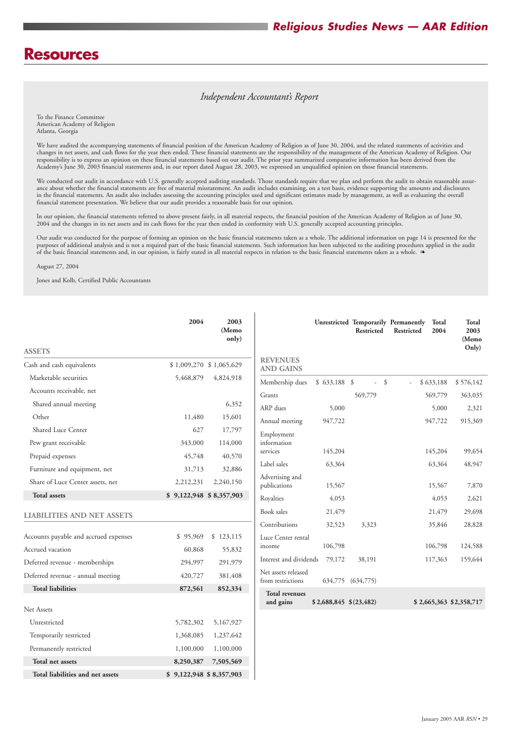|                                       | 2004                      | 2003<br>(Memo<br>only) |                                          |                              | Restricted        | Unrestricted Temporarily Permanently<br>Total<br>Restricted<br>2004 | <b>Total</b><br>2003<br>(Memo<br>Only) |
|---------------------------------------|---------------------------|------------------------|------------------------------------------|------------------------------|-------------------|---------------------------------------------------------------------|----------------------------------------|
| <b>ASSETS</b>                         |                           |                        | <b>REVENUES</b>                          |                              |                   |                                                                     |                                        |
| Cash and cash equivalents             | $$1,009,270$ $$1,065,629$ |                        | <b>AND GAINS</b>                         |                              |                   |                                                                     |                                        |
| Marketable securities                 | 5,468,879                 | 4,824,918              | Membership dues                          | $$633,188$ \;                | \$<br>$\sim$      | \$633,188<br>$\overline{\phantom{a}}$                               | \$576,142                              |
| Accounts receivable, net              |                           |                        | Grants                                   |                              | 569,779           | 569,779                                                             | 363,035                                |
| Shared annual meeting                 |                           | 6,352                  | ARP dues                                 | 5,000                        |                   | 5,000                                                               | 2,321                                  |
| Other                                 | 11,480                    | 15,601                 | Annual meeting                           | 947,722                      |                   | 947,722                                                             | 915,369                                |
| Shared Luce Center                    | 627                       | 17,797                 | Employment                               |                              |                   |                                                                     |                                        |
| Pew grant receivable                  | 343,000                   | 114,000                | information                              |                              |                   |                                                                     |                                        |
| Prepaid expenses                      | 45,748                    | 40,570                 | services                                 | 145,204                      |                   | 145,204                                                             | 99,654                                 |
| Furniture and equipment, net          | 31,713                    | 32,886                 | Label sales                              | 63,364                       |                   | 63,364                                                              | 48,947                                 |
| Share of Luce Center assets, net      | 2,212,231                 | 2,240,150              | Advertising and<br>publications          | 15,567                       |                   | 15,567                                                              | 7,870                                  |
| <b>Total assets</b>                   | $$9,122,948$ $$8,357,903$ |                        | Royalties                                | 4,053                        |                   | 4,053                                                               | 2,621                                  |
| <b>LIABILITIES AND NET ASSETS</b>     |                           |                        | Book sales                               | 21,479                       |                   | 21,479                                                              | 29,698                                 |
|                                       |                           |                        | Contributions                            | 32,523                       | 3,323             | 35,846                                                              | 28,828                                 |
| Accounts payable and accrued expenses | \$95,969                  | \$123,115              | Luce Center rental                       |                              |                   |                                                                     |                                        |
| Accrued vacation                      | 60,868                    | 55,832                 | income                                   | 106,798                      |                   | 106,798                                                             | 124,588                                |
| Deferred revenue - memberships        | 294,997                   | 291,979                | Interest and dividends                   | 79,172                       | 38,191            | 117,363                                                             | 159,644                                |
| Deferred revenue - annual meeting     | 420,727                   | 381,408                | Net assets released<br>from restrictions |                              | 634,775 (634,775) |                                                                     |                                        |
| <b>Total liabilities</b>              | 872,561                   | 852,334                | <b>Total revenues</b>                    |                              |                   |                                                                     |                                        |
|                                       |                           |                        | and gains                                | $$2,688,845 \quad $(23,482)$ |                   | \$2,665,363 \$2,358,717                                             |                                        |
| Net Assets                            |                           |                        |                                          |                              |                   |                                                                     |                                        |
| Unrestricted                          | 5,782,302                 | 5,167,927              |                                          |                              |                   |                                                                     |                                        |
| Temporarily restricted                | 1,368,085                 | 1,237,642              |                                          |                              |                   |                                                                     |                                        |
| Permanently restricted                | 1,100,000                 | 1,100,000              |                                          |                              |                   |                                                                     |                                        |
| Total net assets                      | 8,250,387                 | 7,505,569              |                                          |                              |                   |                                                                     |                                        |
| Total liabilities and net assets      | \$9,122,948 \$8,357,903   |                        |                                          |                              |                   |                                                                     |                                        |

# **Resources**

We conducted our audit in accordance with U.S. generally accepted auditing standards. Those standards require that we plan and perform the audit to obtain reasonable assurance about whether the financial statements are free of material misstatement. An audit includes examining, on a test basis, evidence supporting the amounts and disclosures in the financial statements. An audit also includes assessing the accounting principles used and significant estimates made by management, as well as evaluating the overall financial statement presentation. We believe that our audit provides a reasonable basis for our opinion.

To the Finance Committee American Academy of Religion Atlanta, Georgia

We have audited the accompanying statements of financial position of the American Academy of Religion as of June 30, 2004, and the related statements of activities and changes in net assets, and cash flows for the year then ended. These financial statements are the responsibility of the management of the American Academy of Religion. Our responsibility is to express an opinion on these financial statements based on our audit. The prior year summarized comparative information has been derived from the Academy's June 30, 2003 financial statements and, in our report dated August 28, 2003, we expressed an unqualified opinion on those financial statements.

In our opinion, the financial statements referred to above present fairly, in all material respects, the financial position of the American Academy of Religion as of June 30, 2004 and the changes in its net assets and its cash flows for the year then ended in conformity with U.S. generally accepted accounting principles.

Our audit was conducted for the purpose of forming an opinion on the basic financial statements taken as a whole. The additional information on page 14 is presented for the purposes of additional analysis and is not a required part of the basic financial statements. Such information has been subjected to the auditing procedures applied in the audit of the basic financial statements and, in our opinion, is fairly stated in all material respects in relation to the basic financial statements taken as a whole. ❧

August 27, 2004

Jones and Kolb, Certified Public Accountants

## *Independent Accountant's Report*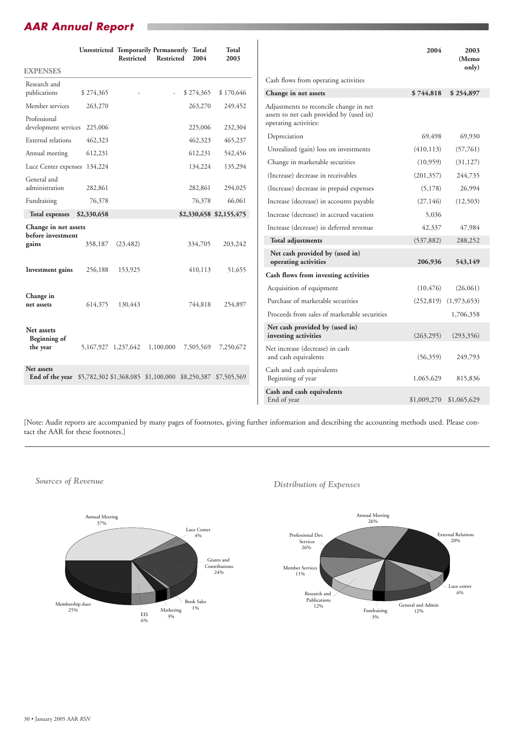# *AAR Annual Report*

|                                                                                           |                         | <b>Restricted</b> | <b>Unrestricted Temporarily Permanently Total</b><br>Restricted | 2004      | <b>Total</b><br>2003    |                                                                   | 2004       | 2003<br>(Memo |
|-------------------------------------------------------------------------------------------|-------------------------|-------------------|-----------------------------------------------------------------|-----------|-------------------------|-------------------------------------------------------------------|------------|---------------|
| <b>EXPENSES</b>                                                                           |                         |                   |                                                                 |           |                         |                                                                   |            | only)         |
| Research and                                                                              |                         |                   |                                                                 |           |                         | Cash flows from operating activities                              |            |               |
| publications                                                                              | \$274,365               |                   | $\overline{\phantom{a}}$                                        | \$274,365 | \$170,646               | Change in net assets                                              | \$744,818  | \$254,897     |
| Member services                                                                           | 263,270                 |                   |                                                                 | 263,270   | 249,452                 | Adjustments to reconcile change in net                            |            |               |
| Professional<br>development services 225,006                                              |                         |                   |                                                                 | 225,006   | 232,304                 | assets to net cash provided by (used in)<br>operating activities: |            |               |
| External relations                                                                        | 462,323                 |                   |                                                                 | 462,323   | 465,237                 | Depreciation                                                      | 69,498     | 69,930        |
| Annual meeting                                                                            | 612,231                 |                   |                                                                 | 612,231   | 542,456                 | Unrealized (gain) loss on investments                             | (410, 113) | (57,761)      |
| Luce Center expenses 134,224                                                              |                         |                   |                                                                 | 134,224   | 135,294                 | Change in marketable securities                                   | (10,959)   | (31, 127)     |
| General and                                                                               |                         |                   |                                                                 |           |                         | (Increase) decrease in receivables                                | (201, 357) | 244,735       |
| administration                                                                            | 282,861                 |                   |                                                                 | 282,861   | 294,025                 | (Increase) decrease in prepaid expenses                           | (5,178)    | 26,994        |
| Fundraising                                                                               | 76,378                  |                   |                                                                 | 76,378    | 66,061                  | Increase (decrease) in accounts payable                           | (27, 146)  | (12,503)      |
| Total expenses                                                                            | \$2,330,658             |                   |                                                                 |           | \$2,330,658 \$2,155,475 | Increase (decrease) in accrued vacation                           | 5,036      |               |
| Change in net assets                                                                      |                         |                   |                                                                 |           |                         | Increase (decrease) in deferred revenue                           | 42,337     | 47,984        |
| before investment<br>gains                                                                | 358,187                 | (23, 482)         |                                                                 | 334,705   | 203,242                 | <b>Total adjustments</b>                                          | (537, 882) | 288,252       |
|                                                                                           |                         |                   |                                                                 |           |                         | Net cash provided by (used in)<br>operating activities            | 206,936    | 543,149       |
| <b>Investment</b> gains                                                                   | 256,188                 | 153,925           |                                                                 | 410,113   | 51,655                  | Cash flows from investing activities                              |            |               |
|                                                                                           |                         |                   |                                                                 |           |                         | Acquisition of equipment                                          | (10, 476)  | (26,061)      |
| Change in<br>net assets                                                                   | 614,375                 | 130,443           |                                                                 | 744,818   | 254,897                 | Purchase of marketable securities                                 | (252, 819) | (1,973,653)   |
|                                                                                           |                         |                   |                                                                 |           |                         | Proceeds from sales of marketable securities                      |            | 1,706,358     |
| Net assets<br><b>Beginning of</b>                                                         |                         |                   |                                                                 |           |                         | Net cash provided by (used in)<br>investing activities            | (263, 295) | (293, 356)    |
| the year                                                                                  | 5, 167, 927 1, 237, 642 |                   | 1,100,000                                                       | 7,505,569 | 7,250,672               | Net increase (decrease) in cash<br>and cash equivalents           | (56,359)   | 249,793       |
| Net assets<br>End of the year \$5,782,302 \$1,368,085 \$1,100,000 \$8,250,387 \$7,505,569 |                         |                   |                                                                 |           |                         | Cash and cash equivalents<br>Beginning of year                    | 1,065,629  | 815,836       |
|                                                                                           |                         |                   |                                                                 |           |                         | Cash and cash equivalents                                         |            |               |

 $\overline{\phantom{a}}$ 



*Distribution of Expenses Sources of Revenue*

End of year \$1,009,270 \$1,065,629

[Note: Audit reports are accompanied by many pages of footnotes, giving further information and describing the accounting methods used. Please contact the AAR for these footnotes.]

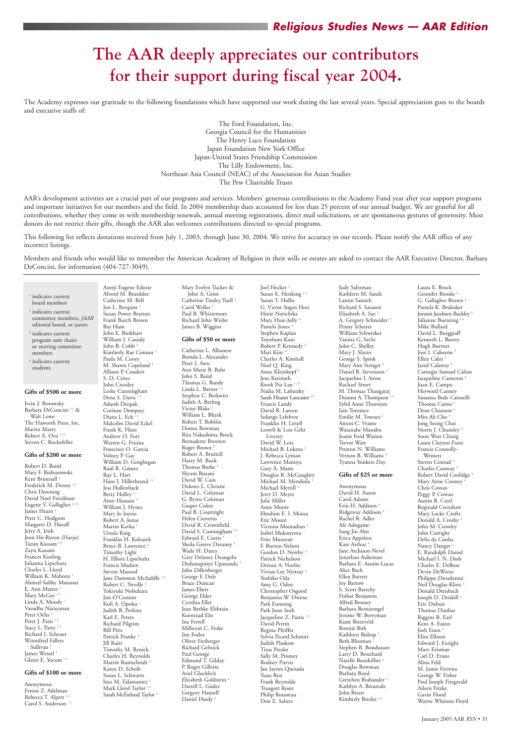# **The AAR deeply appreciates our contributors for their support during fiscal year 2004.**

The Academy expresses our gratitude to the following foundations which have supported our work during the last several years. Special appreciation goes to the boards and executive staffs of:

> The Ford Foundation, Inc. Georgia Council for the Humanities The Henry Luce Foundation Japan Foundation New York Office Japan-United States Friendship Commission The Lilly Endowment, Inc. Northeast Asia Council (NEAC) of the Association for Asian Studies The Pew Charitable Trusts

AAR's development activities are a crucial part of our programs and services. Members' generous contributions to the Academy Fund year after year support programs and important initiatives for our members and the field. In 2004 membership dues accounted for less than 25 percent of our annual budget. We are grateful for all contributions, whether they come in with membership renewals, annual meeting registrations, direct mail solicitations, or are spontaneous gestures of generosity. Most donors do not restrict their gifts, though the AAR also welcomes contributions directed to special programs.

Tazim Kassam<sup>23</sup> Zayn Kassam Frances Kissling

Ahmed Subhy Mansour E. Ann Matter<sup>3</sup> Mary McGee<sup>12</sup> Linda A. Moody<sup>1</sup> Vasudha Narayanan Peter Ochs<sup>3</sup> Peter J. Paris<sup>12</sup> Stacy L. Patty<sup>12</sup> Richard J. Scheuer Winnifred Fallers Sullivan<sup>3</sup> James Wetzel<sup>2</sup> Glenn E. Yocum 12

Anonymous Ernest Z. Adelman Rebecca T. Alpert<sup>12</sup> Carol S. Anderson<sup>12</sup>

This following list reflects donations received from July 1, 2003, through June 30, 2004. We strive for accuracy in our records. Please notify the AAR office of any incorrect listings.

Members and friends who would like to remember the American Academy of Religion in their wills or estates are asked to contact the AAR Executive Director, Barbara DeConcini, for information (404-727-3049).

<sup>1</sup> indicates current board members <sup>2</sup> indicates current committee members, *JAAR* editorial board, or jurors <sup>3</sup> indicates current program unit chairs or steering committee <sup>4</sup> indicates current **Gifts of \$500 or more** Irvin J. Borowsky Barbara DeConcini<sup>12</sup> & The Haworth Press, Inc. Robert A. Orsi 123 Steven C. Rockefeller **Gifts of \$200 or more** Mary F. Bednarowski Frederick M. Denny<sup>12</sup> David Noel Freedman Eugene V. Gallagher<sup>123</sup> Peter C. Hodgson Margaret D. Hutaff Jeon Ho-Ryeon (Haeju) Julianna Lipschutz William K. Mahony<sup>1</sup> Alvord M. Beardslee Catherine M. Bell Jon L. Berquist<sup>3</sup> Susan Power Bratton Frank Burch Brown Bui Hum John E. Burkhart William J. Cassidy John B. Cobb<sup>3</sup> Kimberly Rae Connor<sup>2</sup> Paula M. Cooey M. Shawn Copeland<sup>3</sup> Allison P. Coudert S. D. Crites John Crossley Leslie Cunningham Dena S. Davis<sup>12</sup> Adarsh Deepak Corinne Dempsey Diana L. Eck<sup>12</sup> Malcolm David Eckel Frank K. Flinn Andrew O. Fort Warren G. Frisina Francisco O. Garcia Volney P. Gay William D. Geoghegan Raúl R. Gómez Ray L. Hart Hans J. Hillerbrand 12 Jess Hollenback Betty Holley<sup>4</sup> Amir Hussain 3 William J. Hynes Mary Jo Iozzio Robert A. Jonas Martin Kavka<sup>3</sup> Ursula King Franklin H. Kohutek Bruce B. Lawrence 3 Timothy Light H. Elliott Lipschultz Francis Madsen Steven Masood Jane Dammen McAuliffe 12 Robert C. Neville<sup>3</sup> Tokiyuki Nobuhara Jim O'Connor Kofi A. Opoku 3 Judith B. Perkins Karl E. Peters Richard Pilgrim Bill Pitts Patrick Pranke<sup>4</sup> Jill Raitt Timothy M. Renick Charles H. Reynolds Martin Rumscheidt<sup>3</sup> Karen D. Scheib Susan L. Schwartz Ines M. Talamantez<sup>3</sup> Mark Lloyd Taylor<sup>12</sup> Sarah McFarland Taylor $^{\rm 3}$ 

members

students

Walt Lowe

Martin Marty

Catherine L. Albanese Brenda L. Alexander Peter J. Awn Ann Marie B. Bahr John S. Baird Thomas G. Bandy Linda L. Barnes<sup>1</sup> Stephen C. Berkwitz Judith A. Berling Victor Blake<sup>4</sup> William L. Blizek Robert T. Bobilin Donna Bowman Rita Nakashima Brock Bernadette Brooten Roger Brown<sup>4</sup> Robert A. Bruttell Harry M. Buck Thomas Burke<sup>4</sup> Shyam Buxani David W. Cain Dolores L. Christie David L. Coleman G. Byrns Coleman Gasper Colon Paul B. Courtright Helen Crovetto David R. Crownfield David S. Cunningham<sup>23</sup> Edward E. Curtis<sup>3</sup> Sheila Greeve Davaney<sup>2</sup> Wade H. Dazey Gary Delaney Deangelis Dedunupitiye Upananda 4 John Dillenberger George F. Dole Bruce Duncan James Ebert George Elder Cynthia Eller Jean Bethke Elshtain Koenraad Elst Ina Ferrell Millicent C. Feske Jim Fodor Oliver Freiberger Richard Gelwick Paul George Edmund T. Gilday P. Roger Gillette Ariel Glucklich Elizabeth Goldstein<sup>4</sup> Darrell L. Guder Gregory Hansell Daniel Hardy<sup>3</sup>

Robert D. Baird

Kent Brintnall<sup>4</sup>

Chris Downing

James Hearn<sup>4</sup>

Jerry A. Irish

Charles L. Lloyd

#### **Gifts of \$100 or more**

Azorji Eugene Edozie

Joel Hecker<sup>3</sup> Susan E. Henking<sup>12</sup> Susan T. Hollis G. Victor Sogen Hori Horie Norichika Mary Huie-Jolly<sup>3</sup> Pamela Jones<sup>4</sup> Stephen Kaplan Toyofumi Kato Robert P. Kennedy<sup>3</sup> Mari Kim 4 Charles A. Kimball Noel Q. King Anne Kleinkopf 4 Jens Kreinath Kwok Pui Lan $^{\rm 123}$ Nadia M. Lahutsky Sarah Heaner Lancaster<sup>23</sup> Francis Landy David R. Larson Solange Lefebvre Franklin H. Littell Lowell & Lois Gehr Livezey David W. Lotz Michael B. Lukens<sup>3</sup> J. Rebecca Lyman Lawrence Mamiya Gary A. Mann Douglas R. McGaughey Michael M. Mendiola Michael Merrill<sup>4</sup> Jerry D. Meyer Julie Miller Anne Moore Ebrahim E. I. Moosa Eric Mount Victoria Mouradian<sup>4</sup> Isabel Mukonyora Fritz Muntean F. Burton Nelson Gordon D. Newby<sup>3</sup> Patrick Nichelson Dennis A. Norlin Vivian-Lee Nyitray 3 Yoshiko Oda Amy G. Oden Christopher Osgood Benjamin W. Owens Park Eunsung Park Joon Surh Jacqueline Z. Pastis<sup>13</sup> David Perrin Regina Pfeiffer Sylvia Picard Schmitt Judith Plaskow Titus Presler Sally M. Promey Rodney Purvis Jan Jaynes Quesada Yuan Ren Frank Reynolds Traugott Roser Philip Rousseau Don E. Saliers

Joy Barrow S. Scott Bartchy Finbar Benjamin Alfred Benney Barbara Bernstengel Jerome W. Berryman Kune Biezeveld Bonnie Birk Kathleen Bishop<sup>3</sup> Beth Blissman<sup>3</sup> Stephen B. Bondurant Larry D. Bouchard Narelle Bouthillier<sup>4</sup> Douglas Bowman Barbara Boyd Gretchen Brabander<sup>4</sup> Kathlyn A. Breazeale John Breen Kimberly Bresler<sup>14</sup>

Mary Evelyn Tucker & John A. Grim Catherine Tinsley Tuell 4 Carol Welles<sup>4</sup> Paul B. Whittemore Richard John Wiebe James B. Wiggins

#### **Gifts of \$50 or more**

Judy Saltzman Kathleen M. Sands Lamin Sanneh Richard S. Sarason Elizabeth A. Say A. Gregory Schneider<sup>3</sup> Penny Schoyer William Schweiker Vanina G. Sechi John C. Shelley Mary J. Slavin George S. Spink Mary Ann Stenger<sup>3</sup> Daniel B. Stevenson<sup>3</sup> Jacqueline I. Stone Rachael Street M. Thomas Thangaraj Deanna A. Thompson<sup>13</sup> Sybil Anne Thornton Iain Torrance Emilie M. Townes<sup>2</sup> Anton C. Vrame Watanabe Manabu Joann Ford Watson Trevor Watt Preston N. Williams Vernon B. Williams<sup>4</sup> Tyanna Yonkers Day **Gifts of \$25 or more** Anonymous David H. Aaron Carol Adams Erin H. Addison<sup>4</sup> Ridgeway Addison 4 Rachel R. Adler

Afe Adogame Sang Jin Ahn Erica Appelros Kate Arthur<sup>4</sup> Jane Atchison-Nevel Jonathan Aukeman Barbara E. Austin-Lucas

Alice Bach Ellen Barrett Laura E. Brock Gennifer Brooks<sup>4</sup> G. Gallagher Brown<sup>4</sup> Pamela K. Brubaker Jorunn Jacobsen Buckley<sup>3</sup> Julianne Buenting <sup>34</sup> Mike Bullard David L. Burggraff Kenneth L. Burres Hugh Burtner José I. Cabezón 3 Ellen Cahn<sup>4</sup> Jared Calaway<sup>4</sup> Carnegie Samuel Calian Jacqueline Cameron<sup>4</sup> Juan E. Campo Heyward Canney Susanna Bede Caroselli Thomas Cattoi<sup>4</sup> Dean Chiasson<sup>4</sup> Min-Ah Cho<sup>4</sup> Jong Seong Choi Norris J. Chumley 4 Soon Woo Chung Laura Clayton Furst Francis Connolly-Weinert Steven Conrad<sup>4</sup> Charles Conway Robert David Coolidge 4 Mary Anne Cooney ' Chris Cowan Peggy P. Cowan Austin B. Creel Reginald Crenshaw Mary Locke Crofts Donald A. Crosby<sup>3</sup> John M. Crowley John Cutright Delia da Cunha Nancy Danger E. Randolph Daniel Michael I. N. Dash Charles E. DeBose Devin DeWeese Philippe Dieudonné Neil Douglas-Klotz 3 Donald Dreisbach Joseph D. Driskill<sup>3</sup> Eric Dubuis Thomas Dunbar Riggins R. Earl Kent A. Eaton Josh Eisen<sup>4</sup> Eliza Ellison Edward J. Enright Marv Erisman Carl D. Evans Alina Feld M. Jamie Ferreira George W. Fisher Paul Joseph Fitzgerald Aileen Fitzke Gavin Flood Wayne Whitson Floyd